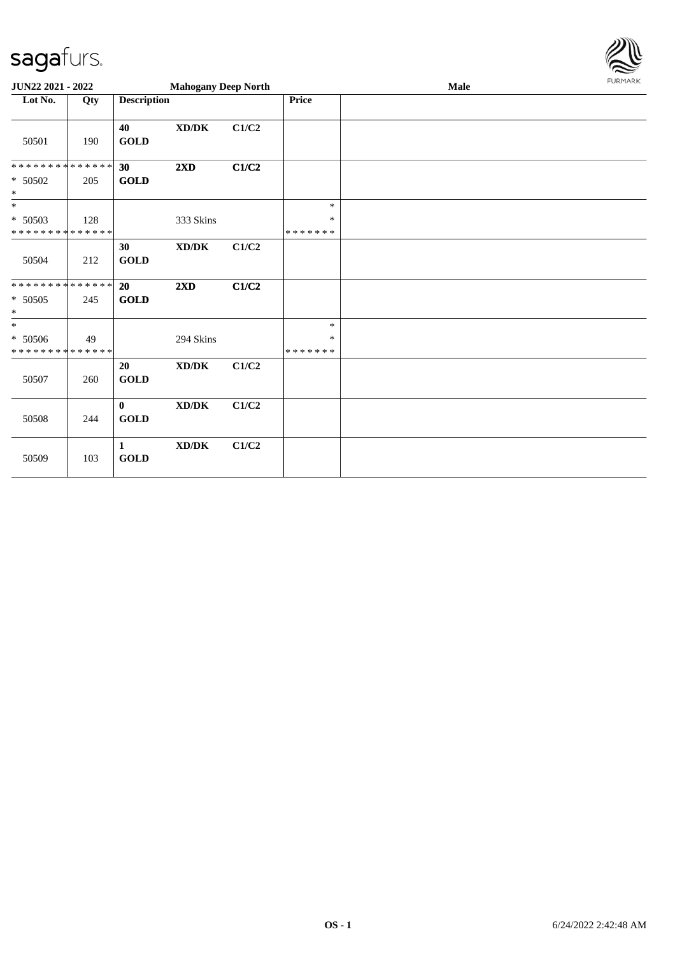

| JUN22 2021 - 2022                                  |     |                                       | <b>Mahogany Deep North</b>          |       |                              | <b>Male</b> | <b>FURMARK</b> |
|----------------------------------------------------|-----|---------------------------------------|-------------------------------------|-------|------------------------------|-------------|----------------|
| Lot No.                                            | Qty | <b>Description</b>                    |                                     |       | Price                        |             |                |
| 50501                                              | 190 | 40<br><b>GOLD</b>                     | $\bold{X}\bold{D}/\bold{D}\bold{K}$ | C1/C2 |                              |             |                |
| **************<br>* 50502<br>$\ast$                | 205 | 30<br>$\operatorname{\mathbf{GOLD}}$  | 2XD                                 | C1/C2 |                              |             |                |
| $*$<br>$* 50503$<br>* * * * * * * * * * * * * *    | 128 |                                       | 333 Skins                           |       | $\ast$<br>∗<br>* * * * * * * |             |                |
| 50504                                              | 212 | 30<br>$\operatorname{GOLD}$           | $\bold{X}\bold{D}/\bold{D}\bold{K}$ | C1/C2 |                              |             |                |
| * * * * * * * * * * * * * *<br>$* 50505$<br>$\ast$ | 245 | 20<br><b>GOLD</b>                     | 2XD                                 | C1/C2 |                              |             |                |
| $\ast$<br>$* 50506$<br>* * * * * * * * * * * * * * | 49  |                                       | 294 Skins                           |       | $\ast$<br>*<br>* * * * * * * |             |                |
| 50507                                              | 260 | 20<br><b>GOLD</b>                     | $\bold{X}\bold{D}/\bold{D}\bold{K}$ | C1/C2 |                              |             |                |
| 50508                                              | 244 | $\mathbf{0}$<br><b>GOLD</b>           | $\bold{X}\bold{D}/\bold{D}\bold{K}$ | C1/C2 |                              |             |                |
| 50509                                              | 103 | $\mathbf{1}$<br>$\operatorname{GOLD}$ | XD/DK                               | C1/C2 |                              |             |                |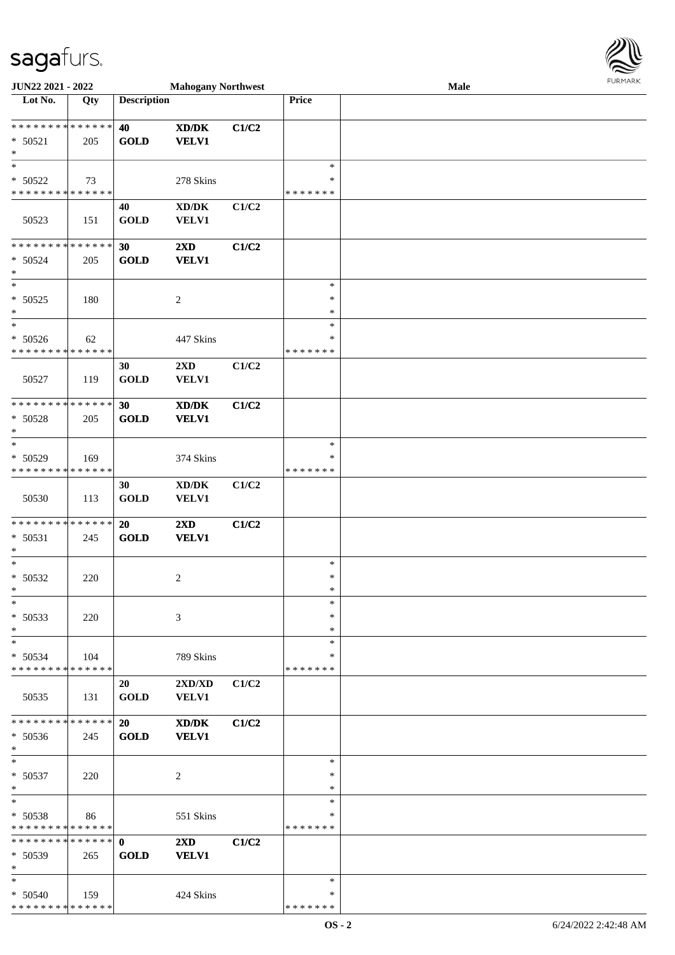

| JUN22 2021 - 2022             |     |                    | <b>Mahogany Northwest</b>                   |       |               | Male |
|-------------------------------|-----|--------------------|---------------------------------------------|-------|---------------|------|
| Lot No.                       | Qty | <b>Description</b> |                                             |       | <b>Price</b>  |      |
|                               |     |                    |                                             |       |               |      |
| **************                |     | 40                 | $\mathbf{X}\mathbf{D}/\mathbf{D}\mathbf{K}$ | C1/C2 |               |      |
| $* 50521$                     | 205 | <b>GOLD</b>        | <b>VELV1</b>                                |       |               |      |
| $\ast$                        |     |                    |                                             |       |               |      |
| $\ast$                        |     |                    |                                             |       | $\ast$        |      |
|                               |     |                    |                                             |       |               |      |
| * 50522                       | 73  |                    | 278 Skins                                   |       | ∗             |      |
| * * * * * * * * * * * * * *   |     |                    |                                             |       | * * * * * * * |      |
|                               |     | 40                 | $\bold{X}\bold{D}/\bold{D}\bold{K}$         | C1/C2 |               |      |
| 50523                         | 151 | <b>GOLD</b>        | VELV1                                       |       |               |      |
|                               |     |                    |                                             |       |               |      |
| * * * * * * * * * * * * * *   |     | 30                 | 2XD                                         | C1/C2 |               |      |
| $* 50524$                     | 205 | <b>GOLD</b>        | <b>VELV1</b>                                |       |               |      |
| $\ast$                        |     |                    |                                             |       |               |      |
| $\ast$                        |     |                    |                                             |       | $\ast$        |      |
|                               |     |                    |                                             |       | $\ast$        |      |
| $* 50525$                     | 180 |                    | $\overline{c}$                              |       |               |      |
| $\ast$                        |     |                    |                                             |       | $\ast$        |      |
| $\ast$                        |     |                    |                                             |       | $\ast$        |      |
| $* 50526$                     | 62  |                    | 447 Skins                                   |       | $\ast$        |      |
| * * * * * * * * * * * * * *   |     |                    |                                             |       | * * * * * * * |      |
|                               |     | 30                 | 2XD                                         | C1/C2 |               |      |
| 50527                         | 119 | <b>GOLD</b>        | <b>VELV1</b>                                |       |               |      |
|                               |     |                    |                                             |       |               |      |
| * * * * * * * * * * * * * *   |     | 30                 | XD/DK                                       | C1/C2 |               |      |
| * 50528                       | 205 | <b>GOLD</b>        | <b>VELV1</b>                                |       |               |      |
| $\ast$                        |     |                    |                                             |       |               |      |
| $\ast$                        |     |                    |                                             |       | $\ast$        |      |
| * 50529                       | 169 |                    | 374 Skins                                   |       | ∗             |      |
| * * * * * * * * * * * * * *   |     |                    |                                             |       | * * * * * * * |      |
|                               |     |                    |                                             |       |               |      |
|                               |     | 30                 | $\bold{X}\bold{D}/\bold{D}\bold{K}$         | C1/C2 |               |      |
| 50530                         | 113 | <b>GOLD</b>        | VELV1                                       |       |               |      |
|                               |     |                    |                                             |       |               |      |
| * * * * * * * * * * * * * *   |     | 20                 | $2{\bf X}{\bf D}$                           | C1/C2 |               |      |
| $* 50531$                     | 245 | <b>GOLD</b>        | <b>VELV1</b>                                |       |               |      |
| $\ast$                        |     |                    |                                             |       |               |      |
| $\ast$                        |     |                    |                                             |       | $\ast$        |      |
| $* 50532$                     | 220 |                    | $\overline{c}$                              |       | $\ast$        |      |
| $\ast$                        |     |                    |                                             |       | $\ast$        |      |
| $\ast$                        |     |                    |                                             |       | $\ast$        |      |
| $* 50533$                     | 220 |                    | 3                                           |       | $\ast$        |      |
| $\ast$                        |     |                    |                                             |       | ∗             |      |
| $\ast$                        |     |                    |                                             |       | $\ast$        |      |
| $* 50534$                     | 104 |                    | 789 Skins                                   |       | ∗             |      |
| * * * * * * * * * * * * * *   |     |                    |                                             |       | *******       |      |
|                               |     |                    |                                             |       |               |      |
|                               |     | 20                 | 2XD/XD                                      | C1/C2 |               |      |
| 50535                         | 131 | <b>GOLD</b>        | <b>VELV1</b>                                |       |               |      |
|                               |     |                    |                                             |       |               |      |
| * * * * * * * * * * * * * *   |     | 20                 | XD/DK                                       | C1/C2 |               |      |
| $* 50536$                     | 245 | <b>GOLD</b>        | <b>VELV1</b>                                |       |               |      |
| $\ast$                        |     |                    |                                             |       |               |      |
| $*$                           |     |                    |                                             |       | $\ast$        |      |
| $* 50537$                     | 220 |                    | $\overline{c}$                              |       | $\ast$        |      |
| $\ast$                        |     |                    |                                             |       | ∗             |      |
| $\ast$                        |     |                    |                                             |       | $\ast$        |      |
| $* 50538$                     | 86  |                    | 551 Skins                                   |       | ∗             |      |
| * * * * * * * * * * * * * *   |     |                    |                                             |       | * * * * * * * |      |
| * * * * * * * * * * * * * * * |     | $\mathbf{0}$       | $2\mathbf{X}\mathbf{D}$                     | C1/C2 |               |      |
|                               |     |                    |                                             |       |               |      |
| * 50539                       | 265 | <b>GOLD</b>        | <b>VELV1</b>                                |       |               |      |
| $\ast$                        |     |                    |                                             |       |               |      |
| $\ast$                        |     |                    |                                             |       | $\ast$        |      |
| $* 50540$                     | 159 |                    | 424 Skins                                   |       | ∗             |      |
| * * * * * * * * * * * * * *   |     |                    |                                             |       | * * * * * * * |      |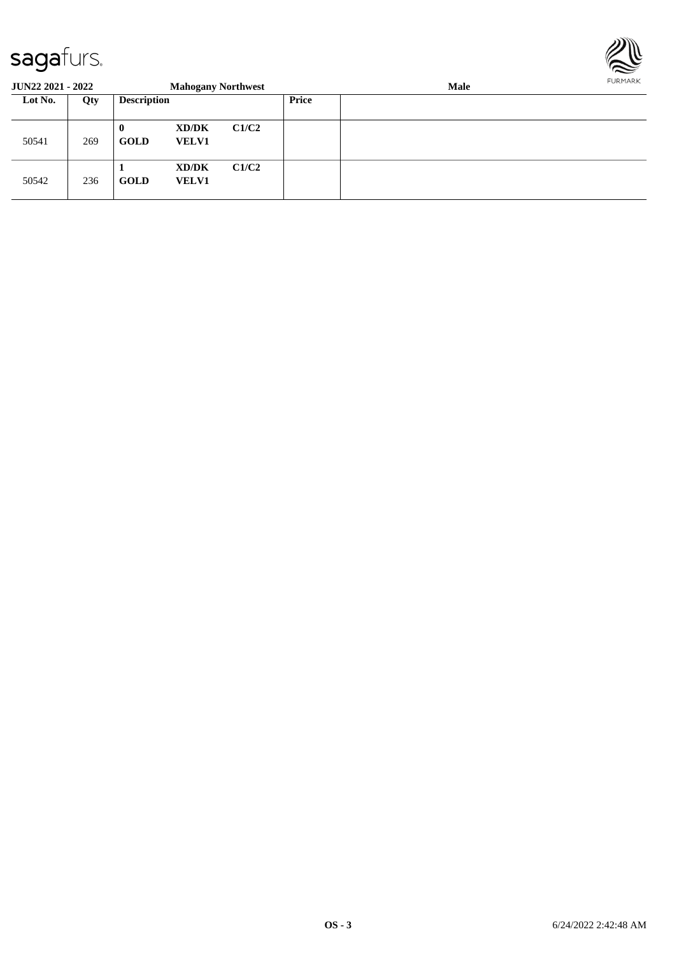

| <b>JUN22 2021 - 2022</b>             |     |                         | <b>Mahogany Northwest</b> |       |              | Male |  |  |  |  |
|--------------------------------------|-----|-------------------------|---------------------------|-------|--------------|------|--|--|--|--|
| <b>Description</b><br>Lot No.<br>Qty |     |                         |                           |       | <b>Price</b> |      |  |  |  |  |
| 50541                                | 269 | $\bf{0}$<br><b>GOLD</b> | XD/DK<br><b>VELV1</b>     | C1/C2 |              |      |  |  |  |  |
| 50542                                | 236 | <b>GOLD</b>             | XD/DK<br><b>VELV1</b>     | C1/C2 |              |      |  |  |  |  |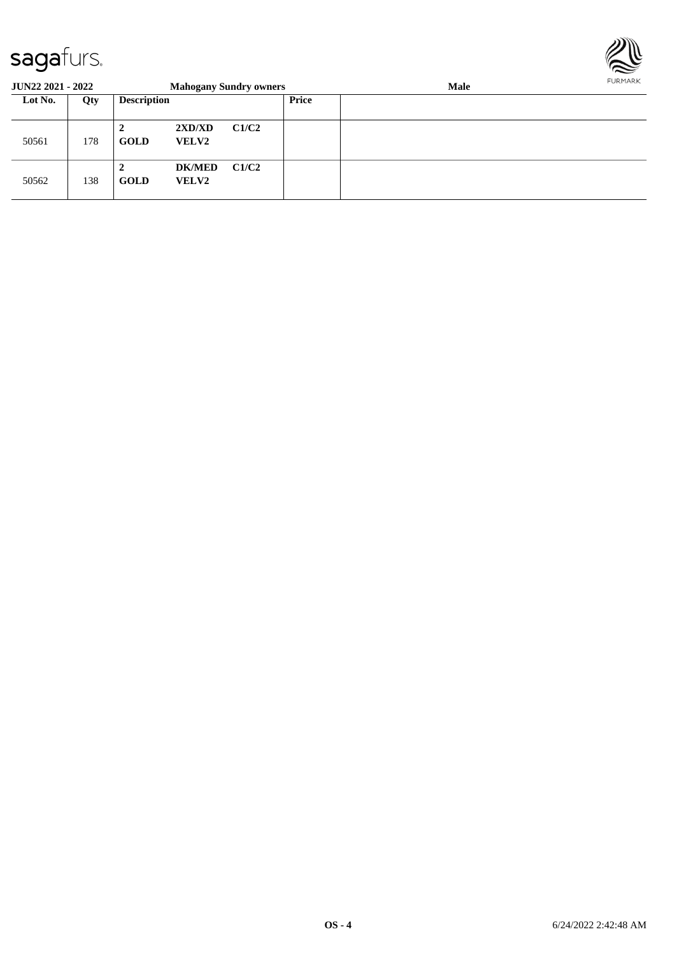

| <b>JUN22 2021 - 2022</b> |     |                                                | <b>Mahogany Sundry owners</b> |       |       | <b>Male</b> | <b>FURPIARA</b> |
|--------------------------|-----|------------------------------------------------|-------------------------------|-------|-------|-------------|-----------------|
| Lot No.                  | Qty | <b>Description</b>                             |                               |       | Price |             |                 |
| 50561                    | 178 | C1/C2<br>2XD/XD<br><b>GOLD</b><br><b>VELV2</b> |                               |       |       |             |                 |
| 50562                    | 138 | ∍<br>∠<br><b>GOLD</b>                          | <b>DK/MED</b><br><b>VELV2</b> | C1/C2 |       |             |                 |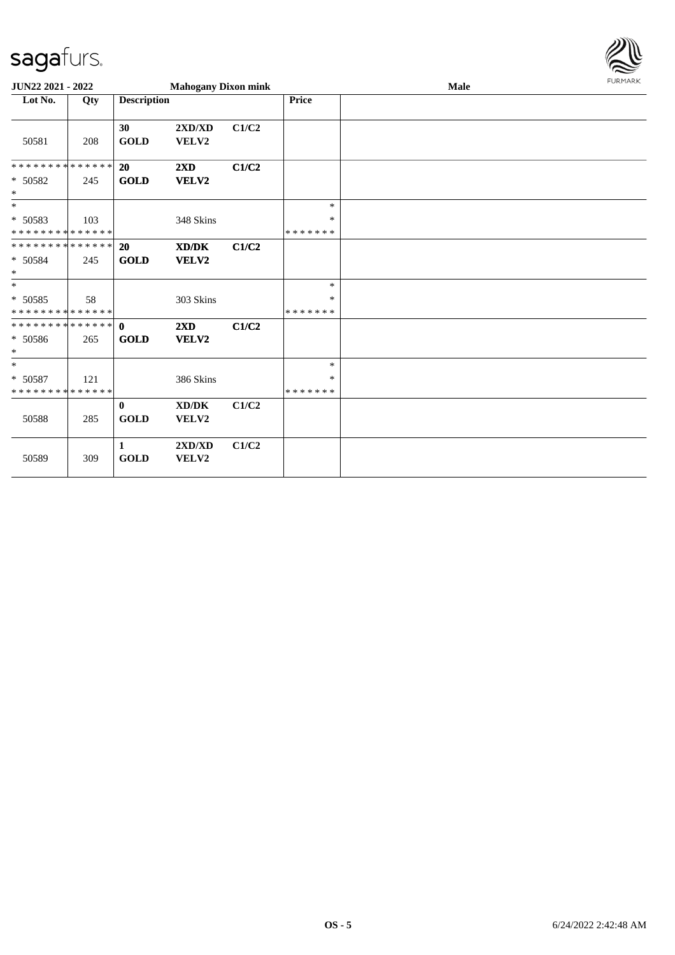

| JUN22 2021 - 2022                                |     |                             | <b>Mahogany Dixon mink</b>       |       |                         | Male | <b>FURMARK</b> |
|--------------------------------------------------|-----|-----------------------------|----------------------------------|-------|-------------------------|------|----------------|
| Lot No.                                          | Qty | <b>Description</b>          |                                  |       | Price                   |      |                |
| 50581                                            | 208 | 30<br><b>GOLD</b>           | 2XD/XD<br>VELV2                  | C1/C2 |                         |      |                |
| * * * * * * * * * * * * * *<br>* 50582           | 245 | <b>20</b><br>GOLD           | 2XD<br><b>VELV2</b>              | C1/C2 |                         |      |                |
| $\ast$                                           |     |                             |                                  |       |                         |      |                |
| $*$                                              |     |                             |                                  |       | $\ast$                  |      |                |
| * 50583<br>* * * * * * * * * * * * * *           | 103 |                             | 348 Skins                        |       | $\ast$<br>* * * * * * * |      |                |
| * * * * * * * * * * * * * *<br>* 50584<br>$\ast$ | 245 | 20<br><b>GOLD</b>           | XD/DK<br>VELV2                   | C1/C2 |                         |      |                |
| $*$                                              |     |                             |                                  |       | $\ast$                  |      |                |
| $* 50585$<br>* * * * * * * * * * * * * *         | 58  |                             | 303 Skins                        |       | ∗<br>* * * * * * *      |      |                |
| **************<br>* 50586<br>$\ast$              | 265 | $\mathbf{0}$<br><b>GOLD</b> | $2\mathbf{X}\mathbf{D}$<br>VELV2 | C1/C2 |                         |      |                |
| $*$                                              |     |                             |                                  |       | $\ast$                  |      |                |
| * 50587<br>* * * * * * * * * * * * * *           | 121 |                             | 386 Skins                        |       | $\ast$<br>* * * * * * * |      |                |
| 50588                                            | 285 | $\mathbf{0}$<br><b>GOLD</b> | XD/DK<br>VELV2                   | C1/C2 |                         |      |                |
| 50589                                            | 309 | 1<br><b>GOLD</b>            | 2XD/XD<br>VELV2                  | C1/C2 |                         |      |                |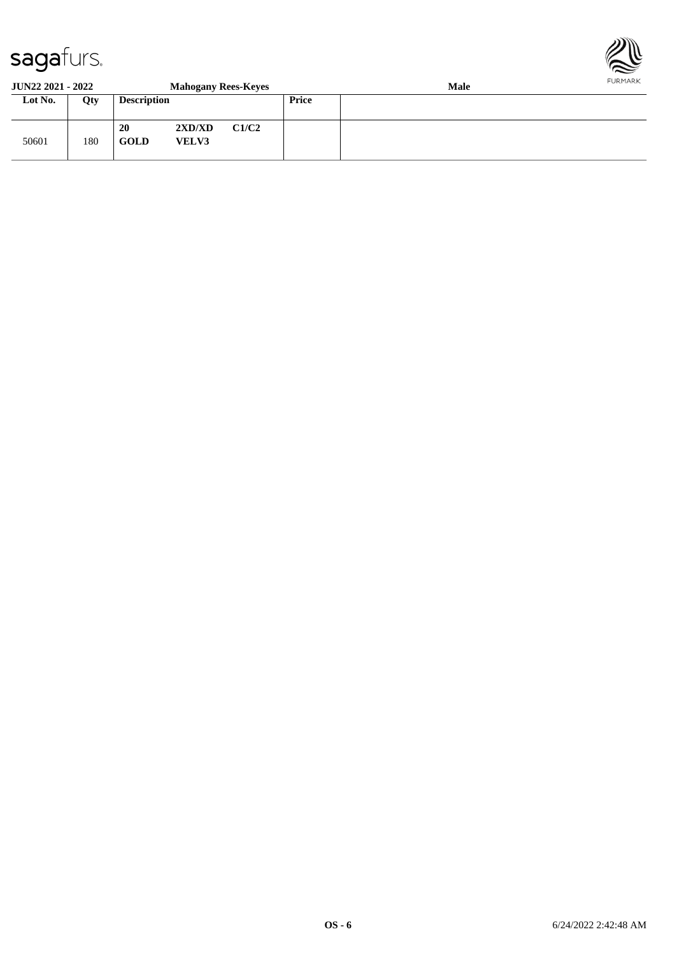

#### **JUN22 2021 - 2022 Mahogany Rees-Keyes Male**<br> **Lot No.** Qty **Description Price Loty Description Price** 50601 180 **20 2XD/XD C1/C2 GOLD VELV3**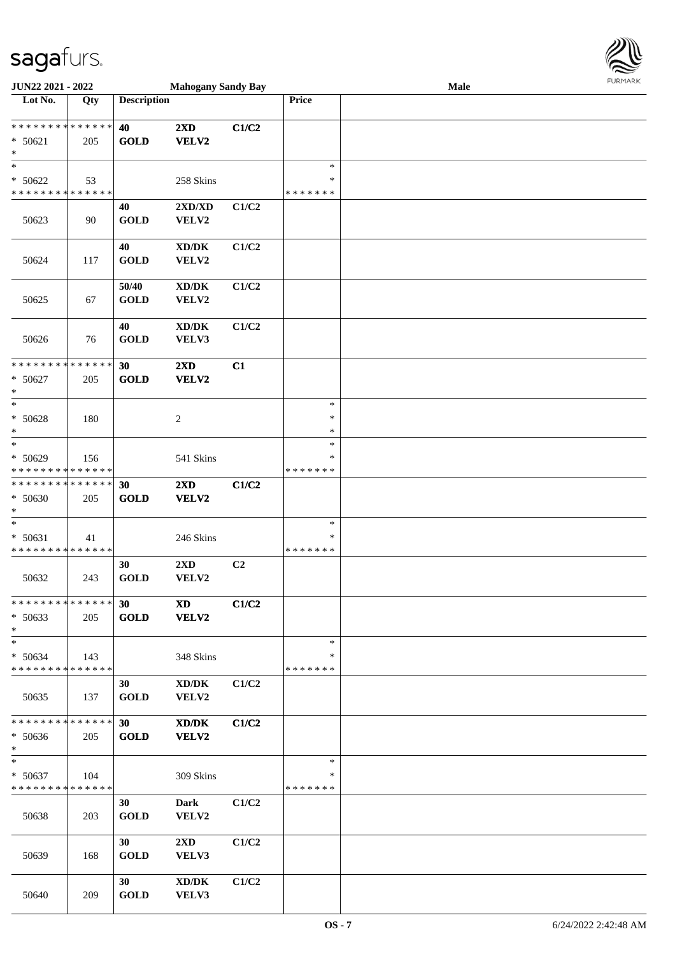

| JUN22 2021 - 2022             |     |                    | <b>Mahogany Sandy Bay</b>           |                |               | Male |  |
|-------------------------------|-----|--------------------|-------------------------------------|----------------|---------------|------|--|
| Lot No.                       | Qty | <b>Description</b> |                                     |                | <b>Price</b>  |      |  |
|                               |     |                    |                                     |                |               |      |  |
| * * * * * * * * * * * * * * * |     | 40                 | $2\mathbf{X}\mathbf{D}$             | C1/C2          |               |      |  |
| $* 50621$                     | 205 | <b>GOLD</b>        | VELV2                               |                |               |      |  |
| $\ast$                        |     |                    |                                     |                |               |      |  |
| $\ast$                        |     |                    |                                     |                | $\ast$        |      |  |
| $* 50622$                     | 53  |                    | 258 Skins                           |                | ∗             |      |  |
| * * * * * * * * * * * * * *   |     |                    |                                     |                | * * * * * * * |      |  |
|                               |     |                    |                                     |                |               |      |  |
|                               |     | 40                 | 2XD/XD                              | C1/C2          |               |      |  |
| 50623                         | 90  | <b>GOLD</b>        | VELV2                               |                |               |      |  |
|                               |     |                    |                                     |                |               |      |  |
|                               |     | 40                 | $\bold{X}\bold{D}/\bold{D}\bold{K}$ | C1/C2          |               |      |  |
| 50624                         | 117 | <b>GOLD</b>        | VELV2                               |                |               |      |  |
|                               |     |                    |                                     |                |               |      |  |
|                               |     | 50/40              | $\bold{X}\bold{D}/\bold{D}\bold{K}$ | C1/C2          |               |      |  |
| 50625                         | 67  | <b>GOLD</b>        | VELV2                               |                |               |      |  |
|                               |     |                    |                                     |                |               |      |  |
|                               |     | 40                 | $\bold{X}\bold{D}/\bold{D}\bold{K}$ | C1/C2          |               |      |  |
| 50626                         | 76  | <b>GOLD</b>        | VELV3                               |                |               |      |  |
|                               |     |                    |                                     |                |               |      |  |
| * * * * * * * * * * * * * *   |     | 30                 | 2XD                                 | C1             |               |      |  |
| $* 50627$                     | 205 | <b>GOLD</b>        | VELV2                               |                |               |      |  |
| $\ast$                        |     |                    |                                     |                |               |      |  |
| $*$                           |     |                    |                                     |                | $\ast$        |      |  |
| * 50628                       |     |                    |                                     |                | ∗             |      |  |
| $\ast$                        | 180 |                    | $\overline{c}$                      |                | ∗             |      |  |
| $\ast$                        |     |                    |                                     |                | $\ast$        |      |  |
|                               |     |                    |                                     |                |               |      |  |
| * 50629                       | 156 |                    | 541 Skins                           |                | ∗             |      |  |
| * * * * * * * * * * * * * *   |     |                    |                                     |                | * * * * * * * |      |  |
| * * * * * * * * * * * * * *   |     | 30                 | 2XD                                 | C1/C2          |               |      |  |
| * 50630                       | 205 | <b>GOLD</b>        | VELV2                               |                |               |      |  |
| $*$                           |     |                    |                                     |                |               |      |  |
| $\ast$                        |     |                    |                                     |                | $\ast$        |      |  |
| $* 50631$                     | 41  |                    | 246 Skins                           |                | $\ast$        |      |  |
| * * * * * * * * * * * * * *   |     |                    |                                     |                | * * * * * * * |      |  |
|                               |     | 30                 | 2XD                                 | C <sub>2</sub> |               |      |  |
| 50632                         | 243 | <b>GOLD</b>        | VELV2                               |                |               |      |  |
|                               |     |                    |                                     |                |               |      |  |
| * * * * * * * * * * * * * * * |     | 30                 | <b>XD</b>                           | C1/C2          |               |      |  |
| $* 50633$                     | 205 | <b>GOLD</b>        | <b>VELV2</b>                        |                |               |      |  |
| $*$                           |     |                    |                                     |                |               |      |  |
| $*$                           |     |                    |                                     |                | $\ast$        |      |  |
| * 50634                       | 143 |                    | 348 Skins                           |                | ∗             |      |  |
| * * * * * * * * * * * * * *   |     |                    |                                     |                | * * * * * * * |      |  |
|                               |     | 30                 | XD/DK                               | C1/C2          |               |      |  |
| 50635                         | 137 | <b>GOLD</b>        | VELV2                               |                |               |      |  |
|                               |     |                    |                                     |                |               |      |  |
| * * * * * * * * * * * * * *   |     | 30                 |                                     |                |               |      |  |
|                               |     |                    | XD/DK                               | C1/C2          |               |      |  |
| * 50636                       | 205 | <b>GOLD</b>        | VELV2                               |                |               |      |  |
| $*$                           |     |                    |                                     |                |               |      |  |
| $*$                           |     |                    |                                     |                | $\ast$        |      |  |
| $* 50637$                     | 104 |                    | 309 Skins                           |                | ∗             |      |  |
| * * * * * * * * * * * * * *   |     |                    |                                     |                | *******       |      |  |
|                               |     | 30                 | Dark                                | C1/C2          |               |      |  |
| 50638                         | 203 | <b>GOLD</b>        | VELV2                               |                |               |      |  |
|                               |     |                    |                                     |                |               |      |  |
|                               |     | 30                 | $2\mathbf{X}\mathbf{D}$             | C1/C2          |               |      |  |
| 50639                         | 168 | <b>GOLD</b>        | VELV3                               |                |               |      |  |
|                               |     |                    |                                     |                |               |      |  |
|                               |     | 30                 | XD/DK                               | C1/C2          |               |      |  |
| 50640                         | 209 | <b>GOLD</b>        | VELV3                               |                |               |      |  |
|                               |     |                    |                                     |                |               |      |  |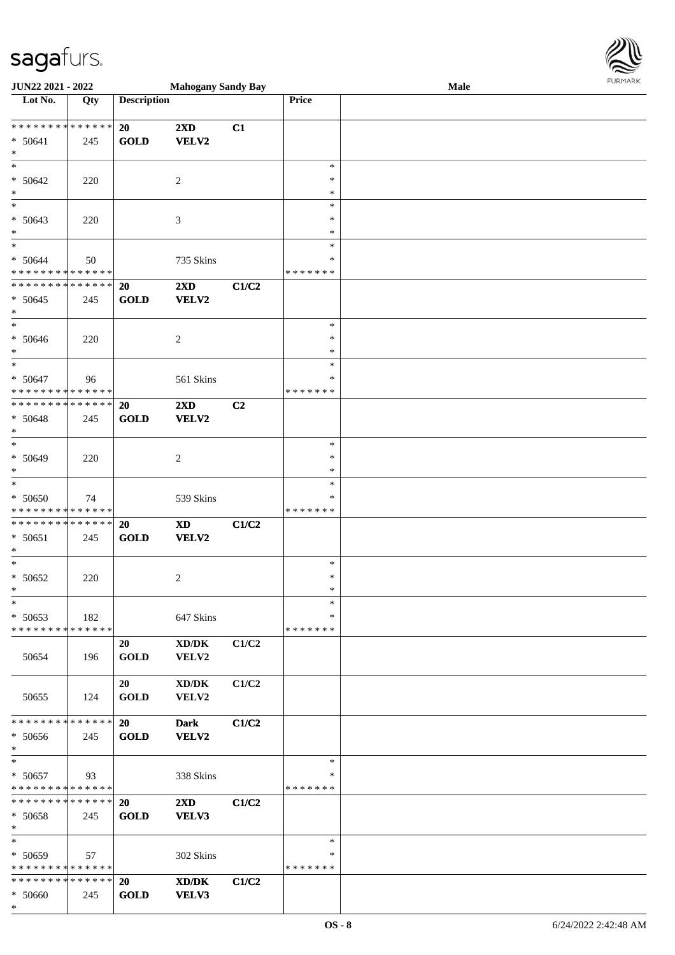

| JUN22 2021 - 2022                                             |     |                          | <b>Mahogany Sandy Bay</b>                    |       |                              | Male | <b>LOKINKY</b> |
|---------------------------------------------------------------|-----|--------------------------|----------------------------------------------|-------|------------------------------|------|----------------|
| $\overline{\phantom{1}}$ Lot No.                              | Qty | <b>Description</b>       |                                              |       | Price                        |      |                |
| * * * * * * * * * * * * * * *<br>$* 50641$<br>$*$             | 245 | 20<br><b>GOLD</b>        | 2XD<br>VELV2                                 | C1    |                              |      |                |
| $\ast$<br>$* 50642$<br>$*$                                    | 220 |                          | 2                                            |       | $\ast$<br>$\ast$<br>$\ast$   |      |                |
| $\ast$<br>$* 50643$<br>$\ast$                                 | 220 |                          | 3                                            |       | ∗<br>∗<br>$\ast$             |      |                |
| $\overline{\ast}$<br>$* 50644$<br>* * * * * * * * * * * * * * | 50  |                          | 735 Skins                                    |       | $\ast$<br>∗<br>* * * * * * * |      |                |
| * * * * * * * * * * * * * *<br>$* 50645$<br>$*$               | 245 | 20<br><b>GOLD</b>        | 2XD<br>VELV2                                 | C1/C2 |                              |      |                |
| $*$<br>$* 50646$<br>$*$                                       | 220 |                          | $\overline{c}$                               |       | $\ast$<br>$\ast$<br>$\ast$   |      |                |
| $*$<br>$* 50647$<br>* * * * * * * * * * * * * *               | 96  |                          | 561 Skins                                    |       | $\ast$<br>∗<br>* * * * * * * |      |                |
| * * * * * * * * * * * * * *<br>* 50648<br>$*$                 | 245 | 20<br><b>GOLD</b>        | 2XD<br>VELV2                                 | C2    |                              |      |                |
| $\ast$<br>$* 50649$<br>$*$                                    | 220 |                          | $\overline{c}$                               |       | $\ast$<br>$\ast$<br>$\ast$   |      |                |
| $\ast$<br>$* 50650$<br>* * * * * * * * * * * * * *            | 74  |                          | 539 Skins                                    |       | $\ast$<br>*<br>* * * * * * * |      |                |
| * * * * * * * * * * * * * * *<br>$* 50651$<br>$*$             | 245 | 20<br><b>GOLD</b>        | <b>XD</b><br>VELV2                           | C1/C2 |                              |      |                |
| $*$<br>$* 50652$<br>$\star$                                   | 220 |                          | $\overline{c}$                               |       | $\ast$<br>$\ast$<br>$\ast$   |      |                |
| $\ast$<br>$* 50653$<br>* * * * * * * * * * * * * *            | 182 |                          | 647 Skins                                    |       | $\ast$<br>∗<br>* * * * * * * |      |                |
| 50654                                                         | 196 | 20<br><b>GOLD</b>        | $\bold{X}\bold{D}/\bold{D}\bold{K}$<br>VELV2 | C1/C2 |                              |      |                |
| 50655                                                         | 124 | 20<br><b>GOLD</b>        | $\bold{X}\bold{D}/\bold{D}\bold{K}$<br>VELV2 | C1/C2 |                              |      |                |
| * * * * * * * * * * * * * *<br>* 50656<br>$\ast$              | 245 | 20<br><b>GOLD</b>        | <b>Dark</b><br>VELV2                         | C1/C2 |                              |      |                |
| $\ast$<br>$* 50657$<br>* * * * * * * * * * * * * *            | 93  |                          | 338 Skins                                    |       | $\ast$<br>*<br>* * * * * * * |      |                |
| * * * * * * * * * * * * * * *<br>* 50658<br>$*$               | 245 | 20<br><b>GOLD</b>        | $2\mathbf{X}\mathbf{D}$<br>VELV3             | C1/C2 |                              |      |                |
| $*$<br>* 50659<br>* * * * * * * * * * * * * *                 | 57  |                          | 302 Skins                                    |       | $\ast$<br>*<br>* * * * * * * |      |                |
| * * * * * * * * * * * * * * *<br>* 50660<br>$*$               | 245 | <b>20</b><br><b>GOLD</b> | $\boldsymbol{\text{XD}/\text{DK}}$<br>VELV3  | C1/C2 |                              |      |                |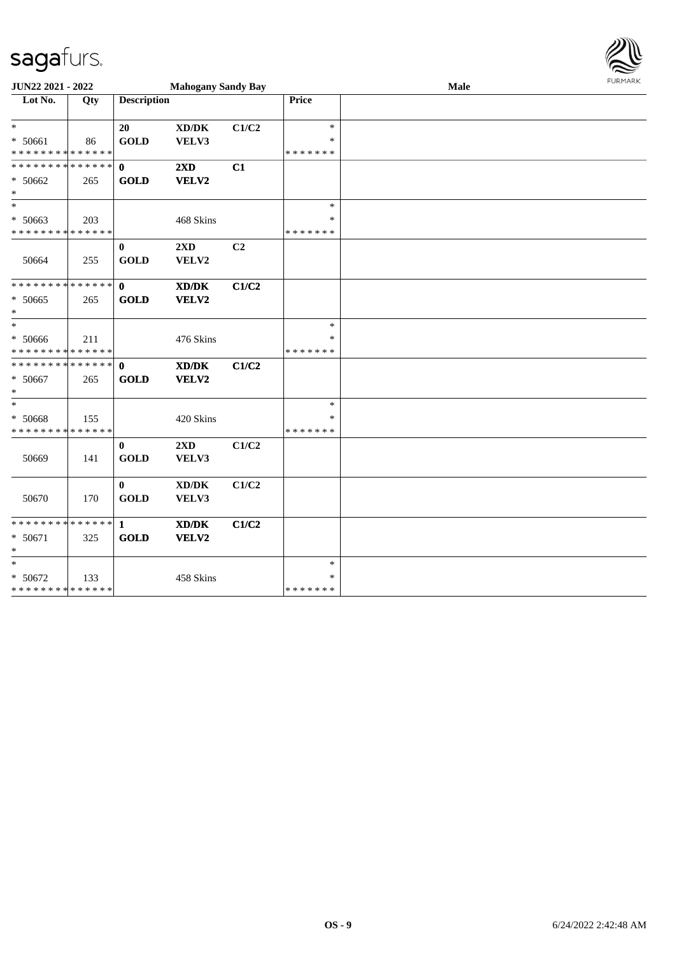

| JUN22 2021 - 2022                                  |     |                             | <b>Mahogany Sandy Bay</b>                            |                |                                   | Male | <b>FURMARK</b> |
|----------------------------------------------------|-----|-----------------------------|------------------------------------------------------|----------------|-----------------------------------|------|----------------|
| Lot No.                                            | Qty | <b>Description</b>          |                                                      |                | Price                             |      |                |
| $\ast$<br>* 50661<br>* * * * * * * * * * * * * *   | 86  | 20<br><b>GOLD</b>           | XD/DK<br>VELV3                                       | C1/C2          | $\ast$<br>*<br>* * * * * * *      |      |                |
| * * * * * * * * * * * * * *<br>* 50662<br>$\ast$   | 265 | $\mathbf{0}$<br><b>GOLD</b> | 2XD<br>VELV2                                         | C1             |                                   |      |                |
| $\ast$<br>* 50663<br>* * * * * * * * * * * * * *   | 203 |                             | 468 Skins                                            |                | $\ast$<br>*<br>* * * * * * *      |      |                |
| 50664                                              | 255 | $\bf{0}$<br><b>GOLD</b>     | $2\mathbf{X}\mathbf{D}$<br>VELV2                     | C <sub>2</sub> |                                   |      |                |
| * * * * * * * * * * * * * *<br>$* 50665$<br>$\ast$ | 265 | $\mathbf{0}$<br><b>GOLD</b> | XD/DK<br>VELV2                                       | C1/C2          |                                   |      |                |
| $\ast$<br>* 50666<br>* * * * * * * * * * * * * *   | 211 |                             | 476 Skins                                            |                | $\ast$<br>*<br>* * * * * * *      |      |                |
| * * * * * * * * * * * * * * *<br>* 50667<br>$\ast$ | 265 | $\mathbf{0}$<br><b>GOLD</b> | $\mathbf{X}\mathbf{D}/\mathbf{D}\mathbf{K}$<br>VELV2 | C1/C2          |                                   |      |                |
| $\ast$<br>* 50668<br>* * * * * * * * * * * * * *   | 155 |                             | 420 Skins                                            |                | $\ast$<br>$\ast$<br>* * * * * * * |      |                |
| 50669                                              | 141 | $\mathbf{0}$<br><b>GOLD</b> | 2XD<br>VELV3                                         | C1/C2          |                                   |      |                |
| 50670                                              | 170 | $\mathbf{0}$<br><b>GOLD</b> | $\bold{X}\bold{D}/\bold{D}\bold{K}$<br>VELV3         | C1/C2          |                                   |      |                |
| * * * * * * * * * * * * * * *<br>* 50671<br>$\ast$ | 325 | -1<br><b>GOLD</b>           | XD/DK<br>VELV2                                       | C1/C2          |                                   |      |                |
| $\ast$<br>* 50672<br>* * * * * * * * * * * * * *   | 133 |                             | 458 Skins                                            |                | $\ast$<br>*<br>* * * * * * *      |      |                |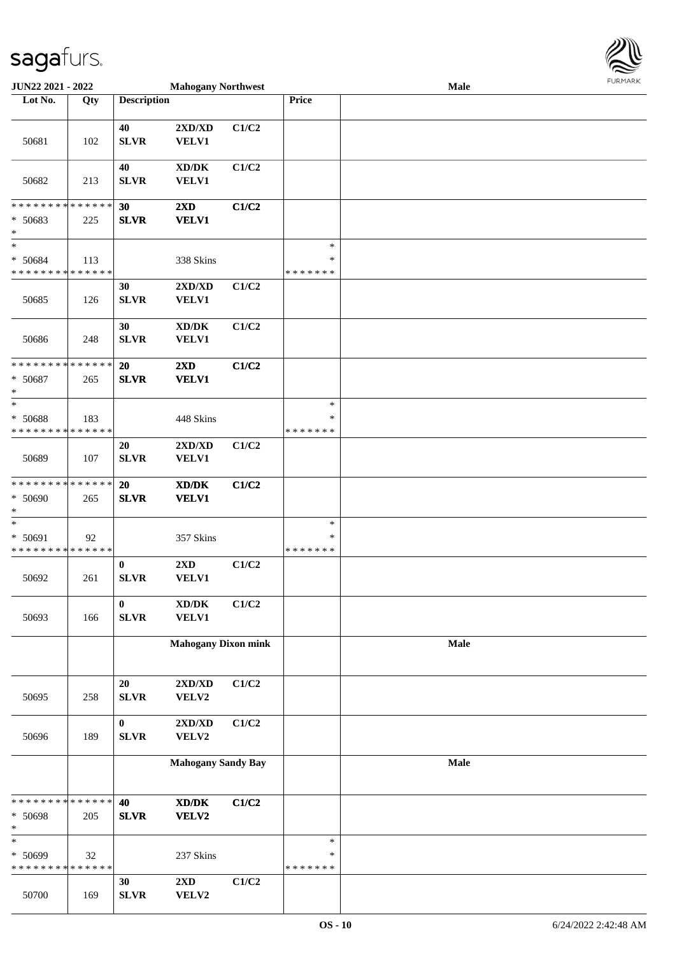

| JUN22 2021 - 2022                                |     |                          | <b>Mahogany Northwest</b>                                            |       |                                   | Male | $1 \times 1 \times 1 \times 1 \times 1$ |
|--------------------------------------------------|-----|--------------------------|----------------------------------------------------------------------|-------|-----------------------------------|------|-----------------------------------------|
| Lot No.                                          | Qty | <b>Description</b>       |                                                                      |       | Price                             |      |                                         |
| 50681                                            | 102 | 40<br><b>SLVR</b>        | 2XD/XD<br><b>VELV1</b>                                               | C1/C2 |                                   |      |                                         |
| 50682                                            | 213 | 40<br><b>SLVR</b>        | $\mathbf{X}\mathbf{D}/\mathbf{D}\mathbf{K}$<br><b>VELV1</b>          | C1/C2 |                                   |      |                                         |
| * * * * * * * * * * * * * *<br>* 50683<br>$\ast$ | 225 | 30<br><b>SLVR</b>        | $2\mathbf{X}\mathbf{D}$<br><b>VELV1</b>                              | C1/C2 |                                   |      |                                         |
| $\ast$<br>* 50684<br>* * * * * * * * * * * * * * | 113 |                          | 338 Skins                                                            |       | $\ast$<br>$\ast$<br>* * * * * * * |      |                                         |
| 50685                                            | 126 | 30<br><b>SLVR</b>        | 2XD/XD<br><b>VELV1</b>                                               | C1/C2 |                                   |      |                                         |
| 50686                                            | 248 | 30<br><b>SLVR</b>        | $\bold{X}\bold{D}/\bold{D}\bold{K}$<br><b>VELV1</b>                  | C1/C2 |                                   |      |                                         |
| * * * * * * * * * * * * * *<br>* 50687<br>$\ast$ | 265 | 20<br><b>SLVR</b>        | 2XD<br><b>VELV1</b>                                                  | C1/C2 |                                   |      |                                         |
| $\ast$<br>* 50688<br>* * * * * * * * * * * * * * | 183 |                          | 448 Skins                                                            |       | $\ast$<br>∗<br>* * * * * * *      |      |                                         |
| 50689                                            | 107 | 20<br><b>SLVR</b>        | 2XD/XD<br><b>VELV1</b>                                               | C1/C2 |                                   |      |                                         |
| * * * * * * * * * * * * * *<br>* 50690<br>$\ast$ | 265 | 20<br><b>SLVR</b>        | XD/DK<br><b>VELV1</b>                                                | C1/C2 |                                   |      |                                         |
| $\ast$<br>* 50691<br>* * * * * * * * * * * * * * | 92  |                          | 357 Skins                                                            |       | $\ast$<br>∗<br>* * * * * * *      |      |                                         |
| 50692                                            | 261 | $\bf{0}$<br><b>SLVR</b>  | $2{\bf X}{\bf D}$<br><b>VELV1</b>                                    | C1/C2 |                                   |      |                                         |
| 50693                                            | 166 | $\bf{0}$<br><b>SLVR</b>  | $\bold{X}\bold{D}/\bold{D}\bold{K}$<br><b>VELV1</b>                  | C1/C2 |                                   |      |                                         |
|                                                  |     |                          | <b>Mahogany Dixon mink</b>                                           |       |                                   | Male |                                         |
| 50695                                            | 258 | 20<br>${\bf SLVR}$       | $2{\bf X}{\bf D}/{\bf X}{\bf D}$<br>VELV2                            | C1/C2 |                                   |      |                                         |
| 50696                                            | 189 | $\bf{0}$<br>${\bf SLVR}$ | 2XD/XD<br>VELV2                                                      | C1/C2 |                                   |      |                                         |
|                                                  |     |                          | <b>Mahogany Sandy Bay</b>                                            |       |                                   | Male |                                         |
| * * * * * * * * * * * * * *<br>* 50698<br>$\ast$ | 205 | 40<br><b>SLVR</b>        | $\boldsymbol{\text{X} \text{D} \text{/} \text{D} \text{K}}$<br>VELV2 | C1/C2 |                                   |      |                                         |
| $\ast$<br>* 50699<br>* * * * * * * * * * * * * * | 32  |                          | 237 Skins                                                            |       | $\ast$<br>$\ast$<br>* * * * * * * |      |                                         |
| 50700                                            | 169 | 30<br><b>SLVR</b>        | $2{\bf X}{\bf D}$<br>VELV2                                           | C1/C2 |                                   |      |                                         |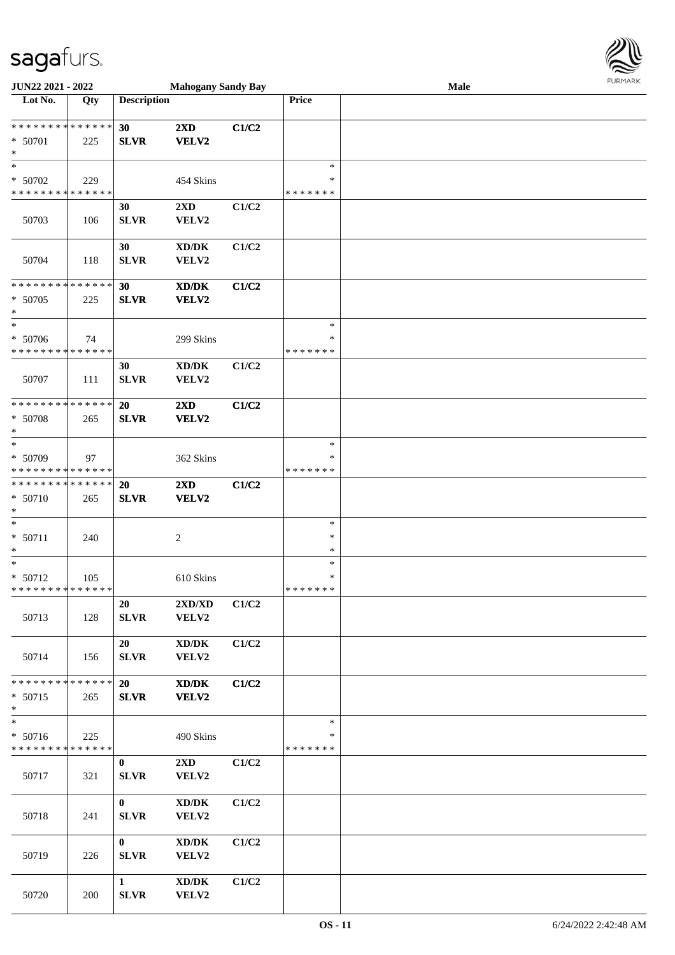

| JUN22 2021 - 2022            |     |                    | <b>Mahogany Sandy Bay</b>           |       |                    | Male |  |
|------------------------------|-----|--------------------|-------------------------------------|-------|--------------------|------|--|
| Lot No.                      | Qty | <b>Description</b> |                                     |       | Price              |      |  |
|                              |     |                    |                                     |       |                    |      |  |
| ******** <mark>******</mark> |     | 30                 | $2\mathbf{X}\mathbf{D}$             | C1/C2 |                    |      |  |
| * 50701                      | 225 | <b>SLVR</b>        | VELV2                               |       |                    |      |  |
| $\ast$                       |     |                    |                                     |       |                    |      |  |
| $\ast$                       |     |                    |                                     |       | $\ast$             |      |  |
| $* 50702$                    | 229 |                    | 454 Skins                           |       | ∗<br>* * * * * * * |      |  |
| * * * * * * * * * * * * * *  |     |                    |                                     |       |                    |      |  |
| 50703                        |     | 30                 | 2XD                                 | C1/C2 |                    |      |  |
|                              | 106 | <b>SLVR</b>        | VELV2                               |       |                    |      |  |
|                              |     | 30                 | $\bold{X}\bold{D}/\bold{D}\bold{K}$ | C1/C2 |                    |      |  |
| 50704                        | 118 | <b>SLVR</b>        | VELV2                               |       |                    |      |  |
|                              |     |                    |                                     |       |                    |      |  |
| * * * * * * * * * * * * * *  |     | 30                 | XD/DK                               | C1/C2 |                    |      |  |
| $* 50705$                    | 225 | <b>SLVR</b>        | VELV2                               |       |                    |      |  |
| $\ast$                       |     |                    |                                     |       |                    |      |  |
| $\ast$                       |     |                    |                                     |       | $\ast$             |      |  |
| * 50706                      | 74  |                    | 299 Skins                           |       | $\ast$             |      |  |
| * * * * * * * * * * * * * *  |     |                    |                                     |       | * * * * * * *      |      |  |
|                              |     | 30                 | $\bold{X}\bold{D}/\bold{D}\bold{K}$ | C1/C2 |                    |      |  |
| 50707                        | 111 | <b>SLVR</b>        | VELV2                               |       |                    |      |  |
|                              |     |                    |                                     |       |                    |      |  |
| * * * * * * * * * * * * * *  |     | 20                 | $2\mathbf{X}\mathbf{D}$             | C1/C2 |                    |      |  |
| $* 50708$<br>$\ast$          | 265 | <b>SLVR</b>        | VELV2                               |       |                    |      |  |
| $\ast$                       |     |                    |                                     |       | $\ast$             |      |  |
| * 50709                      | 97  |                    | 362 Skins                           |       | ∗                  |      |  |
| * * * * * * * * * * * * * *  |     |                    |                                     |       | * * * * * * *      |      |  |
| * * * * * * * * * * * * * *  |     | 20                 | 2XD                                 | C1/C2 |                    |      |  |
| * 50710                      | 265 | <b>SLVR</b>        | VELV2                               |       |                    |      |  |
| $\ast$                       |     |                    |                                     |       |                    |      |  |
| $\ast$                       |     |                    |                                     |       | $\ast$             |      |  |
| $* 50711$                    | 240 |                    | $\sqrt{2}$                          |       | $\ast$             |      |  |
| $\ast$                       |     |                    |                                     |       | $\ast$             |      |  |
| $*$                          |     |                    |                                     |       | $\ast$             |      |  |
| $* 50712$                    | 105 |                    | 610 Skins                           |       | $\ast$             |      |  |
| * * * * * * * * * * * * * *  |     |                    |                                     |       | * * * * * * *      |      |  |
|                              |     | 20                 | 2XD/XD                              | C1/C2 |                    |      |  |
| 50713                        | 128 | <b>SLVR</b>        | VELV2                               |       |                    |      |  |
|                              |     | 20                 | $\bold{X}\bold{D}/\bold{D}\bold{K}$ | C1/C2 |                    |      |  |
| 50714                        | 156 | <b>SLVR</b>        | VELV2                               |       |                    |      |  |
|                              |     |                    |                                     |       |                    |      |  |
| * * * * * * * * * * * * * *  |     | 20                 | XD/DK                               | C1/C2 |                    |      |  |
| * 50715                      | 265 | <b>SLVR</b>        | <b>VELV2</b>                        |       |                    |      |  |
| $*$                          |     |                    |                                     |       |                    |      |  |
| $\overline{\phantom{0}}$     |     |                    |                                     |       | $\ast$             |      |  |
| * 50716                      | 225 |                    | 490 Skins                           |       | ∗                  |      |  |
| * * * * * * * * * * * * * *  |     |                    |                                     |       | *******            |      |  |
|                              |     | $\bf{0}$           | $2\mathbf{X}\mathbf{D}$             | C1/C2 |                    |      |  |
| 50717                        | 321 | <b>SLVR</b>        | VELV2                               |       |                    |      |  |
|                              |     |                    |                                     |       |                    |      |  |
|                              |     | $\mathbf{0}$       | XD/DK                               | C1/C2 |                    |      |  |
| 50718                        | 241 | <b>SLVR</b>        | VELV2                               |       |                    |      |  |
|                              |     | $\mathbf{0}$       | $\bold{X}\bold{D}/\bold{D}\bold{K}$ | C1/C2 |                    |      |  |
| 50719                        | 226 | <b>SLVR</b>        | VELV2                               |       |                    |      |  |
|                              |     |                    |                                     |       |                    |      |  |
|                              |     | $\mathbf{1}$       | XD/DK                               | C1/C2 |                    |      |  |
| 50720                        | 200 | <b>SLVR</b>        | VELV2                               |       |                    |      |  |
|                              |     |                    |                                     |       |                    |      |  |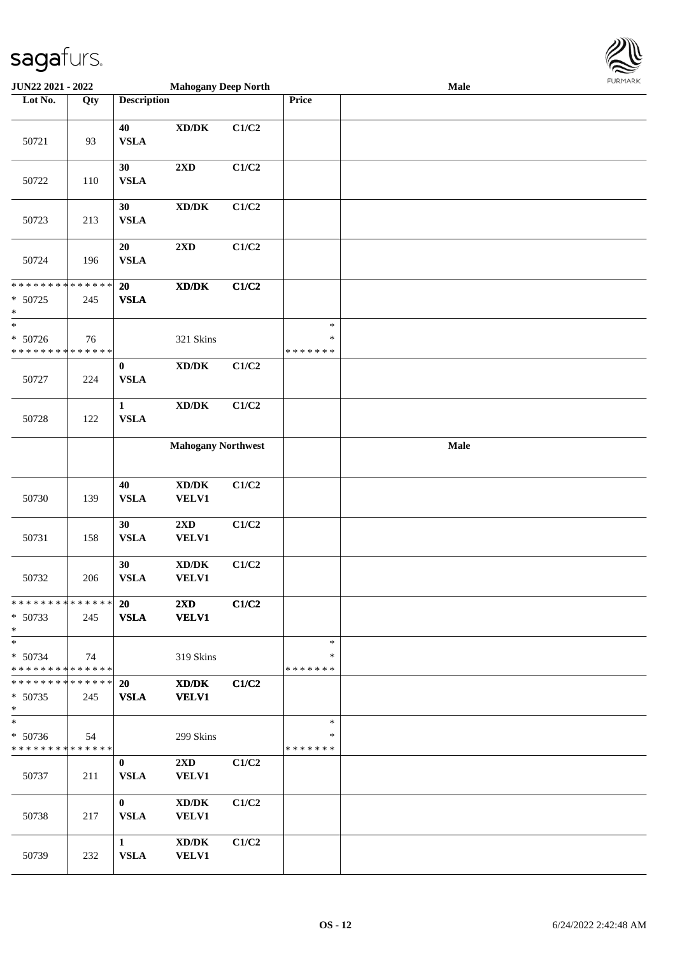

| <b>JUN22 2021 - 2022</b>                                          |     |                             | <b>Mahogany Deep North</b>                         |       |                                   | Male | $1$ $01$ $11$ $11$ $11$ $11$ |
|-------------------------------------------------------------------|-----|-----------------------------|----------------------------------------------------|-------|-----------------------------------|------|------------------------------|
| Lot No.                                                           | Qty | <b>Description</b>          |                                                    |       | <b>Price</b>                      |      |                              |
| 50721                                                             | 93  | 40<br><b>VSLA</b>           | $\bold{X}\bold{D}/\bold{D}\bold{K}$                | C1/C2 |                                   |      |                              |
| 50722                                                             | 110 | 30<br><b>VSLA</b>           | 2XD                                                | C1/C2 |                                   |      |                              |
| 50723                                                             | 213 | 30<br><b>VSLA</b>           | $\bold{X}\bold{D}/\bold{D}\bold{K}$                | C1/C2 |                                   |      |                              |
| 50724                                                             | 196 | 20<br><b>VSLA</b>           | $2{\bf X}{\bf D}$                                  | C1/C2 |                                   |      |                              |
| * * * * * * * * <mark>* * * * * * *</mark><br>$* 50725$<br>*      | 245 | 20<br><b>VSLA</b>           | $\mathbf{X}\mathbf{D}/\mathbf{D}\mathbf{K}$        | C1/C2 |                                   |      |                              |
| $\ast$<br>$* 50726$<br>* * * * * * * * <mark>* * * * * * *</mark> | 76  |                             | 321 Skins                                          |       | $\ast$<br>$\ast$<br>* * * * * * * |      |                              |
| 50727                                                             | 224 | $\bf{0}$<br><b>VSLA</b>     | $\bold{X}\bold{D}/\bold{D}\bold{K}$                | C1/C2 |                                   |      |                              |
| 50728                                                             | 122 | $\mathbf{1}$<br><b>VSLA</b> | $\bold{X}\bold{D}/\bold{D}\bold{K}$                | C1/C2 |                                   |      |                              |
|                                                                   |     |                             | <b>Mahogany Northwest</b>                          |       |                                   | Male |                              |
| 50730                                                             | 139 | $40\,$<br><b>VSLA</b>       | $\bold{X}\bold{D}/\bold{D}\bold{K}$<br>VELV1       | C1/C2 |                                   |      |                              |
| 50731                                                             | 158 | 30<br><b>VSLA</b>           | $2{\bf X}{\bf D}$<br><b>VELV1</b>                  | C1/C2 |                                   |      |                              |
| 50732                                                             | 206 | 30<br><b>VSLA</b>           | $\boldsymbol{\text{XD}/\text{DK}}$<br><b>VELV1</b> | C1/C2 |                                   |      |                              |
| * * * * * * * * <mark>* * * * * *</mark><br>$* 50733$<br>$\ast$   | 245 | 20<br><b>VSLA</b>           | $2\mathbf{X}\mathbf{D}$<br><b>VELV1</b>            | C1/C2 |                                   |      |                              |
| $\ast$<br>* 50734<br>* * * * * * * * <mark>* * * * * *</mark>     | 74  |                             | 319 Skins                                          |       | $\ast$<br>∗<br>* * * * * * *      |      |                              |
| * * * * * * * * * * * * * *  <br>$* 50735$<br>$\ast$              | 245 | <b>20</b><br><b>VSLA</b>    | XD/DK<br><b>VELV1</b>                              | C1/C2 |                                   |      |                              |
| * 50736<br>* * * * * * * * <mark>* * * * * *</mark>               | 54  |                             | 299 Skins                                          |       | $\ast$<br>∗<br>* * * * * * *      |      |                              |
| 50737                                                             | 211 | $\bf{0}$<br><b>VSLA</b>     | $2\mathbf{X}\mathbf{D}$<br><b>VELV1</b>            | C1/C2 |                                   |      |                              |
| 50738                                                             | 217 | $\mathbf{0}$<br><b>VSLA</b> | XD/DK<br><b>VELV1</b>                              | C1/C2 |                                   |      |                              |
| 50739                                                             | 232 | 1<br><b>VSLA</b>            | XD/DK<br><b>VELV1</b>                              | C1/C2 |                                   |      |                              |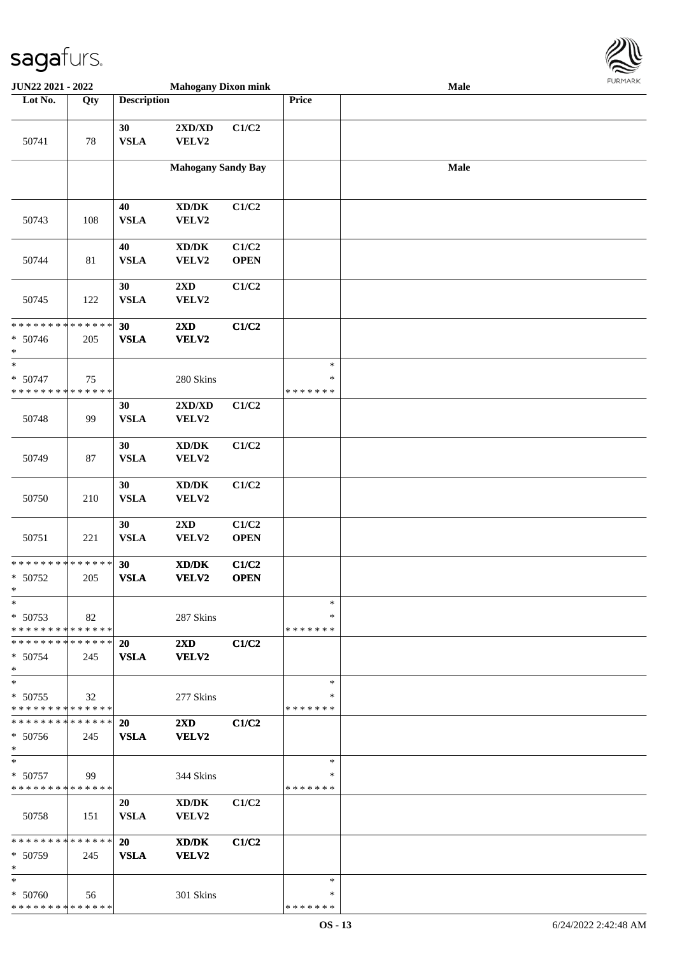

| JUN22 2021 - 2022                                                 |        |                    | <b>Mahogany Dixon mink</b>                   |                      |                                   | Male | <b>FURMARK</b> |
|-------------------------------------------------------------------|--------|--------------------|----------------------------------------------|----------------------|-----------------------------------|------|----------------|
| Lot No.                                                           | Qty    | <b>Description</b> |                                              |                      | Price                             |      |                |
| 50741                                                             | $78\,$ | 30<br><b>VSLA</b>  | 2XD/XD<br>VELV2                              | C1/C2                |                                   |      |                |
|                                                                   |        |                    | <b>Mahogany Sandy Bay</b>                    |                      |                                   | Male |                |
| 50743                                                             | 108    | 40<br>${\bf VSLA}$ | $\boldsymbol{\text{XD}/\text{DK}}$<br>VELV2  | C1/C2                |                                   |      |                |
| 50744                                                             | 81     | 40<br><b>VSLA</b>  | $\bold{X}\bold{D}/\bold{D}\bold{K}$<br>VELV2 | C1/C2<br><b>OPEN</b> |                                   |      |                |
| 50745                                                             | 122    | 30<br>${\bf VSLA}$ | $2{\bf X}{\bf D}$<br>VELV2                   | C1/C2                |                                   |      |                |
| ******** <mark>******</mark><br>$* 50746$<br>$\ast$               | 205    | 30<br><b>VSLA</b>  | 2XD<br>VELV2                                 | C1/C2                |                                   |      |                |
| $\ast$<br>$* 50747$<br>* * * * * * * * <mark>* * * * * * *</mark> | 75     |                    | 280 Skins                                    |                      | $\ast$<br>$\ast$<br>* * * * * * * |      |                |
| 50748                                                             | 99     | 30<br>${\bf VSLA}$ | $2{\bf X}{\bf D}/{\bf X}{\bf D}$<br>VELV2    | C1/C2                |                                   |      |                |
| 50749                                                             | 87     | 30<br><b>VSLA</b>  | $\bold{X}\bold{D}/\bold{D}\bold{K}$<br>VELV2 | C1/C2                |                                   |      |                |
| 50750                                                             | 210    | 30<br>${\bf VSLA}$ | $\bold{X}\bold{D}/\bold{D}\bold{K}$<br>VELV2 | C1/C2                |                                   |      |                |
| 50751                                                             | 221    | 30<br>${\bf VSLA}$ | 2XD<br>VELV2                                 | C1/C2<br><b>OPEN</b> |                                   |      |                |
| * * * * * * * * * * * * * *<br>* 50752<br>$\ast$                  | 205    | 30<br><b>VSLA</b>  | $\bold{X}\bold{D}/\bold{D}\bold{K}$<br>VELV2 | C1/C2<br><b>OPEN</b> |                                   |      |                |
| $\ast$<br>* 50753<br>* * * * * * * * * * * * * *                  | 82     |                    | 287 Skins                                    |                      | $\ast$<br>∗<br>* * * * * * *      |      |                |
| * * * * * * * * * * * * * *<br>$* 50754$<br>$\ast$                | 245    | 20<br><b>VSLA</b>  | $2\mathbf{X}\mathbf{D}$<br>VELV2             | C1/C2                |                                   |      |                |
| $\ast$<br>$* 50755$<br>* * * * * * * * * * * * * *                | 32     |                    | 277 Skins                                    |                      | $\ast$<br>∗<br>* * * * * * *      |      |                |
| * * * * * * * * * * * * * * *<br>$* 50756$<br>$\ast$              | 245    | 20<br><b>VSLA</b>  | $2\mathbf{X}\mathbf{D}$<br>VELV2             | C1/C2                |                                   |      |                |
| $\ast$<br>$* 50757$<br>* * * * * * * * * * * * * *                | 99     |                    | 344 Skins                                    |                      | $\ast$<br>*<br>* * * * * * *      |      |                |
| 50758                                                             | 151    | 20<br><b>VSLA</b>  | $\bold{X}\bold{D}/\bold{D}\bold{K}$<br>VELV2 | C1/C2                |                                   |      |                |
| * * * * * * * * * * * * * * *<br>$* 50759$<br>$\ast$              | 245    | 20<br><b>VSLA</b>  | XD/DK<br>VELV2                               | C1/C2                |                                   |      |                |
| $\ast$<br>* 50760<br>* * * * * * * * * * * * * *                  | 56     |                    | 301 Skins                                    |                      | ∗<br>*<br>* * * * * * *           |      |                |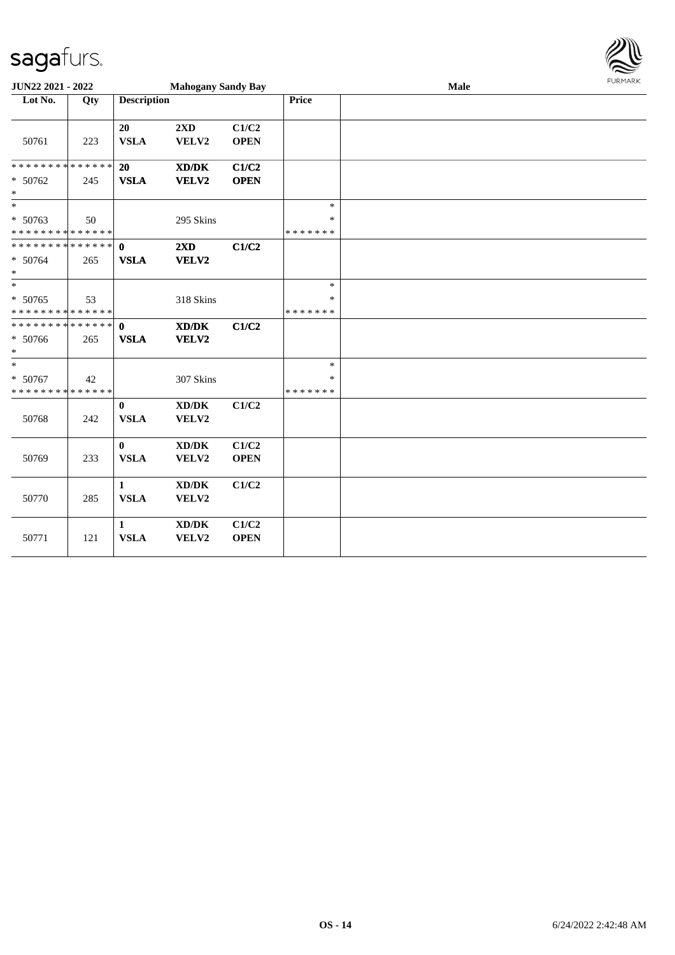

| <b>JUN22 2021 - 2022</b>                                           |     |                             | <b>Mahogany Sandy Bay</b>                            |                      |                             | Male |  |  |
|--------------------------------------------------------------------|-----|-----------------------------|------------------------------------------------------|----------------------|-----------------------------|------|--|--|
| Lot No.                                                            | Qty | <b>Description</b>          |                                                      |                      | <b>Price</b>                |      |  |  |
| 50761                                                              | 223 | 20<br><b>VSLA</b>           | 2XD<br>VELV2                                         | C1/C2<br><b>OPEN</b> |                             |      |  |  |
| * * * * * * * * * * * * * *<br>* 50762<br>$*$                      | 245 | 20<br><b>VSLA</b>           | $\mathbf{X}\mathbf{D}/\mathbf{D}\mathbf{K}$<br>VELV2 | C1/C2<br><b>OPEN</b> |                             |      |  |  |
| $\overline{\phantom{0}}$<br>* 50763<br>* * * * * * * * * * * * * * | 50  |                             | 295 Skins                                            |                      | $\ast$<br>$\ast$<br>******* |      |  |  |
| ******** <mark>******</mark><br>* 50764<br>$*$                     | 265 | $\mathbf{0}$<br><b>VSLA</b> | 2XD<br>VELV2                                         | C1/C2                |                             |      |  |  |
| $*$<br>* 50765<br>* * * * * * * * * * * * * *                      | 53  |                             | 318 Skins                                            |                      | $\ast$<br>$\ast$<br>******* |      |  |  |
| ******** <mark>******</mark><br>* 50766<br>$*$                     | 265 | $\mathbf{0}$<br><b>VSLA</b> | XD/DK<br>VELV2                                       | C1/C2                |                             |      |  |  |
| $\overline{\phantom{0}}$<br>* 50767<br>* * * * * * * * * * * * * * | 42  |                             | 307 Skins                                            |                      | $\ast$<br>*<br>*******      |      |  |  |
| 50768                                                              | 242 | $\mathbf{0}$<br><b>VSLA</b> | $\bold{X}\bold{D}/\bold{D}\bold{K}$<br>VELV2         | C1/C2                |                             |      |  |  |
| 50769                                                              | 233 | $\bf{0}$<br><b>VSLA</b>     | $\bold{X}\bold{D}/\bold{D}\bold{K}$<br>VELV2         | C1/C2<br><b>OPEN</b> |                             |      |  |  |
| 50770                                                              | 285 | $\mathbf{1}$<br><b>VSLA</b> | $\bold{X}\bold{D}/\bold{D}\bold{K}$<br>VELV2         | C1/C2                |                             |      |  |  |
| 50771                                                              | 121 | $\mathbf{1}$<br><b>VSLA</b> | XD/DK<br>VELV2                                       | C1/C2<br><b>OPEN</b> |                             |      |  |  |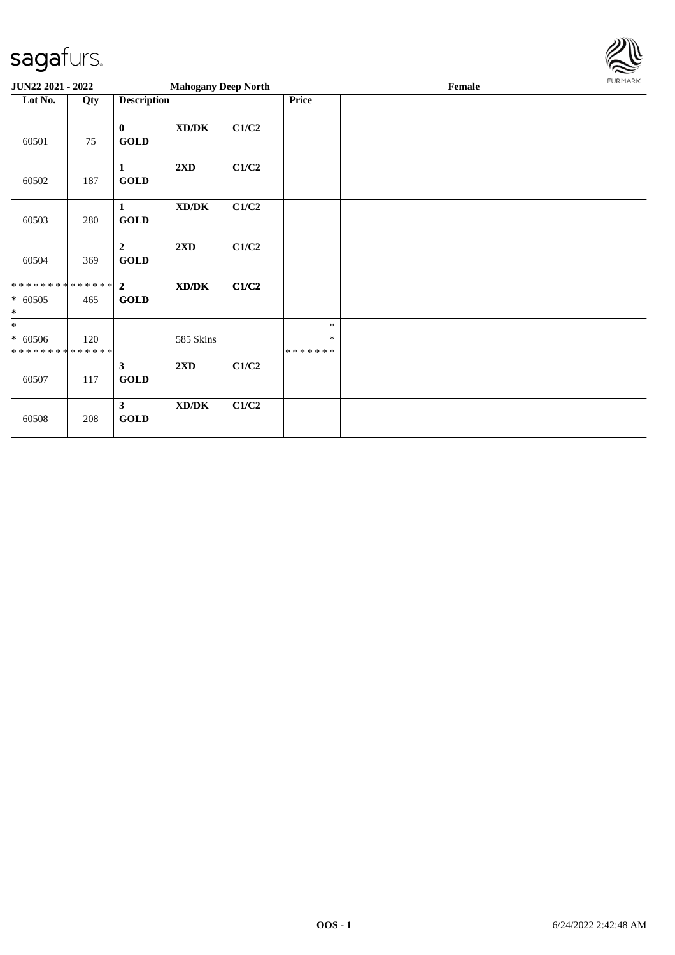

| JUN22 2021 - 2022                                  |     |                               | <b>Mahogany Deep North</b>          |       |                        | Female | FURMARK |
|----------------------------------------------------|-----|-------------------------------|-------------------------------------|-------|------------------------|--------|---------|
| Lot No.                                            | Qty | <b>Description</b>            |                                     |       | <b>Price</b>           |        |         |
| 60501                                              | 75  | $\bf{0}$<br><b>GOLD</b>       | XD/DK                               | C1/C2 |                        |        |         |
| 60502                                              | 187 | 1<br><b>GOLD</b>              | 2XD                                 | C1/C2 |                        |        |         |
| 60503                                              | 280 | 1<br><b>GOLD</b>              | $\bold{X}\bold{D}/\bold{D}\bold{K}$ | C1/C2 |                        |        |         |
| 60504                                              | 369 | $\overline{2}$<br><b>GOLD</b> | 2XD                                 | C1/C2 |                        |        |         |
| **************<br>$* 60505$<br>$\ast$              | 465 | $\overline{2}$<br><b>GOLD</b> | XD/DK                               | C1/C2 |                        |        |         |
| $\ast$<br>$* 60506$<br>* * * * * * * * * * * * * * | 120 |                               | 585 Skins                           |       | $\ast$<br>*<br>******* |        |         |
| 60507                                              | 117 | $\mathbf{3}$<br><b>GOLD</b>   | 2XD                                 | C1/C2 |                        |        |         |
| 60508                                              | 208 | $\mathbf{3}$<br><b>GOLD</b>   | $\bold{X}\bold{D}/\bold{D}\bold{K}$ | C1/C2 |                        |        |         |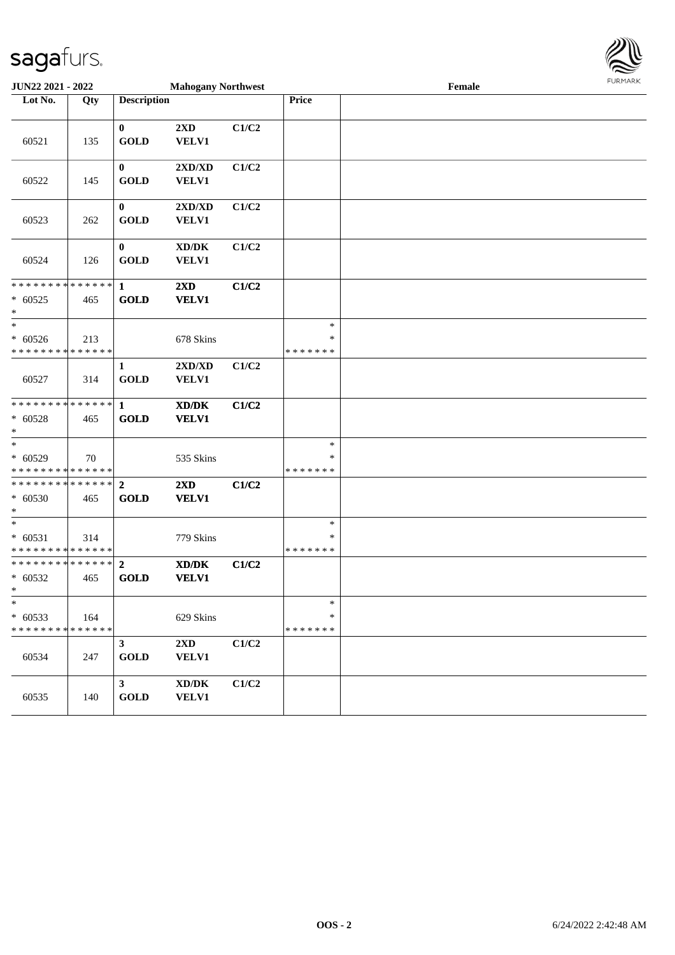

| <b>JUN22 2021 - 2022</b>                                       |     |                               | <b>Mahogany Northwest</b>                                   |       |                                   | Female | <b>LOKIJAKV</b> |
|----------------------------------------------------------------|-----|-------------------------------|-------------------------------------------------------------|-------|-----------------------------------|--------|-----------------|
| Lot No.                                                        | Qty | <b>Description</b>            |                                                             |       | Price                             |        |                 |
| 60521                                                          | 135 | $\mathbf{0}$<br><b>GOLD</b>   | 2XD<br>VELV1                                                | C1/C2 |                                   |        |                 |
| 60522                                                          | 145 | $\bf{0}$<br><b>GOLD</b>       | $2{\bf X}{\bf D}/{\bf X}{\bf D}$<br><b>VELV1</b>            | C1/C2 |                                   |        |                 |
| 60523                                                          | 262 | $\mathbf{0}$<br><b>GOLD</b>   | $2{\bf X}{\bf D}/{\bf X}{\bf D}$<br><b>VELV1</b>            | C1/C2 |                                   |        |                 |
| 60524                                                          | 126 | $\bf{0}$<br><b>GOLD</b>       | $\bold{X}\bold{D}/\bold{D}\bold{K}$<br><b>VELV1</b>         | C1/C2 |                                   |        |                 |
| * * * * * * * * <mark>* * * * * * *</mark><br>$* 60525$<br>$*$ | 465 | $\mathbf{1}$<br><b>GOLD</b>   | 2XD<br><b>VELV1</b>                                         | C1/C2 |                                   |        |                 |
| $*$<br>$* 60526$<br>* * * * * * * * * * * * * *                | 213 |                               | 678 Skins                                                   |       | $\ast$<br>$\ast$<br>* * * * * * * |        |                 |
| 60527                                                          | 314 | $\mathbf{1}$<br><b>GOLD</b>   | $2{\bf X}{\bf D}/{\bf X}{\bf D}$<br><b>VELV1</b>            | C1/C2 |                                   |        |                 |
| * * * * * * * * <mark>* * * * * * *</mark><br>$* 60528$<br>$*$ | 465 | $\mathbf{1}$<br><b>GOLD</b>   | XD/DK<br><b>VELV1</b>                                       | C1/C2 |                                   |        |                 |
| $*$<br>$* 60529$<br>* * * * * * * * <mark>* * * * * * *</mark> | 70  |                               | 535 Skins                                                   |       | $\ast$<br>∗<br>* * * * * * *      |        |                 |
| ******** <mark>******</mark><br>$* 60530$<br>$\ast$            | 465 | $\overline{2}$<br><b>GOLD</b> | 2XD<br><b>VELV1</b>                                         | C1/C2 |                                   |        |                 |
| $_{*}$<br>$* 60531$<br>* * * * * * * * * * * * * *             | 314 |                               | 779 Skins                                                   |       | $\ast$<br>∗<br>* * * * * * *      |        |                 |
| ******** <mark>******</mark><br>$* 60532$<br>$\mathbf{k}$      | 465 | $\overline{2}$<br><b>GOLD</b> | $\mathbf{X}\mathbf{D}/\mathbf{D}\mathbf{K}$<br><b>VELV1</b> | C1/C2 |                                   |        |                 |
| $\ast$<br>$* 60533$<br>* * * * * * * * * * * * * *             | 164 |                               | 629 Skins                                                   |       | $\ast$<br>$\ast$<br>* * * * * * * |        |                 |
| 60534                                                          | 247 | 3 <sup>1</sup><br><b>GOLD</b> | $2\mathbf{X}\mathbf{D}$<br><b>VELV1</b>                     | C1/C2 |                                   |        |                 |
| 60535                                                          | 140 | 3 <sup>1</sup><br><b>GOLD</b> | $\bold{X}\bold{D}/\bold{D}\bold{K}$<br><b>VELV1</b>         | C1/C2 |                                   |        |                 |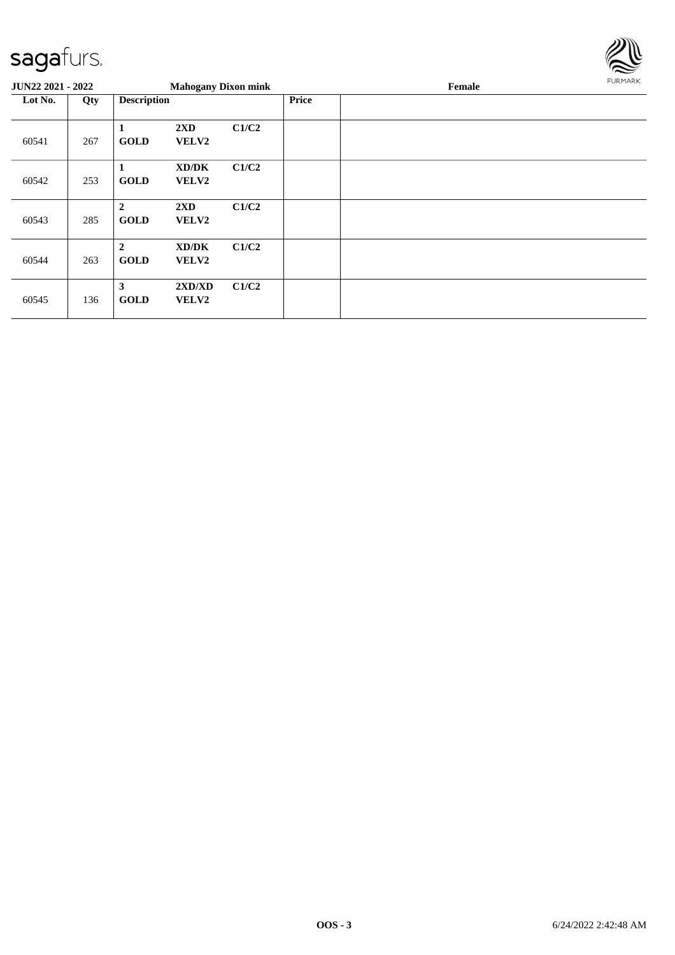

| <b>JUN22 2021 - 2022</b> |     |                                 | <b>Mahogany Dixon mink</b>       |       |              | Female | FURMARK |
|--------------------------|-----|---------------------------------|----------------------------------|-------|--------------|--------|---------|
| Lot No.<br>Qty           |     | <b>Description</b>              |                                  |       | <b>Price</b> |        |         |
| 60541                    | 267 | 1<br><b>GOLD</b>                | 2XD<br><b>VELV2</b>              | C1/C2 |              |        |         |
| 60542                    | 253 | 1<br><b>GOLD</b>                | XD/DK<br><b>VELV2</b>            | C1/C2 |              |        |         |
| 60543                    | 285 | $\overline{2}$<br><b>GOLD</b>   | $2\mathbf{X}\mathbf{D}$<br>VELV2 | C1/C2 |              |        |         |
| 60544                    | 263 | $\boldsymbol{2}$<br><b>GOLD</b> | XD/DK<br><b>VELV2</b>            | C1/C2 |              |        |         |
| 60545                    | 136 | 3<br><b>GOLD</b>                | 2XD/XD<br><b>VELV2</b>           | C1/C2 |              |        |         |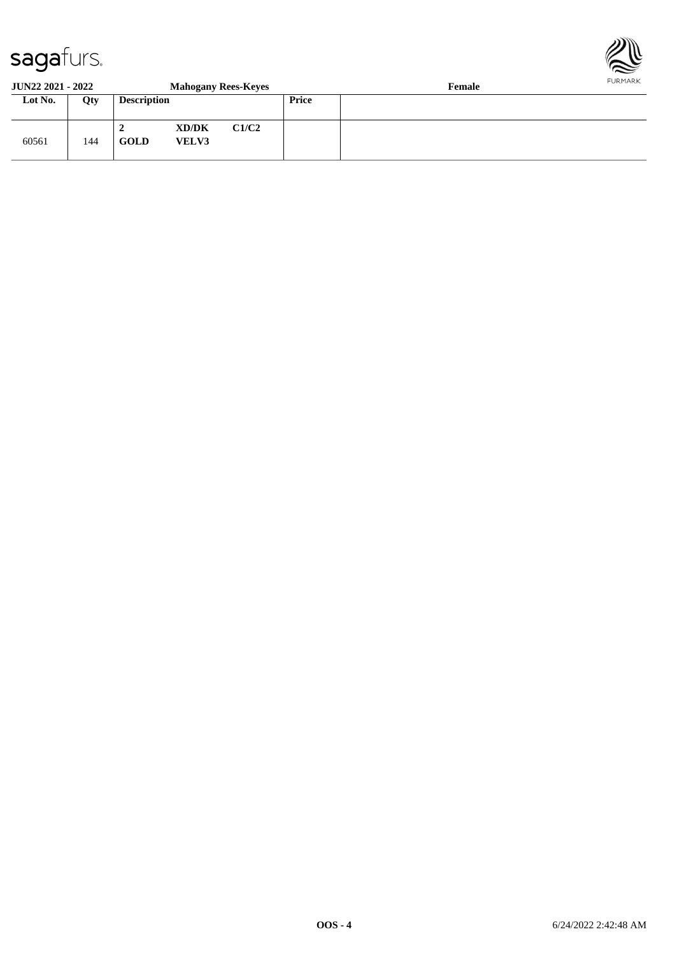

#### **JUN22 2021 - 2022 Mahogany Rees-Keyes Female Lot No. Qty Description Price** 60561 144 **2 XD/DK C1/C2 GOLD VELV3**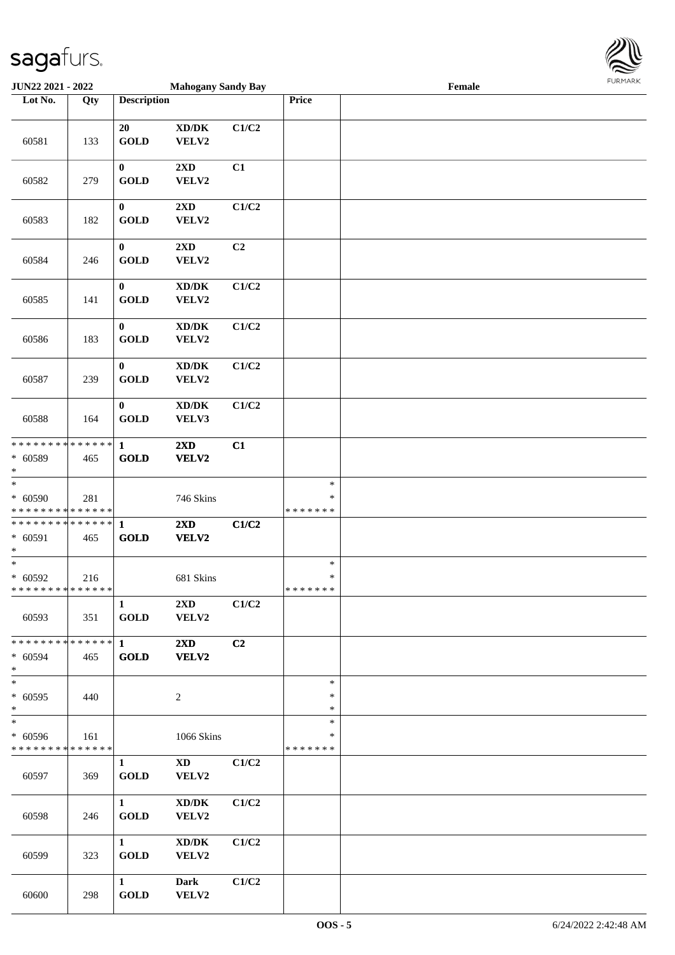

| JUN22 2021 - 2022                                              |     |                             | <b>Mahogany Sandy Bay</b>                            |       |                                   | Female |  |
|----------------------------------------------------------------|-----|-----------------------------|------------------------------------------------------|-------|-----------------------------------|--------|--|
| Lot No.                                                        | Qty | <b>Description</b>          |                                                      |       | Price                             |        |  |
| 60581                                                          | 133 | 20<br><b>GOLD</b>           | $\mathbf{X}\mathbf{D}/\mathbf{D}\mathbf{K}$<br>VELV2 | C1/C2 |                                   |        |  |
| 60582                                                          | 279 | $\bf{0}$<br><b>GOLD</b>     | $2\mathbf{X}\mathbf{D}$<br>VELV2                     | C1    |                                   |        |  |
| 60583                                                          | 182 | $\bf{0}$<br><b>GOLD</b>     | 2XD<br>VELV2                                         | C1/C2 |                                   |        |  |
| 60584                                                          | 246 | $\bf{0}$<br><b>GOLD</b>     | 2XD<br>VELV2                                         | C2    |                                   |        |  |
| 60585                                                          | 141 | $\bf{0}$<br><b>GOLD</b>     | XD/DK<br>VELV2                                       | C1/C2 |                                   |        |  |
| 60586                                                          | 183 | $\bf{0}$<br><b>GOLD</b>     | $\mathbf{X}\mathbf{D}/\mathbf{D}\mathbf{K}$<br>VELV2 | C1/C2 |                                   |        |  |
| 60587                                                          | 239 | $\bf{0}$<br><b>GOLD</b>     | $\bold{X}\bold{D}/\bold{D}\bold{K}$<br>VELV2         | C1/C2 |                                   |        |  |
| 60588                                                          | 164 | $\bf{0}$<br><b>GOLD</b>     | XD/DK<br>VELV3                                       | C1/C2 |                                   |        |  |
| * * * * * * * * * * * * * * *<br>$* 60589$<br>$*$              | 465 | $\mathbf{1}$<br><b>GOLD</b> | 2XD<br>VELV2                                         | C1    |                                   |        |  |
| $\overline{\ast}$<br>$* 60590$<br>******** <mark>******</mark> | 281 |                             | 746 Skins                                            |       | $\ast$<br>$\ast$<br>* * * * * * * |        |  |
| * * * * * * * * * * * * * * *<br>$* 60591$<br>$\ast$           | 465 | $\mathbf{1}$<br>GOLD        | $2\mathbf{X}\mathbf{D}$<br>VELV2                     | C1/C2 |                                   |        |  |
| $*$<br>$* 60592$<br>* * * * * * * * * * * * * * *              | 216 |                             | 681 Skins                                            |       | $\ast$<br>$\ast$<br>* * * * * * * |        |  |
| 60593                                                          | 351 | $\mathbf{1}$<br><b>GOLD</b> | 2XD<br>VELV2                                         | C1/C2 |                                   |        |  |
| * * * * * * * * * * * * * * *<br>$* 60594$<br>$*$              | 465 | $\mathbf{1}$<br><b>GOLD</b> | 2XD<br>VELV2                                         | C2    |                                   |        |  |
| $*$<br>$* 60595$<br>$*$                                        | 440 |                             | $\overline{c}$                                       |       | $\ast$<br>$\ast$<br>$\ast$        |        |  |
| $\ast$<br>* 60596<br>* * * * * * * * * * * * * *               | 161 |                             | 1066 Skins                                           |       | $\ast$<br>∗<br>* * * * * * *      |        |  |
| 60597                                                          | 369 | $\mathbf{1}$<br><b>GOLD</b> | $\mathbf{X}\mathbf{D}$<br>VELV2                      | C1/C2 |                                   |        |  |
| 60598                                                          | 246 | $\mathbf{1}$<br>GOLD        | XD/DK<br>VELV2                                       | C1/C2 |                                   |        |  |
| 60599                                                          | 323 | $\mathbf{1}$<br><b>GOLD</b> | XD/DK<br>VELV2                                       | C1/C2 |                                   |        |  |
| 60600                                                          | 298 | $\mathbf{1}$<br><b>GOLD</b> | Dark<br>VELV2                                        | C1/C2 |                                   |        |  |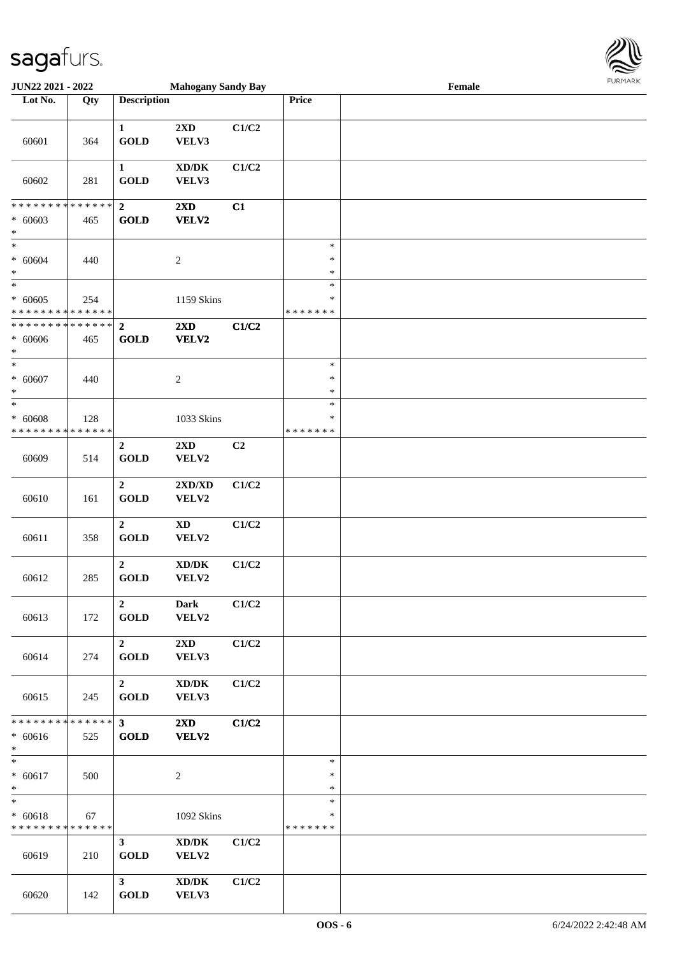

| <b>JUN22 2021 - 2022</b>       |               |                       | <b>Mahogany Sandy Bay</b>           |       |               | Female |  |
|--------------------------------|---------------|-----------------------|-------------------------------------|-------|---------------|--------|--|
| Lot No.                        | Qty           | <b>Description</b>    |                                     |       | <b>Price</b>  |        |  |
|                                |               |                       |                                     |       |               |        |  |
|                                |               | $\mathbf{1}$          | 2XD                                 | C1/C2 |               |        |  |
| 60601                          | 364           | <b>GOLD</b>           | VELV3                               |       |               |        |  |
|                                |               |                       |                                     |       |               |        |  |
|                                |               | $\mathbf{1}$          | $\bold{X}\bold{D}/\bold{D}\bold{K}$ | C1/C2 |               |        |  |
| 60602                          | 281           | <b>GOLD</b>           | VELV3                               |       |               |        |  |
|                                |               |                       |                                     |       |               |        |  |
| * * * * * * * *                | * * * * * *   | $\overline{2}$        | $2\mathbf{X}\mathbf{D}$             | C1    |               |        |  |
| $* 60603$                      | 465           | <b>GOLD</b>           | VELV2                               |       |               |        |  |
| $\ast$                         |               |                       |                                     |       |               |        |  |
| $*$                            |               |                       |                                     |       | $\ast$        |        |  |
|                                |               |                       |                                     |       | $\ast$        |        |  |
| $* 60604$                      | 440           |                       | $\boldsymbol{2}$                    |       |               |        |  |
| $\ast$<br>$_{*}^{-}$           |               |                       |                                     |       | $\ast$        |        |  |
|                                |               |                       |                                     |       | $\ast$        |        |  |
| $* 60605$                      | 254           |                       | 1159 Skins                          |       | $\ast$        |        |  |
| * * * * * * * * <mark>*</mark> | ******        |                       |                                     |       | * * * * * * * |        |  |
| * * * * * * * *                | * * * * * *   | $\overline{2}$        | $2\mathbf{X}\mathbf{D}$             | C1/C2 |               |        |  |
| $* 60606$                      | 465           | <b>GOLD</b>           | <b>VELV2</b>                        |       |               |        |  |
| $\ast$                         |               |                       |                                     |       |               |        |  |
| $\overline{\ast}$              |               |                       |                                     |       | $\ast$        |        |  |
| $* 60607$                      | 440           |                       | $\overline{c}$                      |       | $\ast$        |        |  |
| $\ast$                         |               |                       |                                     |       | $\ast$        |        |  |
| $*$                            |               |                       |                                     |       | $\ast$        |        |  |
| $* 60608$                      | 128           |                       | 1033 Skins                          |       | ∗             |        |  |
| * * * * * * * * * * * * * *    |               |                       |                                     |       | * * * * * * * |        |  |
|                                |               | $\boldsymbol{2}$      | $2\mathbf{X}\mathbf{D}$             | C2    |               |        |  |
| 60609                          | 514           | <b>GOLD</b>           | VELV2                               |       |               |        |  |
|                                |               |                       |                                     |       |               |        |  |
|                                |               | $\overline{2}$        | 2XD/XD                              | C1/C2 |               |        |  |
|                                |               |                       |                                     |       |               |        |  |
| 60610                          | 161           | <b>GOLD</b>           | VELV2                               |       |               |        |  |
|                                |               |                       |                                     |       |               |        |  |
|                                |               | $\overline{2}$        | $\boldsymbol{\mathrm{XD}}$          | C1/C2 |               |        |  |
| 60611                          | 358           | <b>GOLD</b>           | VELV2                               |       |               |        |  |
|                                |               |                       |                                     |       |               |        |  |
|                                |               | $\boldsymbol{2}$      | $\bold{X}\bold{D}/\bold{D}\bold{K}$ | C1/C2 |               |        |  |
| 60612                          | 285           | <b>GOLD</b>           | VELV2                               |       |               |        |  |
|                                |               |                       |                                     |       |               |        |  |
|                                |               | $\overline{2}$        | <b>Dark</b>                         | C1/C2 |               |        |  |
| 60613                          | 172           | $\operatorname{GOLD}$ | VELV2                               |       |               |        |  |
|                                |               |                       |                                     |       |               |        |  |
|                                |               | $\overline{2}$        | $2\mathbf{X}\mathbf{D}$             | C1/C2 |               |        |  |
| 60614                          | 274           | <b>GOLD</b>           | VELV3                               |       |               |        |  |
|                                |               |                       |                                     |       |               |        |  |
|                                |               | $\overline{2}$        | $\bold{X}\bold{D}/\bold{D}\bold{K}$ | C1/C2 |               |        |  |
| 60615                          | 245           | GOLD                  | VELV3                               |       |               |        |  |
|                                |               |                       |                                     |       |               |        |  |
| * * * * * * * *                | * * * * * * * | $3^{\circ}$           | $2\mathbf{X}\mathbf{D}$             | C1/C2 |               |        |  |
| $* 60616$                      | 525           | GOLD                  | VELV2                               |       |               |        |  |
| $*$                            |               |                       |                                     |       |               |        |  |
| $\ast$                         |               |                       |                                     |       | $\ast$        |        |  |
| $* 60617$                      |               |                       |                                     |       | $\ast$        |        |  |
| $\ast$                         | 500           |                       | $\boldsymbol{2}$                    |       | $\ast$        |        |  |
| $\ast$                         |               |                       |                                     |       | $\ast$        |        |  |
|                                |               |                       |                                     |       |               |        |  |
| $* 60618$                      | 67            |                       | 1092 Skins                          |       | $\ast$        |        |  |
| * * * * * * * * * * * * * * *  |               |                       |                                     |       | * * * * * * * |        |  |
|                                |               | 3 <sup>7</sup>        | XD/DK                               | C1/C2 |               |        |  |
| 60619                          | 210           | GOLD                  | VELV2                               |       |               |        |  |
|                                |               |                       |                                     |       |               |        |  |
|                                |               | 3 <sup>7</sup>        | XD/DK                               | C1/C2 |               |        |  |
| 60620                          | 142           | <b>GOLD</b>           | VELV3                               |       |               |        |  |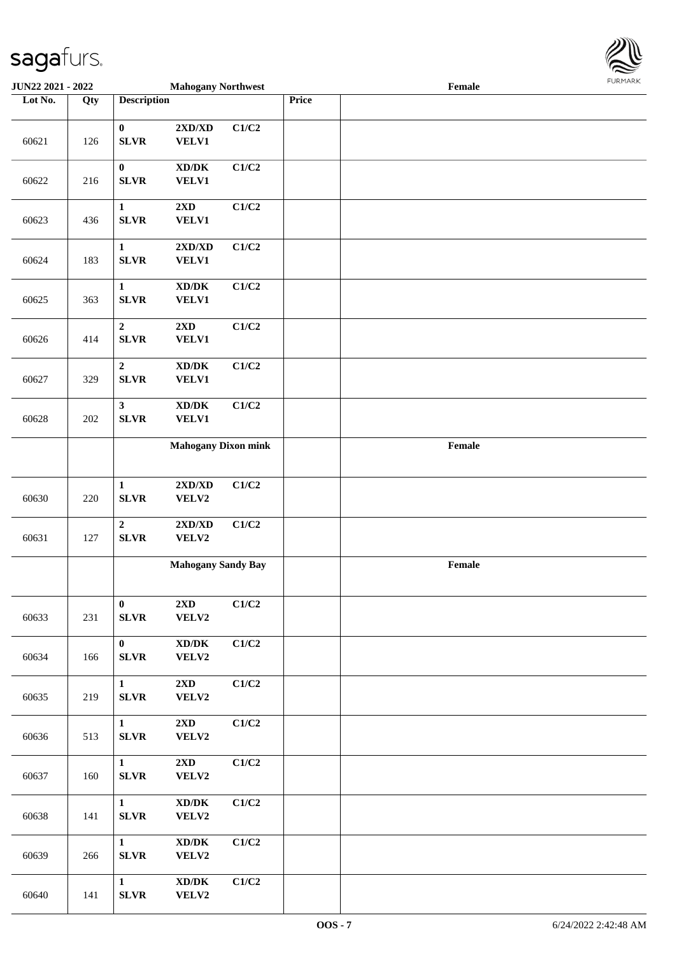

| <b>JUN22 2021 - 2022</b> |     |                                 | <b>Mahogany Northwest</b>                                                        |       |       | Female                                      |  |
|--------------------------|-----|---------------------------------|----------------------------------------------------------------------------------|-------|-------|---------------------------------------------|--|
| Lot No.                  | Qty | <b>Description</b>              |                                                                                  |       | Price |                                             |  |
| 60621                    | 126 | $\pmb{0}$<br><b>SLVR</b>        | $2{\bf X}{\bf D}/{\bf X}{\bf D}$<br><b>VELV1</b>                                 | C1/C2 |       |                                             |  |
| 60622                    | 216 | $\boldsymbol{0}$<br><b>SLVR</b> | $\bold{X}\bold{D}/\bold{D}\bold{K}$<br><b>VELV1</b>                              | C1/C2 |       |                                             |  |
| 60623                    | 436 | $\mathbf{1}$<br><b>SLVR</b>     | $2\mathbf{X}\mathbf{D}$<br>VELV1                                                 | C1/C2 |       |                                             |  |
| 60624                    | 183 | $\mathbf{1}$<br><b>SLVR</b>     | 2XD/XD<br><b>VELV1</b>                                                           | C1/C2 |       |                                             |  |
| 60625                    | 363 | $\mathbf{1}$<br><b>SLVR</b>     | $\bold{X}\bold{D}/\bold{D}\bold{K}$<br><b>VELV1</b>                              | C1/C2 |       |                                             |  |
| 60626                    | 414 | $\boldsymbol{2}$<br><b>SLVR</b> | $2{\bf X}{\bf D}$<br><b>VELV1</b>                                                | C1/C2 |       |                                             |  |
| 60627                    | 329 | $\mathbf 2$<br><b>SLVR</b>      | $\boldsymbol{\mathrm{XD}}\boldsymbol{/}\boldsymbol{\mathrm{DK}}$<br><b>VELV1</b> | C1/C2 |       |                                             |  |
| 60628                    | 202 | $\mathbf{3}$<br><b>SLVR</b>     | $\bold{X}\bold{D}/\bold{D}\bold{K}$<br><b>VELV1</b>                              | C1/C2 |       |                                             |  |
|                          |     |                                 | <b>Mahogany Dixon mink</b>                                                       |       |       | $\ensuremath{\textnormal{\textbf{Female}}}$ |  |
| 60630                    | 220 | $\mathbf{1}$<br><b>SLVR</b>     | $2{\bf X}{\bf D}/{\bf X}{\bf D}$<br>VELV2                                        | C1/C2 |       |                                             |  |
| 60631                    | 127 | $\overline{2}$<br><b>SLVR</b>   | 2XD/XD<br>VELV2                                                                  | C1/C2 |       |                                             |  |
|                          |     |                                 | <b>Mahogany Sandy Bay</b>                                                        |       |       | Female                                      |  |
| 60633                    | 231 | $\bf{0}$<br>SLVR                | 2XD<br>VELV2                                                                     | C1/C2 |       |                                             |  |
| 60634                    | 166 | $\mathbf{0}$<br><b>SLVR</b>     | $\bold{X}\bold{D}/\bold{D}\bold{K}$<br>VELV2                                     | C1/C2 |       |                                             |  |
| 60635                    | 219 | $\mathbf{1}$<br><b>SLVR</b>     | $2\mathbf{X}\mathbf{D}$<br>VELV2                                                 | C1/C2 |       |                                             |  |
| 60636                    | 513 | $\mathbf{1}$<br><b>SLVR</b>     | $2\mathbf{X}\mathbf{D}$<br><b>VELV2</b>                                          | C1/C2 |       |                                             |  |
| 60637                    | 160 | $\mathbf{1}$<br><b>SLVR</b>     | 2XD<br>VELV2                                                                     | C1/C2 |       |                                             |  |
| 60638                    | 141 | $\mathbf{1}$<br><b>SLVR</b>     | $\bold{X}\bold{D}/\bold{D}\bold{K}$<br>VELV2                                     | C1/C2 |       |                                             |  |
| 60639                    | 266 | $\mathbf{1}$<br><b>SLVR</b>     | $\bold{X}\bold{D}/\bold{D}\bold{K}$<br>VELV2                                     | C1/C2 |       |                                             |  |
| 60640                    | 141 | $\mathbf{1}$<br>SLVR            | $\mathbf{X}\mathbf{D}/\mathbf{D}\mathbf{K}$<br><b>VELV2</b>                      | C1/C2 |       |                                             |  |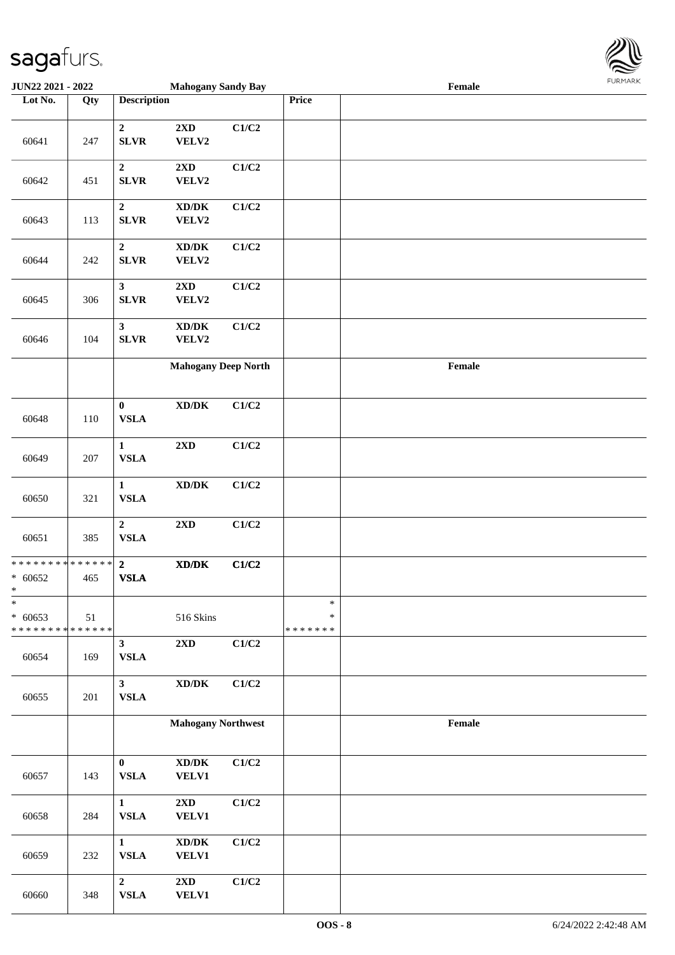

| <b>JUN22 2021 - 2022</b>                                          |     |                                 | <b>Mahogany Sandy Bay</b>                            |       |                              | Female |  |
|-------------------------------------------------------------------|-----|---------------------------------|------------------------------------------------------|-------|------------------------------|--------|--|
| Lot No.                                                           | Qty | <b>Description</b>              |                                                      |       | Price                        |        |  |
| 60641                                                             | 247 | $\mathbf{2}$<br><b>SLVR</b>     | $2\mathbf{X}\mathbf{D}$<br>VELV2                     | C1/C2 |                              |        |  |
| 60642                                                             | 451 | $\boldsymbol{2}$<br><b>SLVR</b> | $2\mathbf{X}\mathbf{D}$<br>VELV2                     | C1/C2 |                              |        |  |
| 60643                                                             | 113 | $\boldsymbol{2}$<br><b>SLVR</b> | $\mathbf{X}\mathbf{D}/\mathbf{D}\mathbf{K}$<br>VELV2 | C1/C2 |                              |        |  |
| 60644                                                             | 242 | $\boldsymbol{2}$<br><b>SLVR</b> | $\mathbf{X}\mathbf{D}/\mathbf{D}\mathbf{K}$<br>VELV2 | C1/C2 |                              |        |  |
| 60645                                                             | 306 | $\mathbf{3}$<br><b>SLVR</b>     | $2\mathbf{X}\mathbf{D}$<br>VELV2                     | C1/C2 |                              |        |  |
| 60646                                                             | 104 | $\mathbf{3}$<br><b>SLVR</b>     | $\mathbf{X}\mathbf{D}/\mathbf{D}\mathbf{K}$<br>VELV2 | C1/C2 |                              |        |  |
|                                                                   |     |                                 | <b>Mahogany Deep North</b>                           |       |                              | Female |  |
| 60648                                                             | 110 | $\pmb{0}$<br><b>VSLA</b>        | $\boldsymbol{\text{XD}/\text{DK}}$                   | C1/C2 |                              |        |  |
| 60649                                                             | 207 | $\mathbf{1}$<br><b>VSLA</b>     | $2\mathbf{X}\mathbf{D}$                              | C1/C2 |                              |        |  |
| 60650                                                             | 321 | $\mathbf{1}$<br>${\bf VSLA}$    | $\bold{X}\bold{D}/\bold{D}\bold{K}$                  | C1/C2 |                              |        |  |
| 60651                                                             | 385 | $\mathbf 2$<br><b>VSLA</b>      | $2{\bf X}{\bf D}$                                    | C1/C2 |                              |        |  |
| * * * * * * * * <mark>* * * * * * *</mark><br>$* 60652$<br>$\ast$ | 465 | $\overline{2}$<br><b>VSLA</b>   | $\boldsymbol{\text{XD/DK}}$                          | C1/C2 |                              |        |  |
| $\ast$<br>$* 60653$<br>* * * * * * * * * * * * * *                | 51  |                                 | 516 Skins                                            |       | $\ast$<br>∗<br>* * * * * * * |        |  |
| 60654                                                             | 169 | 3 <sup>1</sup><br><b>VSLA</b>   | 2XD                                                  | C1/C2 |                              |        |  |
| 60655                                                             | 201 | 3 <sup>1</sup><br>${\bf VSLA}$  | $\bold{X}\bold{D}/\bold{D}\bold{K}$                  | C1/C2 |                              |        |  |
|                                                                   |     |                                 | <b>Mahogany Northwest</b>                            |       |                              | Female |  |
| 60657                                                             | 143 | $\bf{0}$<br><b>VSLA</b>         | $\boldsymbol{\text{XD}/\text{DK}}$<br><b>VELV1</b>   | C1/C2 |                              |        |  |
| 60658                                                             | 284 | $\mathbf{1}$<br>${\bf VSLA}$    | $2\mathbf{X}\mathbf{D}$<br><b>VELV1</b>              | C1/C2 |                              |        |  |
| 60659                                                             | 232 | $\mathbf{1}$<br><b>VSLA</b>     | $\boldsymbol{\text{XD}/\text{DK}}$<br><b>VELV1</b>   | C1/C2 |                              |        |  |
| 60660                                                             | 348 | $\overline{2}$<br>${\bf VSLA}$  | $2\mathbf{X}\mathbf{D}$<br><b>VELV1</b>              | C1/C2 |                              |        |  |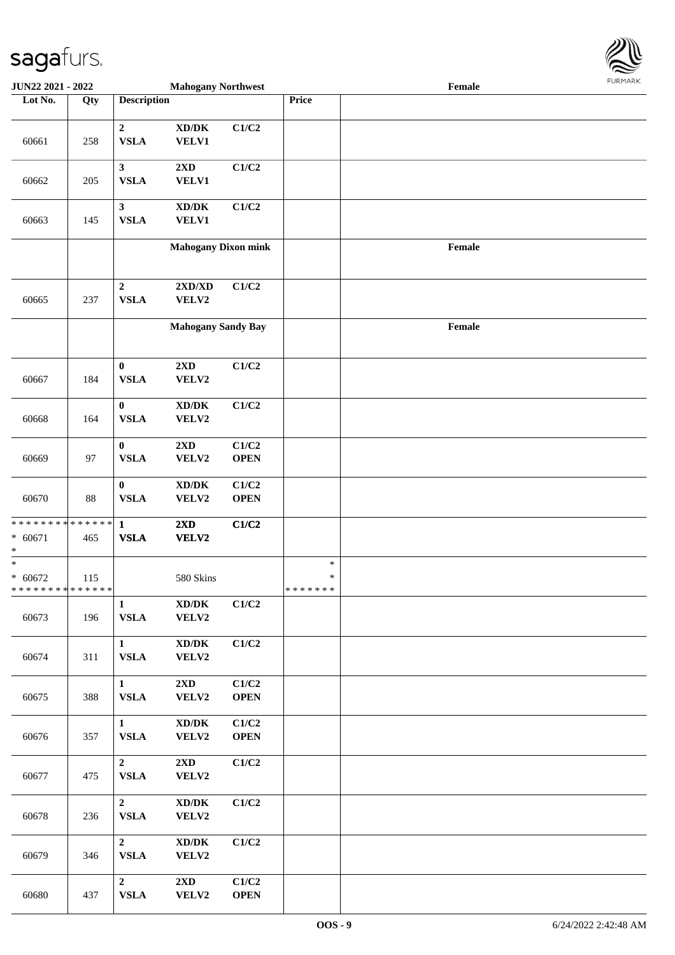

| <b>JUN22 2021 - 2022</b>                                          |     |                               | <b>Mahogany Northwest</b>                           |                      |                             | Female |  |
|-------------------------------------------------------------------|-----|-------------------------------|-----------------------------------------------------|----------------------|-----------------------------|--------|--|
| Lot No.                                                           | Qty | <b>Description</b>            |                                                     |                      | Price                       |        |  |
| 60661                                                             | 258 | $\overline{2}$<br><b>VSLA</b> | $\bold{X}\bold{D}/\bold{D}\bold{K}$<br><b>VELV1</b> | C1/C2                |                             |        |  |
| 60662                                                             | 205 | $\mathbf{3}$<br><b>VSLA</b>   | 2XD<br><b>VELV1</b>                                 | C1/C2                |                             |        |  |
| 60663                                                             | 145 | $\mathbf{3}$<br><b>VSLA</b>   | $\bold{X}\bold{D}/\bold{D}\bold{K}$<br><b>VELV1</b> | C1/C2                |                             |        |  |
|                                                                   |     |                               | <b>Mahogany Dixon mink</b>                          |                      |                             | Female |  |
| 60665                                                             | 237 | $\mathbf 2$<br><b>VSLA</b>    | $2{\bf X}{\bf D}/{\bf X}{\bf D}$<br>VELV2           | C1/C2                |                             |        |  |
|                                                                   |     |                               | <b>Mahogany Sandy Bay</b>                           |                      |                             | Female |  |
| 60667                                                             | 184 | $\bf{0}$<br>${\bf VSLA}$      | 2XD<br>VELV2                                        | C1/C2                |                             |        |  |
| 60668                                                             | 164 | $\bf{0}$<br><b>VSLA</b>       | $\bold{X}\bold{D}/\bold{D}\bold{K}$<br>VELV2        | C1/C2                |                             |        |  |
| 60669                                                             | 97  | $\bf{0}$<br><b>VSLA</b>       | $2{\bf X}{\bf D}$<br>VELV2                          | C1/C2<br><b>OPEN</b> |                             |        |  |
| 60670                                                             | 88  | $\bf{0}$<br><b>VSLA</b>       | $\bold{X}\bold{D}/\bold{D}\bold{K}$<br>VELV2        | C1/C2<br><b>OPEN</b> |                             |        |  |
| * * * * * * * * <mark>* * * * * * *</mark><br>$* 60671$<br>*      | 465 | $\mathbf{1}$<br><b>VSLA</b>   | 2XD<br>VELV2                                        | C1/C2                |                             |        |  |
| $\ast$<br>$* 60672$<br>* * * * * * * * <mark>* * * * * * *</mark> | 115 |                               | 580 Skins                                           |                      | $\ast$<br>$\ast$<br>******* |        |  |
| 60673                                                             | 196 | $\mathbf{1}$<br><b>VSLA</b>   | $\bold{X}\bold{D}/\bold{D}\bold{K}$<br>VELV2        | C1/C2                |                             |        |  |
| 60674                                                             | 311 | $\mathbf{1}$<br><b>VSLA</b>   | $\boldsymbol{\text{XD}/\text{DK}}$<br>VELV2         | C1/C2                |                             |        |  |
| 60675                                                             | 388 | $\mathbf{1}$<br><b>VSLA</b>   | $2{\bf X}{\bf D}$<br>VELV2                          | C1/C2<br><b>OPEN</b> |                             |        |  |
| 60676                                                             | 357 | $\mathbf{1}$<br>${\bf VSLA}$  | $\bold{X}\bold{D}/\bold{D}\bold{K}$<br>VELV2        | C1/C2<br><b>OPEN</b> |                             |        |  |
| 60677                                                             | 475 | $\overline{2}$<br><b>VSLA</b> | $2\mathbf{X}\mathbf{D}$<br>VELV2                    | C1/C2                |                             |        |  |
| 60678                                                             | 236 | $\overline{2}$<br><b>VSLA</b> | $\boldsymbol{\text{XD}/\text{DK}}$<br>VELV2         | C1/C2                |                             |        |  |
| 60679                                                             | 346 | $\overline{2}$<br><b>VSLA</b> | $\boldsymbol{\text{XD}/\text{DK}}$<br>VELV2         | C1/C2                |                             |        |  |
| 60680                                                             | 437 | $\overline{2}$<br><b>VSLA</b> | 2XD<br><b>VELV2</b>                                 | C1/C2<br><b>OPEN</b> |                             |        |  |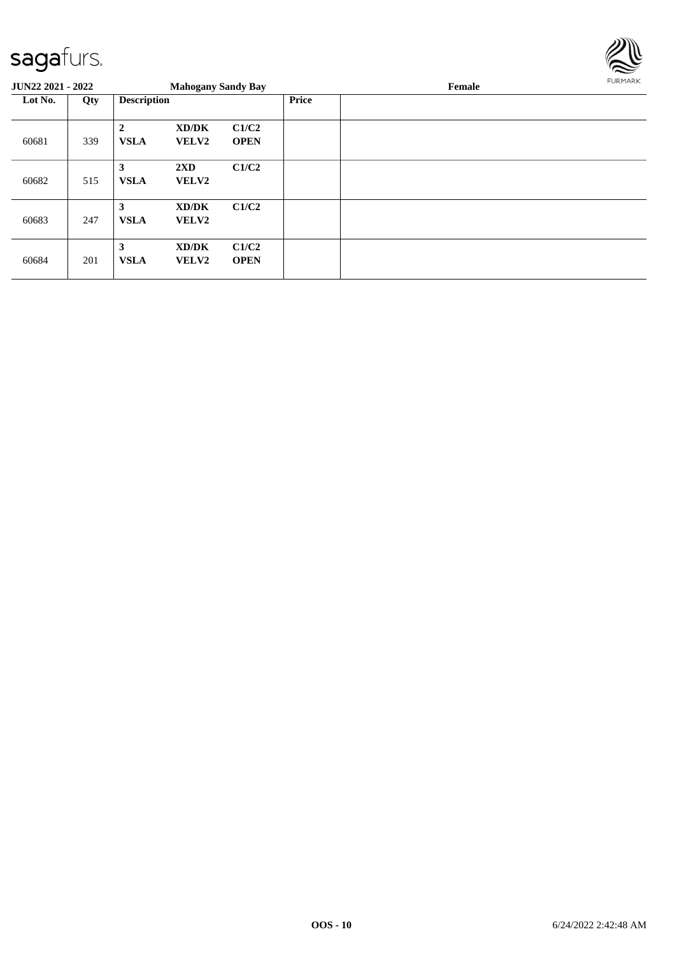

| <b>JUN22 2021 - 2022</b> |     |                             | <b>Mahogany Sandy Bay</b>               |                      |              | FURMARK<br>Female |  |  |  |
|--------------------------|-----|-----------------------------|-----------------------------------------|----------------------|--------------|-------------------|--|--|--|
| Lot No.                  | Qty | <b>Description</b>          |                                         |                      | <b>Price</b> |                   |  |  |  |
| 60681                    | 339 | $\mathbf{2}$<br><b>VSLA</b> | XD/DK<br><b>VELV2</b>                   | C1/C2<br><b>OPEN</b> |              |                   |  |  |  |
| 60682                    | 515 | 3<br><b>VSLA</b>            | $2\mathbf{X}\mathbf{D}$<br><b>VELV2</b> | C1/C2                |              |                   |  |  |  |
| 60683                    | 247 | 3<br><b>VSLA</b>            | XD/DK<br>VELV2                          | C1/C2                |              |                   |  |  |  |
| 60684                    | 201 | 3<br><b>VSLA</b>            | XD/DK<br><b>VELV2</b>                   | C1/C2<br><b>OPEN</b> |              |                   |  |  |  |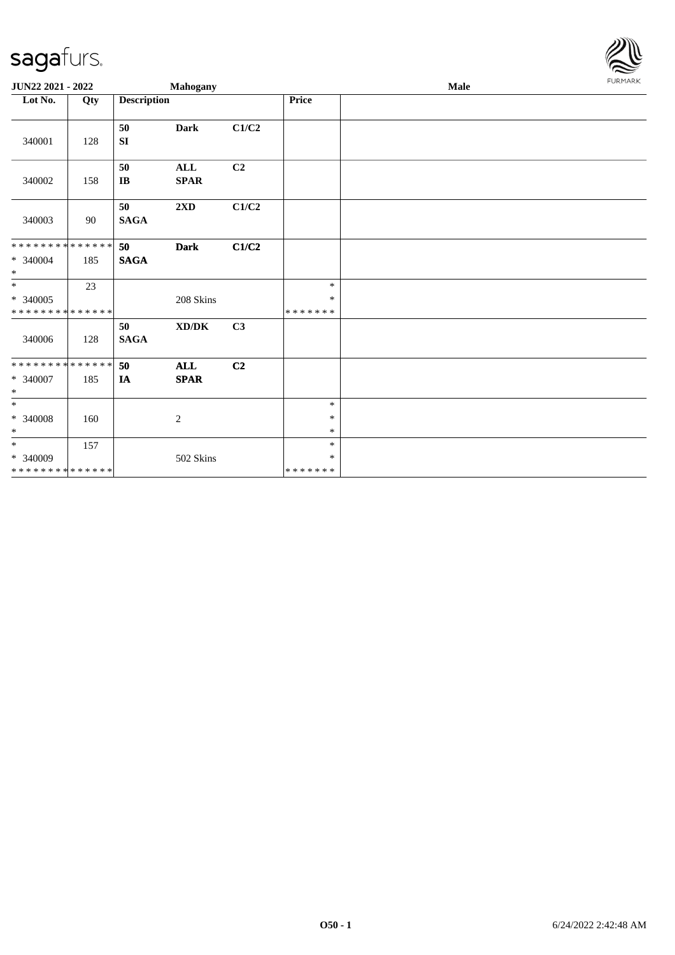

| JUN22 2021 - 2022                                 |     |                    | <b>Mahogany</b>              |       |                              | <b>Male</b> | FURMARK |
|---------------------------------------------------|-----|--------------------|------------------------------|-------|------------------------------|-------------|---------|
| Lot No.                                           | Qty | <b>Description</b> |                              |       | Price                        |             |         |
| 340001                                            | 128 | 50<br><b>SI</b>    | <b>Dark</b>                  | C1/C2 |                              |             |         |
| 340002                                            | 158 | 50<br>$\bf{IB}$    | $\mathbf{ALL}$<br>$\bf SPAR$ | C2    |                              |             |         |
| 340003                                            | 90  | 50<br><b>SAGA</b>  | 2XD                          | C1/C2 |                              |             |         |
| * * * * * * * * * * * * * *<br>* 340004<br>$*$    | 185 | 50<br><b>SAGA</b>  | <b>Dark</b>                  | C1/C2 |                              |             |         |
| $*$<br>$* 340005$<br>* * * * * * * * * * * * * *  | 23  |                    | 208 Skins                    |       | $\ast$<br>*<br>* * * * * * * |             |         |
| 340006                                            | 128 | 50<br><b>SAGA</b>  | XD/DK                        | C3    |                              |             |         |
| * * * * * * * * * * * * * *<br>* 340007<br>$\ast$ | 185 | 50<br>IA           | ALL<br><b>SPAR</b>           | C2    |                              |             |         |
| $\ast$<br>$* 340008$<br>$\ast$                    | 160 |                    | $\sqrt{2}$                   |       | $\ast$<br>$\ast$<br>$\ast$   |             |         |
| $*$<br>$* 340009$<br>* * * * * * * * * * * * * *  | 157 |                    | 502 Skins                    |       | $\ast$<br>*<br>* * * * * * * |             |         |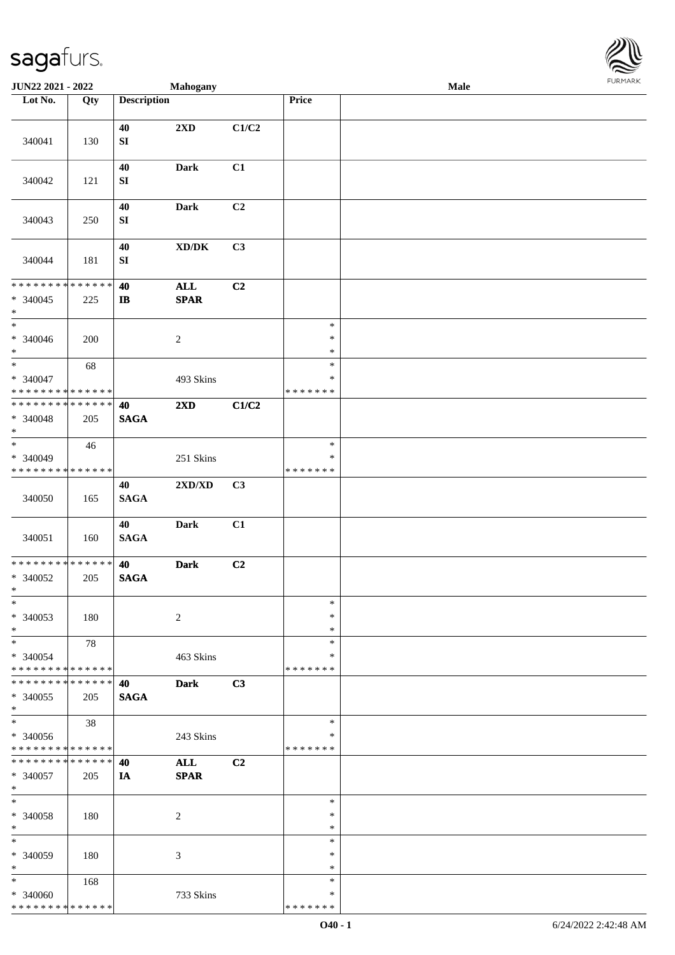

| JUN22 2021 - 2022                                                               |     |                            | Mahogany                            |                |                                   | Male | <b>FURMARK</b> |
|---------------------------------------------------------------------------------|-----|----------------------------|-------------------------------------|----------------|-----------------------------------|------|----------------|
| Lot No.                                                                         | Qty | <b>Description</b>         |                                     |                | Price                             |      |                |
| 340041                                                                          | 130 | 40<br>${\bf S}{\bf I}$     | 2XD                                 | C1/C2          |                                   |      |                |
| 340042                                                                          | 121 | 40<br>${\bf S}{\bf I}$     | <b>Dark</b>                         | C1             |                                   |      |                |
| 340043                                                                          | 250 | 40<br>${\bf S}{\bf I}$     | Dark                                | C2             |                                   |      |                |
| 340044                                                                          | 181 | $40\,$<br>${\bf S}{\bf I}$ | $\bold{X}\bold{D}/\bold{D}\bold{K}$ | C3             |                                   |      |                |
| ******** <mark>******</mark><br>$* 340045$<br>$\ast$                            | 225 | 40<br>$\bf I\bf B$         | $\mathbf{ALL}$<br><b>SPAR</b>       | C2             |                                   |      |                |
| $\overline{\phantom{a}^*}$<br>$* 340046$<br>$\ast$                              | 200 |                            | $\overline{c}$                      |                | $\ast$<br>$\ast$<br>$\ast$        |      |                |
| $\overline{\ast}$<br>* 340047<br>* * * * * * * * * * * * * *                    | 68  |                            | 493 Skins                           |                | $\ast$<br>$\ast$<br>* * * * * * * |      |                |
| * * * * * * * * * * * * * *<br>* 340048<br>$\ast$<br>$\overline{\phantom{a}^*}$ | 205 | 40<br><b>SAGA</b>          | $2\mathbf{X}\mathbf{D}$             | C1/C2          |                                   |      |                |
| * 340049<br>* * * * * * * * * * * * * *                                         | 46  |                            | 251 Skins                           |                | $\ast$<br>$\ast$<br>* * * * * * * |      |                |
| 340050                                                                          | 165 | 40<br><b>SAGA</b>          | 2XD/XD                              | C3             |                                   |      |                |
| 340051                                                                          | 160 | 40<br>$\mathbf{SAGA}$      | Dark                                | C1             |                                   |      |                |
| **************<br>* 340052<br>$\ast$                                            | 205 | 40<br><b>SAGA</b>          | <b>Dark</b>                         | C <sub>2</sub> |                                   |      |                |
| $\ast$<br>$* 340053$<br>$\ast$                                                  | 180 |                            | $\overline{c}$                      |                | $\ast$<br>$\ast$<br>$\ast$        |      |                |
| $\ast$<br>* 340054<br>* * * * * * * * * * * * * *                               | 78  |                            | 463 Skins                           |                | $\ast$<br>*<br>* * * * * * *      |      |                |
| * * * * * * * * * * * * * *<br>$* 340055$<br>$\ast$                             | 205 | 40<br><b>SAGA</b>          | <b>Dark</b>                         | C3             |                                   |      |                |
| $\overline{\phantom{a}}$<br>$* 340056$<br>* * * * * * * * * * * * * *           | 38  |                            | 243 Skins                           |                | $\ast$<br>∗<br>* * * * * * *      |      |                |
| * * * * * * * * * * * * * *<br>$* 340057$<br>$\ast$                             | 205 | 40<br>IA                   | $\mathbf{ALL}$<br><b>SPAR</b>       | C2             |                                   |      |                |
| $\ast$<br>* 340058<br>$\ast$                                                    | 180 |                            | 2                                   |                | $\ast$<br>∗<br>$\ast$             |      |                |
| $\ast$<br>$* 340059$<br>$\ast$                                                  | 180 |                            | 3                                   |                | $\ast$<br>∗<br>$\ast$             |      |                |
| $\ast$<br>* 340060<br>* * * * * * * * * * * * * *                               | 168 |                            | 733 Skins                           |                | $\ast$<br>∗<br>* * * * * * *      |      |                |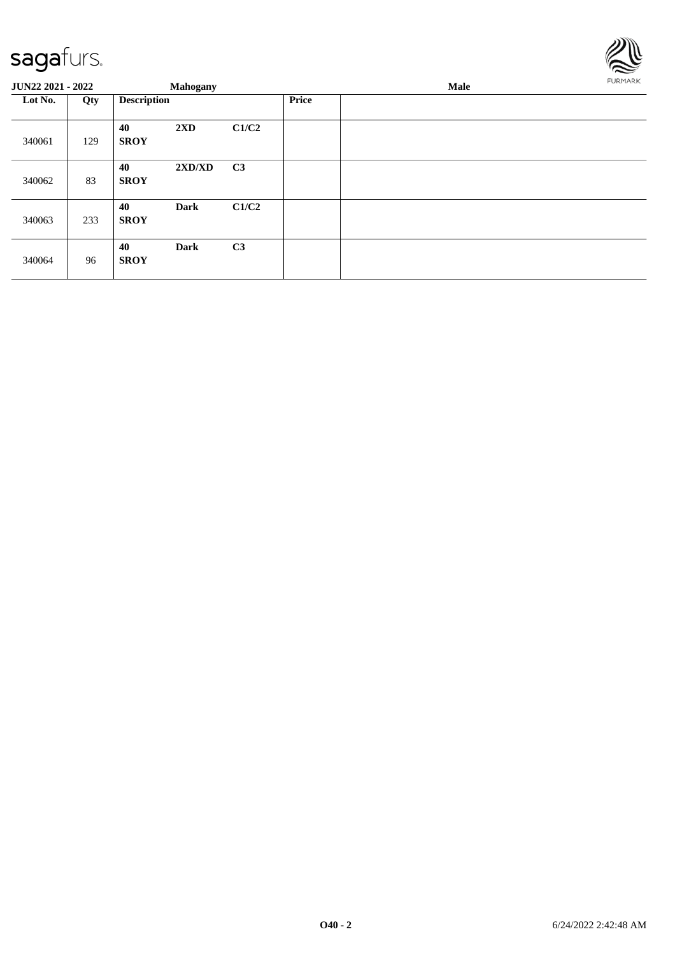

| <b>JUN22 2021 - 2022</b> |     |                    | <b>Mahogany</b> |                |       | Male | FURMARK |
|--------------------------|-----|--------------------|-----------------|----------------|-------|------|---------|
| Lot No.                  | Qty | <b>Description</b> |                 |                | Price |      |         |
| 340061                   | 129 | 40<br><b>SROY</b>  | 2XD             | C1/C2          |       |      |         |
| 340062                   | 83  | 40<br><b>SROY</b>  | 2XD/XD          | C <sub>3</sub> |       |      |         |
| 340063                   | 233 | 40<br><b>SROY</b>  | <b>Dark</b>     | C1/C2          |       |      |         |
| 340064                   | 96  | 40<br><b>SROY</b>  | <b>Dark</b>     | C <sub>3</sub> |       |      |         |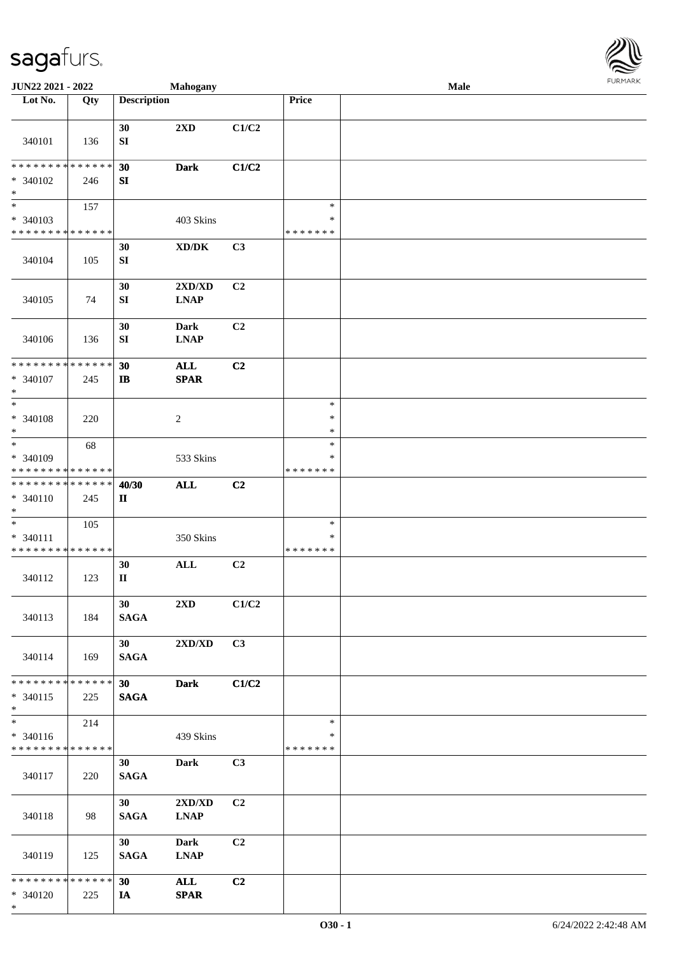

| JUN22 2021 - 2022                       |             |                                | <b>Mahogany</b>                     |                |               | Male |  |
|-----------------------------------------|-------------|--------------------------------|-------------------------------------|----------------|---------------|------|--|
| Lot No.                                 | Qty         | <b>Description</b>             |                                     |                | Price         |      |  |
|                                         |             |                                |                                     |                |               |      |  |
| 340101                                  | 136         | 30<br>${\bf S}{\bf I}$         | 2XD                                 | C1/C2          |               |      |  |
| * * * * * * * *                         | * * * * * * | 30                             | <b>Dark</b>                         | C1/C2          |               |      |  |
| * 340102<br>$\ast$                      | 246         | SI                             |                                     |                |               |      |  |
| $\overline{\phantom{a}^*}$              | 157         |                                |                                     |                | $\ast$        |      |  |
| * 340103                                |             |                                | 403 Skins                           |                | $\ast$        |      |  |
| * * * * * * * *                         | * * * * * * |                                |                                     |                | * * * * * * * |      |  |
|                                         |             | 30                             | $\bold{X}\bold{D}/\bold{D}\bold{K}$ | C3             |               |      |  |
| 340104                                  | 105         | ${\bf S}{\bf I}$               |                                     |                |               |      |  |
|                                         |             | 30                             | 2XD/XD                              | C2             |               |      |  |
| 340105                                  | 74          | SI                             | <b>LNAP</b>                         |                |               |      |  |
|                                         |             | 30                             | <b>Dark</b>                         | C2             |               |      |  |
| 340106                                  | 136         | SI                             | <b>LNAP</b>                         |                |               |      |  |
| ********                                | * * * * * * | 30                             | $\mathbf{ALL}$                      | C2             |               |      |  |
| * 340107                                | 245         | $\mathbf{I}$                   | <b>SPAR</b>                         |                |               |      |  |
| $\ast$                                  |             |                                |                                     |                |               |      |  |
| $\ast$                                  |             |                                |                                     |                | $\ast$        |      |  |
| * 340108                                | 220         |                                | $\sqrt{2}$                          |                | $\ast$        |      |  |
| $\ast$                                  |             |                                |                                     |                | $\ast$        |      |  |
| $\ast$                                  | 68          |                                |                                     |                | $\ast$        |      |  |
| * 340109                                |             |                                | 533 Skins                           |                | $\ast$        |      |  |
| * * * * * * * * * * * * * *             |             |                                |                                     |                | * * * * * * * |      |  |
| * * * * * * * * * * * * * *             |             | 40/30                          | <b>ALL</b>                          | C <sub>2</sub> |               |      |  |
| $* 340110$                              | 245         | $\mathbf{I}\mathbf{I}$         |                                     |                |               |      |  |
| $\ast$                                  |             |                                |                                     |                |               |      |  |
| $\ast$                                  | 105         |                                |                                     |                | $\ast$        |      |  |
| * 340111                                |             |                                | 350 Skins                           |                | $\ast$        |      |  |
| * * * * * * * * * * * * * *             |             |                                |                                     |                | * * * * * * * |      |  |
|                                         |             | 30                             | $\mathbf{ALL}$                      | C2             |               |      |  |
| 340112                                  | 123         | $\mathbf{I}$                   |                                     |                |               |      |  |
|                                         |             |                                |                                     |                |               |      |  |
|                                         |             | 30                             | $2\mathbf{X}\mathbf{D}$             | C1/C2          |               |      |  |
| 340113                                  | 184         | <b>SAGA</b>                    |                                     |                |               |      |  |
|                                         |             |                                |                                     |                |               |      |  |
|                                         |             | 30 <sup>1</sup>                | 2XD/XD                              | C3             |               |      |  |
|                                         |             |                                |                                     |                |               |      |  |
| 340114                                  | 169         | <b>SAGA</b>                    |                                     |                |               |      |  |
| * * * * * * * * * * * * * *             |             |                                |                                     |                |               |      |  |
| $* 340115$                              |             | 30 <sup>1</sup><br><b>SAGA</b> | <b>Dark</b>                         | C1/C2          |               |      |  |
| $*$                                     | 225         |                                |                                     |                |               |      |  |
| $\overline{\phantom{1}}$                | 214         |                                |                                     |                | $\ast$        |      |  |
|                                         |             |                                |                                     |                | *             |      |  |
| * 340116<br>* * * * * * * * * * * * * * |             |                                | 439 Skins                           |                | * * * * * * * |      |  |
|                                         |             |                                |                                     |                |               |      |  |
|                                         |             | 30                             | <b>Dark</b>                         | C3             |               |      |  |
| 340117                                  | 220         | <b>SAGA</b>                    |                                     |                |               |      |  |
|                                         |             |                                |                                     |                |               |      |  |
|                                         |             | 30 <sup>1</sup>                | $2{\bf X}{\bf D}/{\bf X}{\bf D}$    | C <sub>2</sub> |               |      |  |
| 340118                                  | 98          | <b>SAGA</b>                    | <b>LNAP</b>                         |                |               |      |  |
|                                         |             |                                |                                     |                |               |      |  |
|                                         |             | 30 <sup>1</sup>                | <b>Dark</b>                         | C2             |               |      |  |
| 340119                                  | 125         | <b>SAGA</b>                    | <b>LNAP</b>                         |                |               |      |  |
|                                         |             |                                |                                     |                |               |      |  |
| * * * * * * * * * * * * * *             |             | 30                             | <b>ALL</b>                          | C2             |               |      |  |
| * 340120                                | 225         | IA                             | <b>SPAR</b>                         |                |               |      |  |
| $*$                                     |             |                                |                                     |                |               |      |  |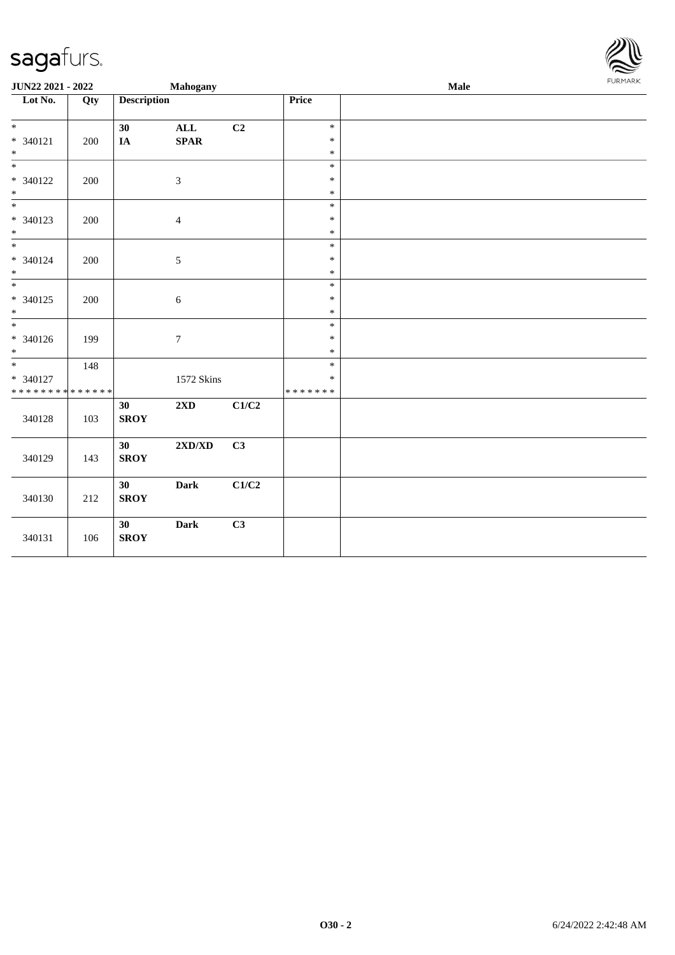

| JUN22 2021 - 2022                                                   |     |                    | Mahogany                         |       |                                   | Male | FURMARK |
|---------------------------------------------------------------------|-----|--------------------|----------------------------------|-------|-----------------------------------|------|---------|
| $\overline{\phantom{1}}$ Lot No.                                    | Qty | <b>Description</b> |                                  |       | Price                             |      |         |
| $\overline{\ast}$<br>$* 340121$<br>$\ast$                           | 200 | 30<br>IA           | <b>ALL</b><br>$\textbf{SPAR}$    | C2    | $\ast$<br>$\ast$<br>$\ast$        |      |         |
| $\overline{\phantom{1}}$<br>* 340122<br>$\ast$                      | 200 |                    | $\sqrt{3}$                       |       | $\ast$<br>$\ast$<br>$\ast$        |      |         |
| $_{\ast}^{-}$<br>$* 340123$<br>$\ast$                               | 200 |                    | $\overline{4}$                   |       | $\ast$<br>$\ast$<br>$\ast$        |      |         |
| $\overline{\ast}$<br>* 340124<br>$\ast$                             | 200 |                    | $\sqrt{5}$                       |       | $\ast$<br>$\ast$<br>$\ast$        |      |         |
| $\overline{\phantom{a}^*}$<br>$* 340125$<br>$*$                     | 200 |                    | $\sqrt{6}$                       |       | $\ast$<br>$\ast$<br>$\ast$        |      |         |
| $\frac{1}{1}$<br>$* 340126$<br>$*$                                  | 199 |                    | $\boldsymbol{7}$                 |       | $\ast$<br>$\ast$<br>$\ast$        |      |         |
| $\overline{\phantom{0}}$<br>* 340127<br>* * * * * * * * * * * * * * | 148 |                    | 1572 Skins                       |       | $\ast$<br>$\ast$<br>* * * * * * * |      |         |
| 340128                                                              | 103 | 30<br><b>SROY</b>  | 2XD                              | C1/C2 |                                   |      |         |
| 340129                                                              | 143 | 30<br><b>SROY</b>  | $2{\bf X}{\bf D}/{\bf X}{\bf D}$ | C3    |                                   |      |         |
| 340130                                                              | 212 | 30<br><b>SROY</b>  | <b>Dark</b>                      | C1/C2 |                                   |      |         |
| 340131                                                              | 106 | 30<br><b>SROY</b>  | <b>Dark</b>                      | C3    |                                   |      |         |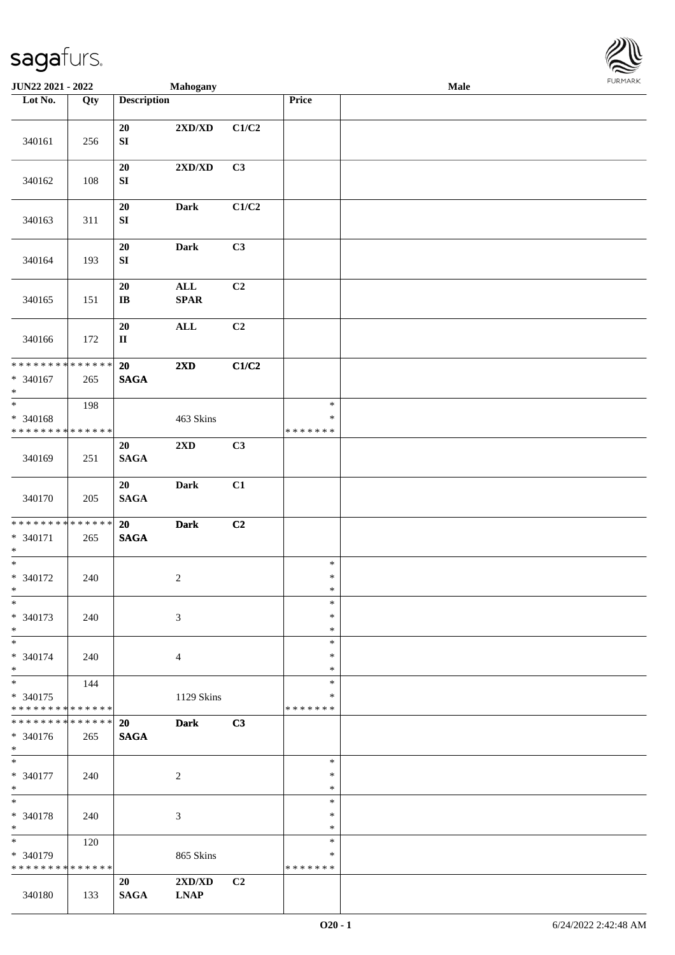

| JUN22 2021 - 2022             |     |                        | Mahogany                         |                |                  | <b>Male</b> |  |
|-------------------------------|-----|------------------------|----------------------------------|----------------|------------------|-------------|--|
| Lot No.                       | Qty | <b>Description</b>     |                                  |                | Price            |             |  |
|                               |     |                        |                                  |                |                  |             |  |
|                               |     | 20                     | $2{\bf X}{\bf D}/{\bf X}{\bf D}$ | C1/C2          |                  |             |  |
| 340161                        | 256 | ${\bf SI}$             |                                  |                |                  |             |  |
|                               |     | $20\,$                 | 2XD/XD                           | C3             |                  |             |  |
| 340162                        | 108 | SI                     |                                  |                |                  |             |  |
|                               |     |                        |                                  |                |                  |             |  |
|                               |     | 20                     | <b>Dark</b>                      | C1/C2          |                  |             |  |
| 340163                        | 311 | SI                     |                                  |                |                  |             |  |
|                               |     |                        |                                  |                |                  |             |  |
|                               |     | $20\,$                 | <b>Dark</b>                      | C3             |                  |             |  |
| 340164                        | 193 | ${\bf SI}$             |                                  |                |                  |             |  |
|                               |     | $20\,$                 | $\mathbf{ALL}$                   | C2             |                  |             |  |
| 340165                        | 151 | $\bf I\bf B$           | SPAR                             |                |                  |             |  |
|                               |     |                        |                                  |                |                  |             |  |
|                               |     | 20                     | $\mathbf{ALL}$                   | C <sub>2</sub> |                  |             |  |
| 340166                        | 172 | $\mathbf{I}\mathbf{I}$ |                                  |                |                  |             |  |
|                               |     |                        |                                  |                |                  |             |  |
| **************                |     | 20                     | 2XD                              | C1/C2          |                  |             |  |
| $* 340167$<br>$\ast$          | 265 | <b>SAGA</b>            |                                  |                |                  |             |  |
| $\overline{\phantom{0}}$      | 198 |                        |                                  |                | $\ast$           |             |  |
| * 340168                      |     |                        | 463 Skins                        |                | $\ast$           |             |  |
| * * * * * * * * * * * * * *   |     |                        |                                  |                | * * * * * * *    |             |  |
|                               |     | 20                     | $2{\bf X}{\bf D}$                | C3             |                  |             |  |
| 340169                        | 251 | $\mathbf{SAGA}$        |                                  |                |                  |             |  |
|                               |     | 20                     | Dark                             | C1             |                  |             |  |
| 340170                        | 205 | $\mathbf{SAGA}$        |                                  |                |                  |             |  |
|                               |     |                        |                                  |                |                  |             |  |
| * * * * * * * * * * * * * *   |     | 20                     | <b>Dark</b>                      | C2             |                  |             |  |
| * 340171                      | 265 | $\mathbf{SAGA}$        |                                  |                |                  |             |  |
| $*$                           |     |                        |                                  |                |                  |             |  |
| $*$                           |     |                        |                                  |                | $\ast$<br>$\ast$ |             |  |
| $* 340172$<br>$*$             | 240 |                        | $\overline{c}$                   |                | $\ast$           |             |  |
| $\ast$                        |     |                        |                                  |                | $\ast$           |             |  |
| * 340173                      | 240 |                        | 3                                |                | $\ast$           |             |  |
| $*$                           |     |                        |                                  |                | $\ast$           |             |  |
| $*$                           |     |                        |                                  |                | $\ast$           |             |  |
| * 340174                      | 240 |                        | $\overline{4}$                   |                | $\ast$           |             |  |
| $*$<br>$*$                    | 144 |                        |                                  |                | $\ast$<br>$\ast$ |             |  |
| * 340175                      |     |                        | 1129 Skins                       |                | $\ast$           |             |  |
| * * * * * * * * * * * * * *   |     |                        |                                  |                | * * * * * * *    |             |  |
| * * * * * * * * * * * * * * * |     | 20                     | <b>Dark</b>                      | C3             |                  |             |  |
| $* 340176$                    | 265 | <b>SAGA</b>            |                                  |                |                  |             |  |
| $*$                           |     |                        |                                  |                |                  |             |  |
| $*$                           |     |                        |                                  |                | $\ast$<br>$\ast$ |             |  |
| * 340177<br>$*$               | 240 |                        | $\overline{c}$                   |                | $\ast$           |             |  |
| $*$                           |     |                        |                                  |                | $\ast$           |             |  |
| * 340178                      | 240 |                        | 3                                |                | $\ast$           |             |  |
| $*$                           |     |                        |                                  |                | $\ast$           |             |  |
| $\ast$                        | 120 |                        |                                  |                | $\ast$           |             |  |
| * 340179                      |     |                        | 865 Skins                        |                | ∗                |             |  |
| * * * * * * * * * * * * * *   |     |                        |                                  | C2             | * * * * * * *    |             |  |
| 340180                        | 133 | 20<br><b>SAGA</b>      | 2XD/XD<br><b>LNAP</b>            |                |                  |             |  |
|                               |     |                        |                                  |                |                  |             |  |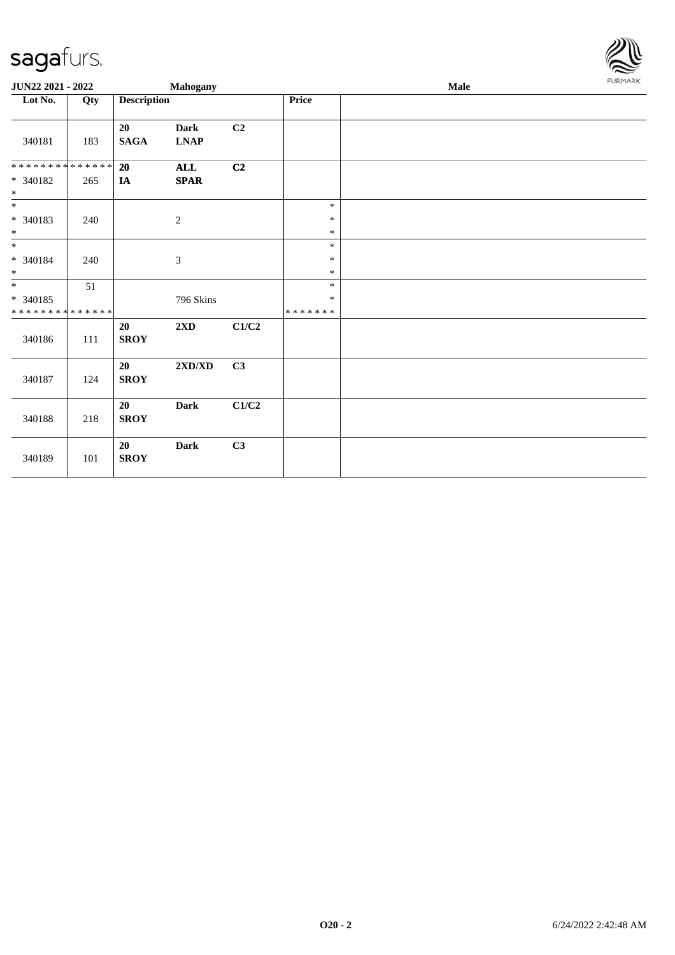

| JUN22 2021 - 2022           |     |                       | Mahogany                                           |       |                  | Male | FURMARK |
|-----------------------------|-----|-----------------------|----------------------------------------------------|-------|------------------|------|---------|
| Lot No.                     | Qty | <b>Description</b>    |                                                    |       | Price            |      |         |
| 340181                      | 183 | 20<br>$\mathbf{SAGA}$ | <b>Dark</b><br>$\ensuremath{\text{L}N\!AP}\xspace$ | C2    |                  |      |         |
| * * * * * * * * * * * * * * |     | 20                    | ALL                                                | C2    |                  |      |         |
| * 340182<br>$*$             | 265 | IA                    | $\pmb{\quad \text{SPAR} \quad}$                    |       |                  |      |         |
| $\overline{\ast}$           |     |                       |                                                    |       | $\ast$           |      |         |
| $* 340183$                  | 240 |                       | $\sqrt{2}$                                         |       | $\ast$           |      |         |
| $*$                         |     |                       |                                                    |       | $\ast$           |      |         |
|                             |     |                       |                                                    |       | $\ast$           |      |         |
| * 340184<br>$\ast$          | 240 |                       | $\boldsymbol{\mathfrak{Z}}$                        |       | $\ast$<br>$\ast$ |      |         |
| $*$                         | 51  |                       |                                                    |       | $\ast$           |      |         |
| $* 340185$                  |     |                       | 796 Skins                                          |       | $\ast$           |      |         |
| * * * * * * * * * * * * * * |     |                       |                                                    |       | *******          |      |         |
| 340186                      | 111 | 20<br><b>SROY</b>     | 2XD                                                | C1/C2 |                  |      |         |
| 340187                      | 124 | 20<br><b>SROY</b>     | $2{\bf X}{\bf D}/{\bf X}{\bf D}$                   | C3    |                  |      |         |
| 340188                      | 218 | 20<br><b>SROY</b>     | <b>Dark</b>                                        | C1/C2 |                  |      |         |
| 340189                      | 101 | 20<br><b>SROY</b>     | Dark                                               | C3    |                  |      |         |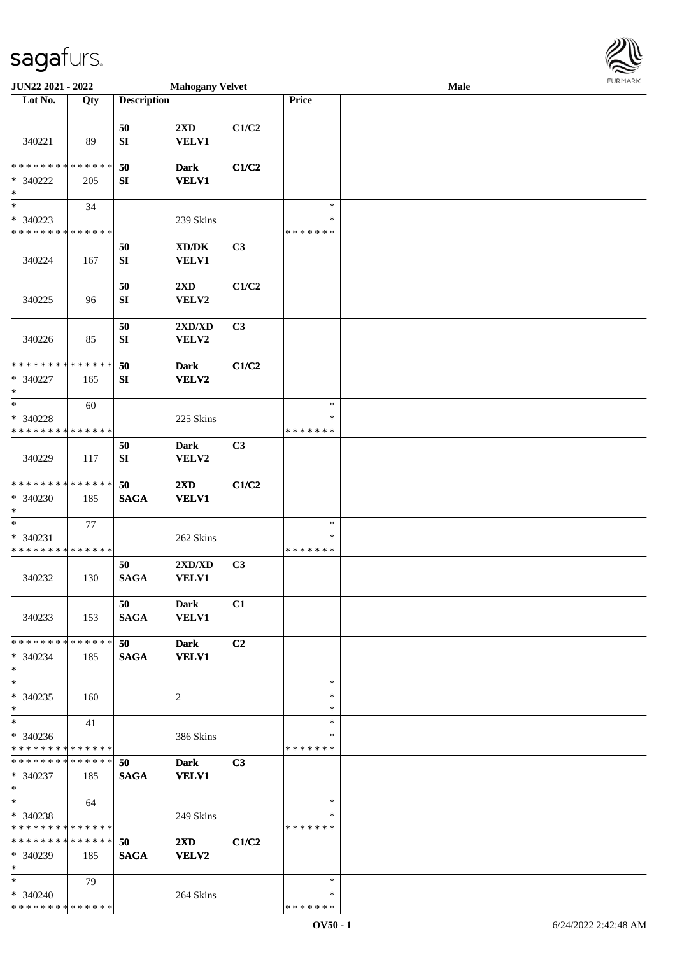\* \* \* \* \* \* \* \* \* \* \* \* \* \* \*

| <b>JUN22 2021 - 2022</b>                   |     |                    | <b>Mahogany Velvet</b>              |                |               | Male | 1.91111111 |
|--------------------------------------------|-----|--------------------|-------------------------------------|----------------|---------------|------|------------|
| Lot No.                                    | Qty | <b>Description</b> |                                     |                | Price         |      |            |
|                                            |     |                    |                                     |                |               |      |            |
|                                            |     | 50                 | 2XD                                 | C1/C2          |               |      |            |
| 340221                                     | 89  | SI                 | <b>VELV1</b>                        |                |               |      |            |
|                                            |     |                    |                                     |                |               |      |            |
| * * * * * * * * <mark>* * * * * * *</mark> |     | 50                 | <b>Dark</b>                         | C1/C2          |               |      |            |
| * 340222                                   | 205 | SI                 | <b>VELV1</b>                        |                |               |      |            |
| $\ast$                                     |     |                    |                                     |                |               |      |            |
| $\ast$                                     |     |                    |                                     |                | $\ast$        |      |            |
|                                            | 34  |                    |                                     |                |               |      |            |
| * 340223                                   |     |                    | 239 Skins                           |                | ∗             |      |            |
| * * * * * * * * <mark>* * * * * * *</mark> |     |                    |                                     |                | * * * * * * * |      |            |
|                                            |     | 50                 | $\bold{X}\bold{D}/\bold{D}\bold{K}$ | C <sub>3</sub> |               |      |            |
| 340224                                     | 167 | SI                 | VELV1                               |                |               |      |            |
|                                            |     |                    |                                     |                |               |      |            |
|                                            |     | 50                 | $2\mathbf{X}\mathbf{D}$             | C1/C2          |               |      |            |
| 340225                                     | 96  | ${\bf SI}$         | VELV2                               |                |               |      |            |
|                                            |     |                    |                                     |                |               |      |            |
|                                            |     | 50                 | 2XD/XD                              | C3             |               |      |            |
| 340226                                     | 85  | SI                 | VELV2                               |                |               |      |            |
|                                            |     |                    |                                     |                |               |      |            |
|                                            |     |                    |                                     |                |               |      |            |
| * * * * * * * * <mark>* * * * * * *</mark> |     | 50                 | <b>Dark</b>                         | C1/C2          |               |      |            |
| * 340227                                   | 165 | SI                 | <b>VELV2</b>                        |                |               |      |            |
| $\ast$                                     |     |                    |                                     |                |               |      |            |
| $\ast$                                     | 60  |                    |                                     |                | $\ast$        |      |            |
| * 340228                                   |     |                    | 225 Skins                           |                | ∗             |      |            |
| * * * * * * * * <mark>* * * * * * *</mark> |     |                    |                                     |                | * * * * * * * |      |            |
|                                            |     | 50                 | Dark                                | C3             |               |      |            |
| 340229                                     | 117 | SI                 | VELV2                               |                |               |      |            |
|                                            |     |                    |                                     |                |               |      |            |
| * * * * * * * * <mark>* * * * * *</mark>   |     | 50                 | $2\mathbf{X}\mathbf{D}$             | C1/C2          |               |      |            |
| $* 340230$                                 | 185 | <b>SAGA</b>        | <b>VELV1</b>                        |                |               |      |            |
| $\ast$                                     |     |                    |                                     |                |               |      |            |
| $\ast$                                     |     |                    |                                     |                | $\ast$        |      |            |
|                                            | 77  |                    |                                     |                |               |      |            |
| $* 340231$                                 |     |                    | 262 Skins                           |                | ∗             |      |            |
| * * * * * * * * <mark>* * * * * * *</mark> |     |                    |                                     |                | * * * * * * * |      |            |
|                                            |     | 50                 | $2{\bf X}{\bf D}/{\bf X}{\bf D}$    | C3             |               |      |            |
| 340232                                     | 130 | <b>SAGA</b>        | <b>VELV1</b>                        |                |               |      |            |
|                                            |     |                    |                                     |                |               |      |            |
|                                            |     | 50                 | Dark                                | C1             |               |      |            |
| 340233                                     | 153 | <b>SAGA</b>        | <b>VELV1</b>                        |                |               |      |            |
|                                            |     |                    |                                     |                |               |      |            |
| * * * * * * * * * * * * * * <mark>*</mark> |     | 50                 | <b>Dark</b>                         | C2             |               |      |            |
| * 340234                                   | 185 | <b>SAGA</b>        | <b>VELV1</b>                        |                |               |      |            |
| $*$                                        |     |                    |                                     |                |               |      |            |
| $\ast$                                     |     |                    |                                     |                | $\ast$        |      |            |
| * 340235                                   | 160 |                    | 2                                   |                | *             |      |            |
| $\ast$                                     |     |                    |                                     |                | *             |      |            |
| $\overline{\mathbf{r}}$                    |     |                    |                                     |                | $\ast$        |      |            |
|                                            | 41  |                    |                                     |                |               |      |            |
| * 340236                                   |     |                    | 386 Skins                           |                | ∗             |      |            |
| * * * * * * * * <mark>* * * * * *</mark> * |     |                    |                                     |                | * * * * * * * |      |            |
| * * * * * * * * * * * * * * <mark>*</mark> |     | 50                 | <b>Dark</b>                         | C3             |               |      |            |
| * 340237                                   | 185 | <b>SAGA</b>        | <b>VELV1</b>                        |                |               |      |            |
| $*$ $-$                                    |     |                    |                                     |                |               |      |            |
| $*$                                        | 64  |                    |                                     |                | $\ast$        |      |            |
| * 340238                                   |     |                    | 249 Skins                           |                | *             |      |            |
| * * * * * * * * <mark>* * * * * *</mark>   |     |                    |                                     |                | *******       |      |            |
| * * * * * * * * * * * * * * *              |     | 50                 | $2\mathbf{X}\mathbf{D}$             | C1/C2          |               |      |            |
| * 340239                                   | 185 | <b>SAGA</b>        | <b>VELV2</b>                        |                |               |      |            |
| $*$                                        |     |                    |                                     |                |               |      |            |
| $*$                                        |     |                    |                                     |                | $\ast$        |      |            |
|                                            | 79  |                    |                                     |                |               |      |            |
| * 340240                                   |     |                    | 264 Skins                           |                | $\ast$        |      |            |

\* \* \* \* \* \* \*

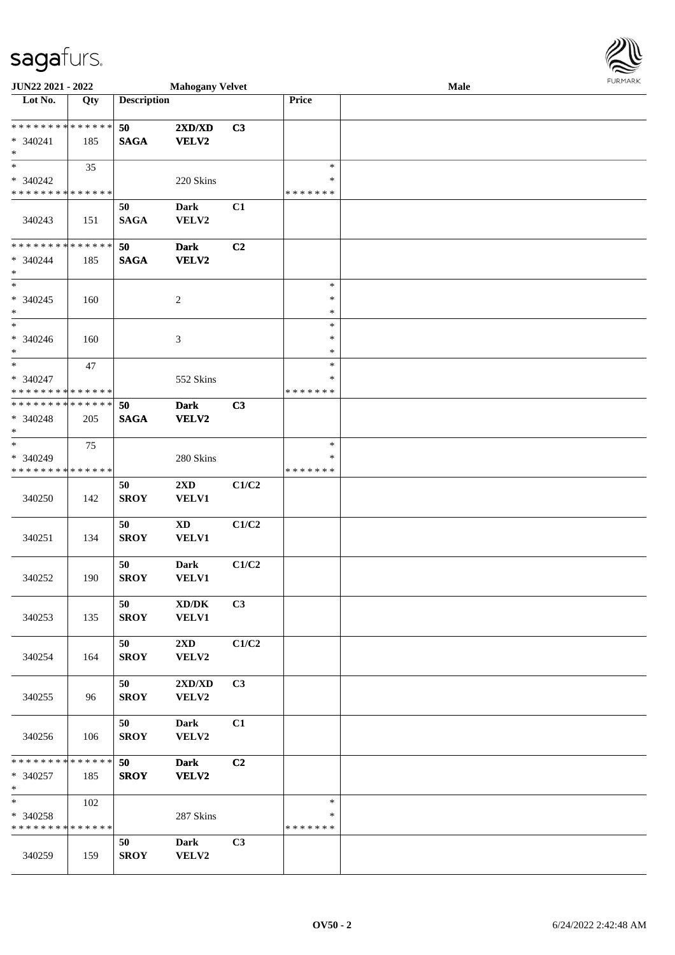| JUN22 2021 - 2022                                                     |     |                    | <b>Mahogany Velvet</b>           |       |                                   | Male | <b>FURPIARA</b> |
|-----------------------------------------------------------------------|-----|--------------------|----------------------------------|-------|-----------------------------------|------|-----------------|
| Lot No.                                                               | Qty | <b>Description</b> |                                  |       | Price                             |      |                 |
| * * * * * * * * <mark>* * * * * * *</mark><br>* 340241<br>$*$         | 185 | 50<br><b>SAGA</b>  | 2XD/XD<br><b>VELV2</b>           | C3    |                                   |      |                 |
| $*$<br>* 340242<br>* * * * * * * * * * * * * *                        | 35  |                    | 220 Skins                        |       | $\ast$<br>$\ast$<br>* * * * * * * |      |                 |
| 340243                                                                | 151 | 50<br><b>SAGA</b>  | <b>Dark</b><br>VELV2             | C1    |                                   |      |                 |
| * * * * * * * * <mark>* * * * * * *</mark><br>* 340244<br>$*$         | 185 | 50<br><b>SAGA</b>  | <b>Dark</b><br><b>VELV2</b>      | C2    |                                   |      |                 |
| $* 340245$<br>$*$                                                     | 160 |                    | $\overline{c}$                   |       | $\ast$<br>$\ast$<br>$\ast$        |      |                 |
| $*$<br>$* 340246$<br>$*$                                              | 160 |                    | $\mathfrak{Z}$                   |       | $\ast$<br>$\ast$<br>$\ast$        |      |                 |
| $\overline{\phantom{0}}$<br>$* 340247$<br>* * * * * * * * * * * * * * | 47  |                    | 552 Skins                        |       | $\ast$<br>∗<br>* * * * * * *      |      |                 |
| * * * * * * * * <mark>* * * * * * *</mark><br>* 340248<br>$*$         | 205 | 50<br><b>SAGA</b>  | <b>Dark</b><br><b>VELV2</b>      | C3    |                                   |      |                 |
| $*$<br>* 340249<br>* * * * * * * * * * * * * *                        | 75  |                    | 280 Skins                        |       | $\ast$<br>$\ast$<br>* * * * * * * |      |                 |
| 340250                                                                | 142 | 50<br><b>SROY</b>  | 2XD<br><b>VELV1</b>              | C1/C2 |                                   |      |                 |
| 340251                                                                | 134 | 50<br><b>SROY</b>  | <b>XD</b><br>VELV1               | C1/C2 |                                   |      |                 |
| 340252                                                                | 190 | 50<br><b>SROY</b>  | <b>Dark</b><br>VELV1             | C1/C2 |                                   |      |                 |
| 340253                                                                | 135 | 50<br><b>SROY</b>  | XD/DK<br><b>VELV1</b>            | C3    |                                   |      |                 |
| 340254                                                                | 164 | 50<br><b>SROY</b>  | $2\mathbf{X}\mathbf{D}$<br>VELV2 | C1/C2 |                                   |      |                 |
| 340255                                                                | 96  | 50<br><b>SROY</b>  | 2XD/XD<br>VELV2                  | C3    |                                   |      |                 |
| 340256                                                                | 106 | 50<br><b>SROY</b>  | <b>Dark</b><br>VELV2             | C1    |                                   |      |                 |
| * * * * * * * * * * * * * *<br>* 340257<br>$*$                        | 185 | 50<br><b>SROY</b>  | <b>Dark</b><br>VELV2             | C2    |                                   |      |                 |
| $\ast$<br>* 340258<br>* * * * * * * * * * * * * *                     | 102 |                    | 287 Skins                        |       | $\ast$<br>∗<br>* * * * * * *      |      |                 |
| 340259                                                                | 159 | 50<br><b>SROY</b>  | <b>Dark</b><br>VELV2             | C3    |                                   |      |                 |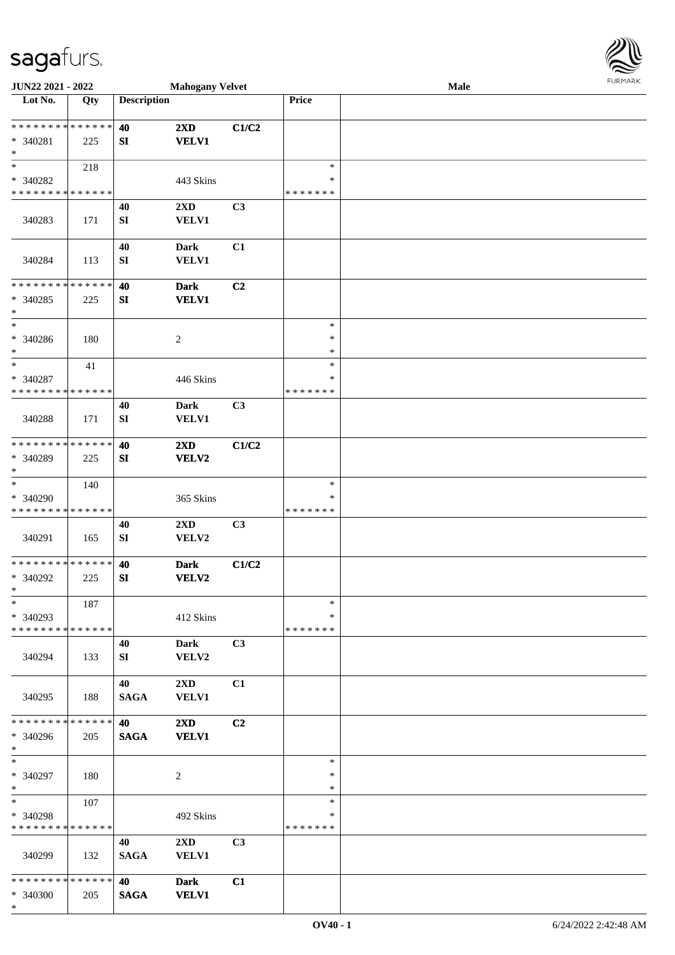

| JUN22 2021 - 2022                       |     |                        | <b>Mahogany Velvet</b>                  |       |                  | Male | 101111111111 |
|-----------------------------------------|-----|------------------------|-----------------------------------------|-------|------------------|------|--------------|
| Lot No.                                 | Qty | <b>Description</b>     |                                         |       | Price            |      |              |
|                                         |     |                        |                                         |       |                  |      |              |
| * * * * * * * * * * * * * *             |     | 40                     | 2XD                                     | C1/C2 |                  |      |              |
| * 340281                                | 225 | SI                     | <b>VELV1</b>                            |       |                  |      |              |
| $\ast$                                  |     |                        |                                         |       |                  |      |              |
| $\ast$                                  | 218 |                        |                                         |       | $\ast$           |      |              |
| * 340282                                |     |                        | 443 Skins                               |       | ∗                |      |              |
| * * * * * * * * * * * * * *             |     |                        |                                         |       | * * * * * * *    |      |              |
|                                         |     | 40                     | 2XD                                     | C3    |                  |      |              |
| 340283                                  | 171 | SI                     | <b>VELV1</b>                            |       |                  |      |              |
|                                         |     |                        |                                         |       |                  |      |              |
|                                         |     | 40                     | <b>Dark</b>                             | C1    |                  |      |              |
| 340284                                  | 113 | ${\bf S}{\bf I}$       | <b>VELV1</b>                            |       |                  |      |              |
|                                         |     |                        |                                         |       |                  |      |              |
| * * * * * * * * * * * * * *             |     | 40                     | <b>Dark</b>                             | C2    |                  |      |              |
| $* 340285$                              | 225 | SI                     | <b>VELV1</b>                            |       |                  |      |              |
| $\ast$<br>$\overline{\phantom{1}}$      |     |                        |                                         |       |                  |      |              |
|                                         |     |                        |                                         |       | $\ast$           |      |              |
| $* 340286$                              | 180 |                        | $\sqrt{2}$                              |       | $\ast$           |      |              |
| $\ast$<br>$\ast$                        |     |                        |                                         |       | $\ast$<br>$\ast$ |      |              |
|                                         | 41  |                        |                                         |       | *                |      |              |
| * 340287<br>* * * * * * * * * * * * * * |     |                        | 446 Skins                               |       | * * * * * * *    |      |              |
|                                         |     |                        |                                         |       |                  |      |              |
|                                         |     | 40                     | <b>Dark</b>                             | C3    |                  |      |              |
| 340288                                  | 171 | SI                     | <b>VELV1</b>                            |       |                  |      |              |
| * * * * * * * * * * * * * *             |     |                        |                                         |       |                  |      |              |
| * 340289                                |     | 40<br>${\bf S}{\bf I}$ | $2\mathbf{X}\mathbf{D}$<br><b>VELV2</b> | C1/C2 |                  |      |              |
| $\ast$                                  | 225 |                        |                                         |       |                  |      |              |
| $\ast$                                  | 140 |                        |                                         |       | $\ast$           |      |              |
| * 340290                                |     |                        | 365 Skins                               |       | ∗                |      |              |
| * * * * * * * * * * * * * *             |     |                        |                                         |       | * * * * * * *    |      |              |
|                                         |     | 40                     | 2XD                                     | C3    |                  |      |              |
| 340291                                  | 165 | ${\bf S}{\bf I}$       | VELV2                                   |       |                  |      |              |
|                                         |     |                        |                                         |       |                  |      |              |
| **************                          |     | 40                     | <b>Dark</b>                             | C1/C2 |                  |      |              |
| * 340292                                | 225 | SI                     | <b>VELV2</b>                            |       |                  |      |              |
| $*$                                     |     |                        |                                         |       |                  |      |              |
| $\ast$                                  | 187 |                        |                                         |       | $\ast$           |      |              |
| * 340293                                |     |                        | 412 Skins                               |       | *                |      |              |
| * * * * * * * * * * * * * *             |     |                        |                                         |       | * * * * * * *    |      |              |
|                                         |     | 40                     | <b>Dark</b>                             | C3    |                  |      |              |
| 340294                                  | 133 | SI                     | VELV2                                   |       |                  |      |              |
|                                         |     |                        |                                         |       |                  |      |              |
|                                         |     | 40                     | 2XD                                     | C1    |                  |      |              |
| 340295                                  | 188 | <b>SAGA</b>            | <b>VELV1</b>                            |       |                  |      |              |
|                                         |     |                        |                                         |       |                  |      |              |
| * * * * * * * * * * * * * *             |     | 40                     | 2XD                                     | C2    |                  |      |              |
| * 340296                                | 205 | <b>SAGA</b>            | <b>VELV1</b>                            |       |                  |      |              |
| $\ast$                                  |     |                        |                                         |       |                  |      |              |
| $\ast$                                  |     |                        |                                         |       | $\ast$<br>∗      |      |              |
| * 340297                                | 180 |                        | $\overline{c}$                          |       | $\ast$           |      |              |
| $*$<br>$\ast$                           | 107 |                        |                                         |       | $\ast$           |      |              |
| * 340298                                |     |                        | 492 Skins                               |       | ∗                |      |              |
| * * * * * * * * * * * * * *             |     |                        |                                         |       | * * * * * * *    |      |              |
|                                         |     | 40                     | $2\mathbf{X}\mathbf{D}$                 | C3    |                  |      |              |
| 340299                                  | 132 | <b>SAGA</b>            | <b>VELV1</b>                            |       |                  |      |              |
|                                         |     |                        |                                         |       |                  |      |              |
| * * * * * * * * * * * * * *             |     | 40                     | <b>Dark</b>                             | C1    |                  |      |              |
| * 340300                                | 205 | <b>SAGA</b>            | <b>VELV1</b>                            |       |                  |      |              |
| $*$                                     |     |                        |                                         |       |                  |      |              |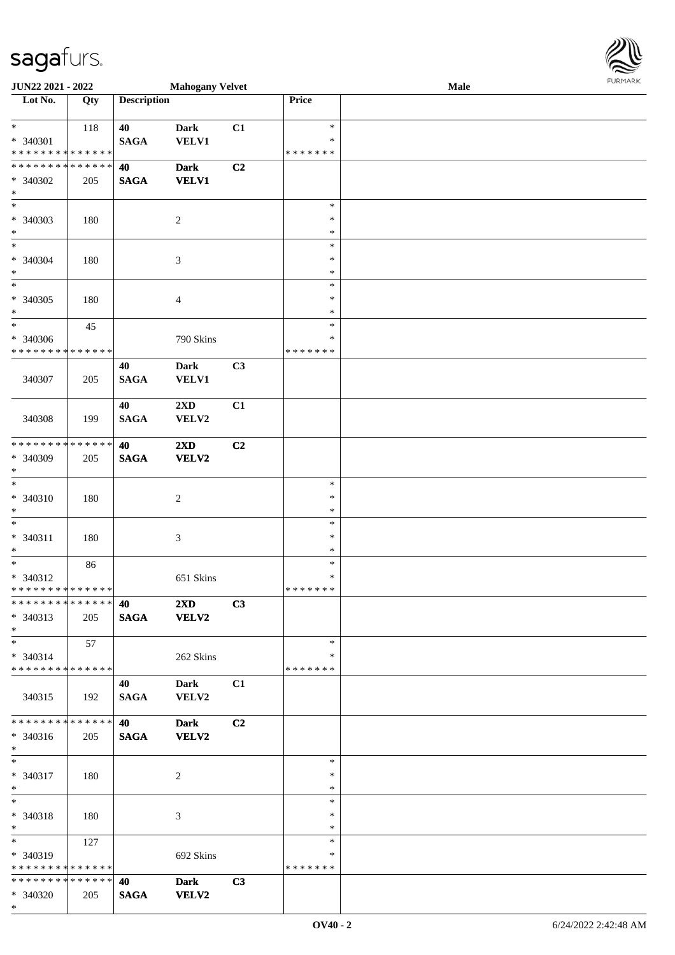\*

| <b>JUN22 2021 - 2022</b>                                 |     |                    | <b>Mahogany Velvet</b>      |                |                         | Male | <b>FURPIARA</b> |
|----------------------------------------------------------|-----|--------------------|-----------------------------|----------------|-------------------------|------|-----------------|
| Lot No.                                                  | Qty | <b>Description</b> |                             |                | Price                   |      |                 |
|                                                          |     |                    |                             |                |                         |      |                 |
| $*$                                                      | 118 | 40                 | <b>Dark</b>                 | C1             | $\ast$                  |      |                 |
| * 340301<br>* * * * * * * * <mark>* * * * * *</mark>     |     | <b>SAGA</b>        | <b>VELV1</b>                |                | $\ast$<br>* * * * * * * |      |                 |
| * * * * * * * * <mark>* * * * * * *</mark>               |     | 40                 | <b>Dark</b>                 | C2             |                         |      |                 |
| * 340302                                                 | 205 | <b>SAGA</b>        | <b>VELV1</b>                |                |                         |      |                 |
| $\ast$                                                   |     |                    |                             |                |                         |      |                 |
| $\ast$                                                   |     |                    |                             |                | $\ast$                  |      |                 |
| * 340303                                                 | 180 |                    | 2                           |                | $\ast$                  |      |                 |
| $\ast$                                                   |     |                    |                             |                | $\ast$                  |      |                 |
| $\overline{\ast}$                                        |     |                    |                             |                | $\ast$                  |      |                 |
| * 340304                                                 | 180 |                    | $\mathfrak{Z}$              |                | ∗                       |      |                 |
| $\ast$                                                   |     |                    |                             |                | ∗                       |      |                 |
| $\overline{\phantom{0}}$                                 |     |                    |                             |                | $\ast$                  |      |                 |
| * 340305                                                 | 180 |                    | $\overline{4}$              |                | $\ast$                  |      |                 |
| $\ast$<br>$\ddot{x}$                                     |     |                    |                             |                | $\ast$                  |      |                 |
|                                                          | 45  |                    |                             |                | $\ast$<br>$\ast$        |      |                 |
| * 340306<br>* * * * * * * * * * * * * * *                |     |                    | 790 Skins                   |                | * * * * * * *           |      |                 |
|                                                          |     | 40                 | <b>Dark</b>                 | C3             |                         |      |                 |
| 340307                                                   | 205 | <b>SAGA</b>        | <b>VELV1</b>                |                |                         |      |                 |
|                                                          |     |                    |                             |                |                         |      |                 |
|                                                          |     | 40                 | 2XD                         | C1             |                         |      |                 |
| 340308                                                   | 199 | <b>SAGA</b>        | VELV2                       |                |                         |      |                 |
|                                                          |     |                    |                             |                |                         |      |                 |
| * * * * * * * * <mark>* * * * * * *</mark>               |     | 40                 | 2XD                         | C2             |                         |      |                 |
| * 340309                                                 | 205 | <b>SAGA</b>        | <b>VELV2</b>                |                |                         |      |                 |
| $\ast$                                                   |     |                    |                             |                |                         |      |                 |
| $\ast$                                                   |     |                    |                             |                | $\ast$                  |      |                 |
| * 340310<br>$\ast$                                       | 180 |                    | $\overline{c}$              |                | ∗                       |      |                 |
| $\ast$                                                   |     |                    |                             |                | *<br>$\ast$             |      |                 |
| * 340311                                                 | 180 |                    | 3                           |                | ∗                       |      |                 |
| $\ast$                                                   |     |                    |                             |                | $\ast$                  |      |                 |
| $*$                                                      | 86  |                    |                             |                | $\ast$                  |      |                 |
| * 340312                                                 |     |                    | 651 Skins                   |                | ∗                       |      |                 |
| * * * * * * * * <mark>* * * * * *</mark>                 |     |                    |                             |                | * * * * * * *           |      |                 |
| * * * * * * * * * * * * * * <mark>*</mark>               |     | 40                 | $2\mathbf{X}\mathbf{D}$     | C3             |                         |      |                 |
| * 340313                                                 | 205 | <b>SAGA</b>        | <b>VELV2</b>                |                |                         |      |                 |
| $\ast$                                                   |     |                    |                             |                |                         |      |                 |
| $\ast$                                                   | 57  |                    |                             |                | $\ast$                  |      |                 |
| $* 340314$<br>* * * * * * * * * * * * * * <mark>*</mark> |     |                    | 262 Skins                   |                | *                       |      |                 |
|                                                          |     |                    |                             |                | * * * * * * *           |      |                 |
| 340315                                                   | 192 | 40<br><b>SAGA</b>  | <b>Dark</b><br><b>VELV2</b> | C1             |                         |      |                 |
|                                                          |     |                    |                             |                |                         |      |                 |
| * * * * * * * * * * * * * * <mark>*</mark>               |     | 40                 | <b>Dark</b>                 | C <sub>2</sub> |                         |      |                 |
| * 340316                                                 | 205 | <b>SAGA</b>        | <b>VELV2</b>                |                |                         |      |                 |
| $\ast$                                                   |     |                    |                             |                |                         |      |                 |
| $\ast$                                                   |     |                    |                             |                | $\ast$                  |      |                 |
| * 340317                                                 | 180 |                    | 2                           |                | ∗                       |      |                 |
| $\ast$                                                   |     |                    |                             |                | $\ast$                  |      |                 |
| $*$                                                      |     |                    |                             |                | $\ast$                  |      |                 |
| * 340318                                                 | 180 |                    | 3                           |                | $\ast$                  |      |                 |
| $*$<br>$*$                                               |     |                    |                             |                | $\ast$<br>$\ast$        |      |                 |
| * 340319                                                 | 127 |                    |                             |                | *                       |      |                 |
| * * * * * * * * <mark>* * * * * *</mark>                 |     |                    | 692 Skins                   |                | *******                 |      |                 |
| * * * * * * * * * * * * * * <mark>*</mark>               |     | 40                 | <b>Dark</b>                 | C3             |                         |      |                 |
| * 340320                                                 | 205 | <b>SAGA</b>        | <b>VELV2</b>                |                |                         |      |                 |

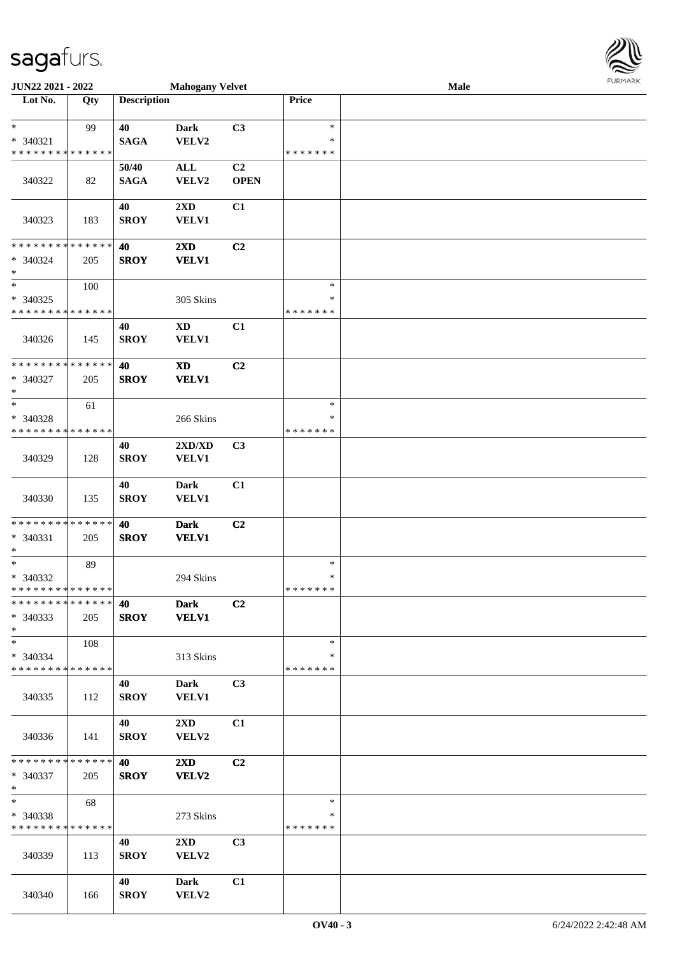| <b>JUN22 2021 - 2022</b>                   |     |                    | <b>Mahogany Velvet</b>  |                |               | Male | $1 \times 1 \times 1 \times 1 \times 1 \times$ |
|--------------------------------------------|-----|--------------------|-------------------------|----------------|---------------|------|------------------------------------------------|
| Lot No.                                    | Qty | <b>Description</b> |                         |                | Price         |      |                                                |
|                                            |     |                    |                         |                |               |      |                                                |
| $\ast$                                     | 99  | 40                 | <b>Dark</b>             | C3             | $\ast$        |      |                                                |
| * 340321                                   |     | <b>SAGA</b>        | VELV2                   |                | $\ast$        |      |                                                |
| * * * * * * * * <mark>* * * * * *</mark>   |     |                    |                         |                | * * * * * * * |      |                                                |
|                                            |     | 50/40              | $\mathbf{ALL}$          | C2             |               |      |                                                |
| 340322                                     | 82  | <b>SAGA</b>        | VELV2                   | <b>OPEN</b>    |               |      |                                                |
|                                            |     |                    |                         |                |               |      |                                                |
|                                            |     |                    |                         |                |               |      |                                                |
|                                            |     | 40                 | 2XD                     | C1             |               |      |                                                |
| 340323                                     | 183 | <b>SROY</b>        | VELV1                   |                |               |      |                                                |
|                                            |     |                    |                         |                |               |      |                                                |
| * * * * * * * * <mark>* * * * * * *</mark> |     | 40                 | 2XD                     | C2             |               |      |                                                |
| * 340324                                   | 205 | <b>SROY</b>        | <b>VELV1</b>            |                |               |      |                                                |
| $\ast$                                     |     |                    |                         |                |               |      |                                                |
| $\ast$                                     | 100 |                    |                         |                | $\ast$        |      |                                                |
| * 340325                                   |     |                    | 305 Skins               |                | $\ast$        |      |                                                |
| * * * * * * * * * * * * * * *              |     |                    |                         |                | * * * * * * * |      |                                                |
|                                            |     | 40                 | <b>XD</b>               | C1             |               |      |                                                |
|                                            |     |                    |                         |                |               |      |                                                |
| 340326                                     | 145 | <b>SROY</b>        | VELV1                   |                |               |      |                                                |
|                                            |     |                    |                         |                |               |      |                                                |
| * * * * * * * * <mark>* * * * * * *</mark> |     | 40                 | $\mathbf{X}\mathbf{D}$  | C2             |               |      |                                                |
| * 340327                                   | 205 | <b>SROY</b>        | <b>VELV1</b>            |                |               |      |                                                |
| $\ast$                                     |     |                    |                         |                |               |      |                                                |
| $\ast$                                     | 61  |                    |                         |                | $\ast$        |      |                                                |
| * 340328                                   |     |                    | 266 Skins               |                | ∗             |      |                                                |
| * * * * * * * * <mark>* * * * * *</mark>   |     |                    |                         |                | * * * * * * * |      |                                                |
|                                            |     | 40                 | 2XD/XD                  | C3             |               |      |                                                |
| 340329                                     | 128 | <b>SROY</b>        | <b>VELV1</b>            |                |               |      |                                                |
|                                            |     |                    |                         |                |               |      |                                                |
|                                            |     |                    |                         |                |               |      |                                                |
|                                            |     | 40                 | <b>Dark</b>             | C1             |               |      |                                                |
| 340330                                     | 135 | <b>SROY</b>        | VELV1                   |                |               |      |                                                |
|                                            |     |                    |                         |                |               |      |                                                |
| * * * * * * * * <mark>* * * * * *</mark>   |     | 40                 | <b>Dark</b>             | C <sub>2</sub> |               |      |                                                |
| * 340331                                   | 205 | <b>SROY</b>        | <b>VELV1</b>            |                |               |      |                                                |
| $\ast$                                     |     |                    |                         |                |               |      |                                                |
| $\ast$                                     | 89  |                    |                         |                | $\ast$        |      |                                                |
| * 340332                                   |     |                    | 294 Skins               |                | $\ast$        |      |                                                |
| * * * * * * * * * * * * * * *              |     |                    |                         |                | * * * * * * * |      |                                                |
| * * * * * * * * * * * * * * <mark>*</mark> |     | 40                 | <b>Dark</b>             | C2             |               |      |                                                |
| * 340333                                   | 205 | <b>SROY</b>        | <b>VELV1</b>            |                |               |      |                                                |
|                                            |     |                    |                         |                |               |      |                                                |
| $\ast$                                     |     |                    |                         |                |               |      |                                                |
| $\ast$                                     | 108 |                    |                         |                | $\ast$        |      |                                                |
| * 340334                                   |     |                    | 313 Skins               |                | ∗             |      |                                                |
| * * * * * * * * * * * * * * *              |     |                    |                         |                | * * * * * * * |      |                                                |
|                                            |     | 40                 | Dark                    | C3             |               |      |                                                |
| 340335                                     | 112 | <b>SROY</b>        | <b>VELV1</b>            |                |               |      |                                                |
|                                            |     |                    |                         |                |               |      |                                                |
|                                            |     | 40                 | $2\mathbf{X}\mathbf{D}$ | C1             |               |      |                                                |
| 340336                                     | 141 | <b>SROY</b>        | VELV2                   |                |               |      |                                                |
|                                            |     |                    |                         |                |               |      |                                                |
| * * * * * * * * * * * * * * <mark>*</mark> |     | 40                 | $2\mathbf{X}\mathbf{D}$ | C2             |               |      |                                                |
|                                            |     |                    |                         |                |               |      |                                                |
| * 340337                                   | 205 | <b>SROY</b>        | <b>VELV2</b>            |                |               |      |                                                |
| $*$                                        |     |                    |                         |                |               |      |                                                |
| $*$                                        | 68  |                    |                         |                | $\ast$        |      |                                                |
| * 340338                                   |     |                    | 273 Skins               |                | ∗             |      |                                                |
| * * * * * * * * * * * * * * *              |     |                    |                         |                | *******       |      |                                                |
|                                            |     | 40                 | $2\mathbf{X}\mathbf{D}$ | C <sub>3</sub> |               |      |                                                |
| 340339                                     | 113 | <b>SROY</b>        | VELV2                   |                |               |      |                                                |
|                                            |     |                    |                         |                |               |      |                                                |
|                                            |     | 40                 | <b>Dark</b>             | C1             |               |      |                                                |
| 340340                                     |     | <b>SROY</b>        | VELV2                   |                |               |      |                                                |
|                                            | 166 |                    |                         |                |               |      |                                                |

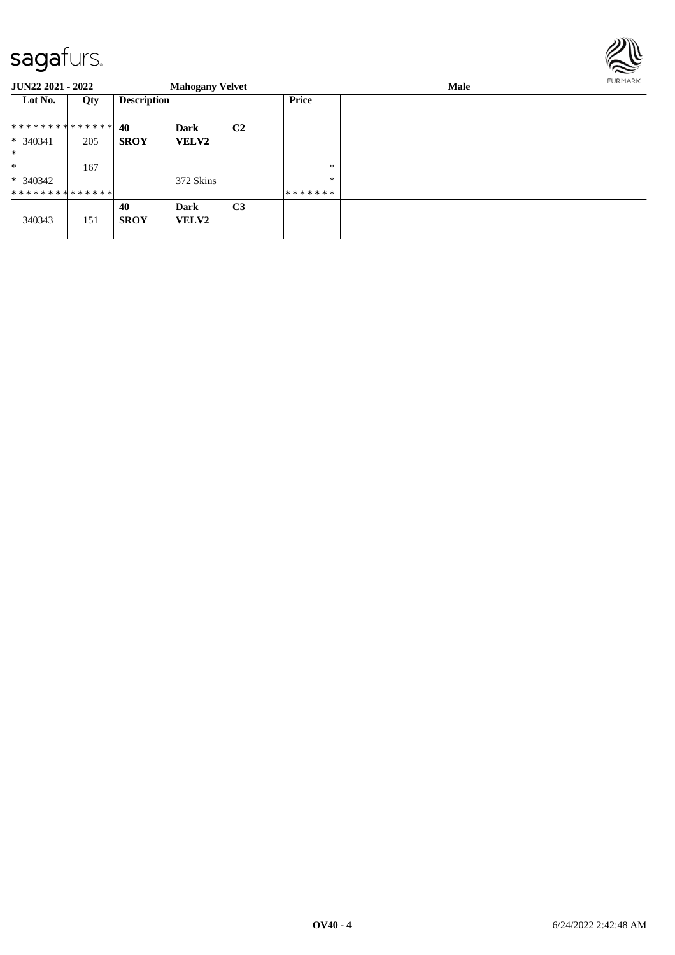

| <b>JUN22 2021 - 2022</b>      |     |                    | <b>Mahogany Velvet</b> |                |              | <b>Male</b> | <b>FURMARK</b> |  |
|-------------------------------|-----|--------------------|------------------------|----------------|--------------|-------------|----------------|--|
| Lot No.                       | Qty | <b>Description</b> |                        |                | <b>Price</b> |             |                |  |
| * * * * * * * * * * * * * * * |     | 40                 | <b>Dark</b>            | C <sub>2</sub> |              |             |                |  |
| $* 340341$<br>$*$             | 205 | <b>SROY</b>        | <b>VELV2</b>           |                |              |             |                |  |
| $\ast$                        | 167 |                    |                        |                | *            |             |                |  |
| $* 340342$                    |     |                    | 372 Skins              |                | $\ast$       |             |                |  |
| **************                |     |                    |                        |                | *******      |             |                |  |
| 340343                        | 151 | 40<br><b>SROY</b>  | Dark<br><b>VELV2</b>   | C <sub>3</sub> |              |             |                |  |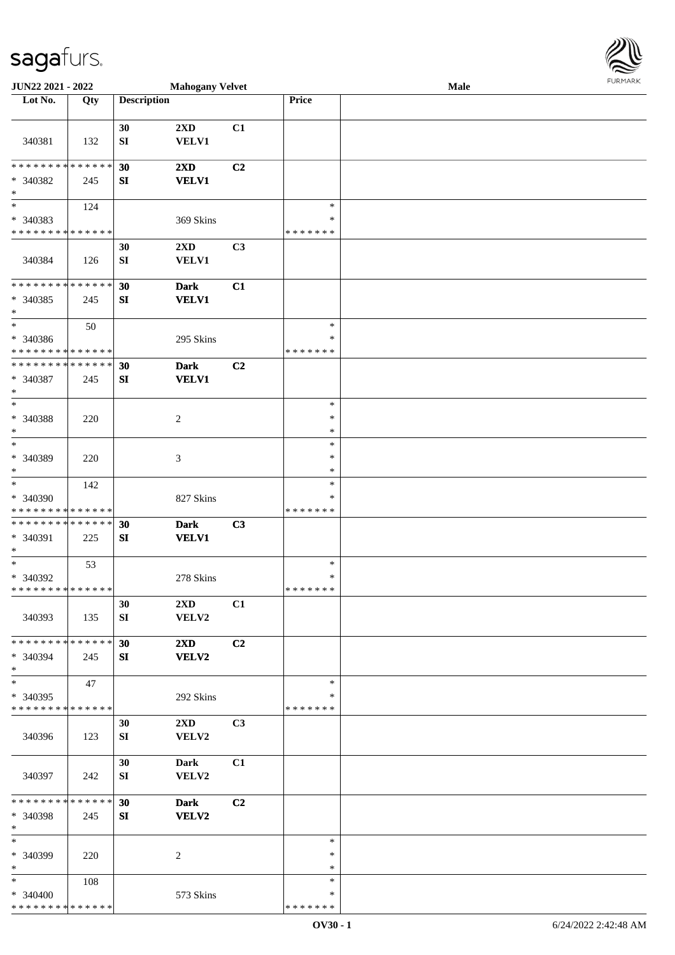\* \* \* \* \* \* \* \* \* \* \* \* \* \* \*

| <b>JUN22 2021 - 2022</b>                   |     |                    | <b>Mahogany Velvet</b>  |                |               | Male |  |
|--------------------------------------------|-----|--------------------|-------------------------|----------------|---------------|------|--|
| Lot No.                                    | Qty | <b>Description</b> |                         |                | Price         |      |  |
|                                            |     |                    |                         |                |               |      |  |
|                                            |     | 30                 | 2XD                     | C1             |               |      |  |
| 340381                                     | 132 | SI                 | <b>VELV1</b>            |                |               |      |  |
|                                            |     |                    |                         |                |               |      |  |
| * * * * * * * * * * * * * * *              |     | 30                 | 2XD                     | C <sub>2</sub> |               |      |  |
| * 340382                                   | 245 | SI                 | <b>VELV1</b>            |                |               |      |  |
| $\ast$                                     |     |                    |                         |                |               |      |  |
| $\overline{\phantom{0}}$                   |     |                    |                         |                | $\ast$        |      |  |
|                                            | 124 |                    |                         |                |               |      |  |
| * 340383                                   |     |                    | 369 Skins               |                | $\ast$        |      |  |
| * * * * * * * * * * * * * *                |     |                    |                         |                | * * * * * * * |      |  |
|                                            |     | 30                 | $2\mathbf{X}\mathbf{D}$ | C3             |               |      |  |
| 340384                                     | 126 | SI                 | <b>VELV1</b>            |                |               |      |  |
|                                            |     |                    |                         |                |               |      |  |
| * * * * * * * * <mark>* * * * * * *</mark> |     | 30                 | <b>Dark</b>             | C1             |               |      |  |
| * 340385                                   | 245 | SI                 | <b>VELV1</b>            |                |               |      |  |
| $\ast$                                     |     |                    |                         |                |               |      |  |
| $\ast$                                     | 50  |                    |                         |                | $\ast$        |      |  |
| * 340386                                   |     |                    | 295 Skins               |                | $\ast$        |      |  |
| * * * * * * * * <mark>* * * * * *</mark>   |     |                    |                         |                | * * * * * * * |      |  |
| * * * * * * * * * * * * * * *              |     |                    |                         |                |               |      |  |
|                                            |     | 30                 | <b>Dark</b>             | C2             |               |      |  |
| * 340387                                   | 245 | SI                 | <b>VELV1</b>            |                |               |      |  |
| $\ast$                                     |     |                    |                         |                |               |      |  |
| $\ast$                                     |     |                    |                         |                | $\ast$        |      |  |
| * 340388                                   | 220 |                    | 2                       |                | $\ast$        |      |  |
| $\ast$                                     |     |                    |                         |                | $\ast$        |      |  |
| $\ast$                                     |     |                    |                         |                | $\ast$        |      |  |
| * 340389                                   | 220 |                    | 3                       |                | $\ast$        |      |  |
| $\ast$                                     |     |                    |                         |                | $\ast$        |      |  |
| $\overline{\ast}$                          | 142 |                    |                         |                | $\ast$        |      |  |
|                                            |     |                    |                         |                | ∗             |      |  |
| * 340390                                   |     |                    | 827 Skins               |                |               |      |  |
| * * * * * * * * <mark>* * * * * * *</mark> |     |                    |                         |                | * * * * * * * |      |  |
| * * * * * * * * <mark>* * * * * *</mark>   |     | 30                 | <b>Dark</b>             | C3             |               |      |  |
| * 340391                                   | 225 | SI                 | <b>VELV1</b>            |                |               |      |  |
| $\ast$                                     |     |                    |                         |                |               |      |  |
| $\ast$                                     | 53  |                    |                         |                | $\ast$        |      |  |
| * 340392                                   |     |                    | 278 Skins               |                | $\ast$        |      |  |
| * * * * * * * * <mark>* * * * * *</mark>   |     |                    |                         |                | * * * * * * * |      |  |
|                                            |     | 30                 | $2\mathbf{X}\mathbf{D}$ | C1             |               |      |  |
| 340393                                     | 135 | SI                 | VELV2                   |                |               |      |  |
|                                            |     |                    |                         |                |               |      |  |
| * * * * * * * * <mark>* * * * * *</mark>   |     | 30                 | $2\mathbf{X}\mathbf{D}$ | C2             |               |      |  |
|                                            |     |                    |                         |                |               |      |  |
| * 340394                                   | 245 | SI                 | <b>VELV2</b>            |                |               |      |  |
| $\ast$<br>$\overline{\ast}$                |     |                    |                         |                |               |      |  |
|                                            | 47  |                    |                         |                | $\ast$        |      |  |
| * 340395                                   |     |                    | 292 Skins               |                | ∗             |      |  |
| * * * * * * * * <mark>* * * * * * *</mark> |     |                    |                         |                | * * * * * * * |      |  |
|                                            |     | 30                 | $2\mathbf{X}\mathbf{D}$ | C3             |               |      |  |
| 340396                                     | 123 | SI                 | VELV2                   |                |               |      |  |
|                                            |     |                    |                         |                |               |      |  |
|                                            |     | 30                 | <b>Dark</b>             | C1             |               |      |  |
| 340397                                     | 242 | SI                 | VELV2                   |                |               |      |  |
|                                            |     |                    |                         |                |               |      |  |
| * * * * * * * * <mark>* * * * * * *</mark> |     | 30                 | <b>Dark</b>             | C <sub>2</sub> |               |      |  |
| * 340398                                   | 245 | SI                 | VELV2                   |                |               |      |  |
| $\ast$                                     |     |                    |                         |                |               |      |  |
| $\ast$                                     |     |                    |                         |                |               |      |  |
|                                            |     |                    |                         |                | $\ast$        |      |  |
| * 340399                                   | 220 |                    | 2                       |                | $\ast$        |      |  |
| $\ast$                                     |     |                    |                         |                | $\ast$        |      |  |
| $\ast$                                     | 108 |                    |                         |                | $\ast$        |      |  |
| * 340400                                   |     |                    | 573 Skins               |                | $\ast$        |      |  |

\* \* \* \* \* \* \*

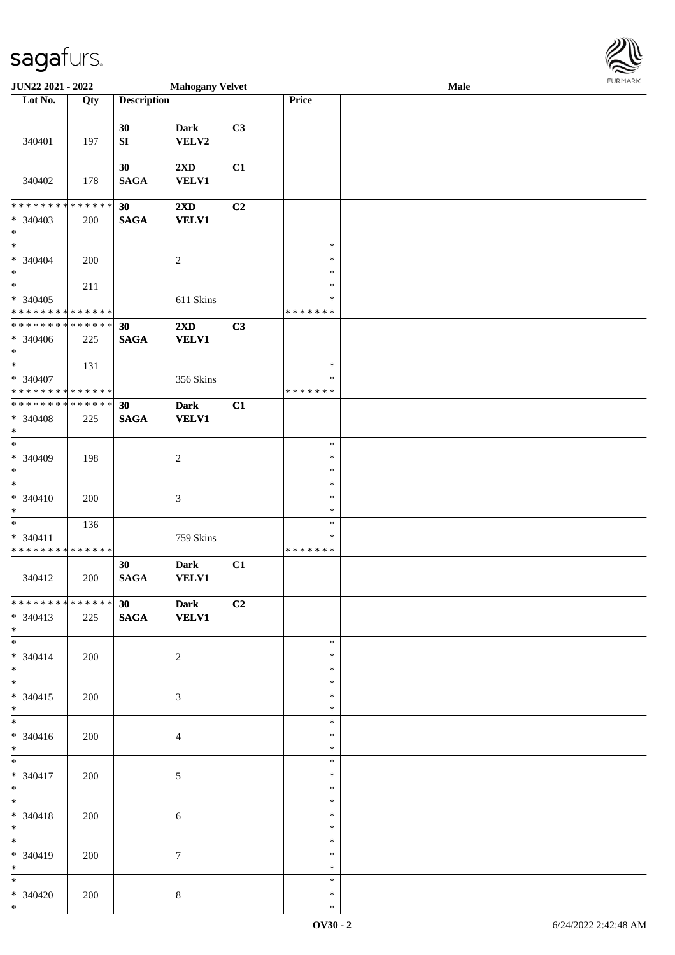

| JUN22 2021 - 2022                         |     |                        | <b>Mahogany Velvet</b>                  |                |                            | Male |  |
|-------------------------------------------|-----|------------------------|-----------------------------------------|----------------|----------------------------|------|--|
| Lot No.                                   | Qty | <b>Description</b>     |                                         |                | Price                      |      |  |
|                                           |     |                        |                                         |                |                            |      |  |
| 340401                                    | 197 | 30<br>${\bf S}{\bf I}$ | <b>Dark</b><br>VELV2                    | C3             |                            |      |  |
| 340402                                    | 178 | 30<br><b>SAGA</b>      | $2\mathbf{X}\mathbf{D}$<br><b>VELV1</b> | C1             |                            |      |  |
| * * * * * * * * * * * * * *               |     | 30                     | 2XD                                     | C2             |                            |      |  |
| * 340403<br>$\ast$                        | 200 | <b>SAGA</b>            | <b>VELV1</b>                            |                |                            |      |  |
| $\ast$<br>$* 340404$<br>$\ast$            | 200 |                        | $\boldsymbol{2}$                        |                | $\ast$<br>$\ast$<br>$\ast$ |      |  |
| $\ast$                                    | 211 |                        |                                         |                | $\ast$                     |      |  |
| $* 340405$<br>* * * * * * * * * * * * * * |     |                        | 611 Skins                               |                | $\ast$<br>* * * * * * *    |      |  |
| * * * * * * * * * * * * * *               |     | 30                     | 2XD                                     | C3             |                            |      |  |
| * 340406<br>$*$                           | 225 | <b>SAGA</b>            | <b>VELV1</b>                            |                |                            |      |  |
| $\ast$                                    | 131 |                        |                                         |                | $\ast$                     |      |  |
| * 340407<br>* * * * * * * * * * * * * *   |     |                        | 356 Skins                               |                | $\ast$<br>* * * * * * *    |      |  |
| * * * * * * * * * * * * * *               |     | 30                     | <b>Dark</b>                             | C1             |                            |      |  |
| * 340408<br>$\ast$                        | 225 | <b>SAGA</b>            | <b>VELV1</b>                            |                |                            |      |  |
| $\ast$                                    |     |                        |                                         |                | $\ast$                     |      |  |
| * 340409<br>$\ast$                        | 198 |                        | $\overline{c}$                          |                | $\ast$<br>$\ast$           |      |  |
| $\ast$                                    |     |                        |                                         |                | $\ast$                     |      |  |
| $* 340410$<br>$\ast$                      | 200 |                        | $\ensuremath{\mathfrak{Z}}$             |                | $\ast$<br>$\ast$           |      |  |
| $\ast$                                    | 136 |                        |                                         |                | $\ast$                     |      |  |
| $* 340411$<br>* * * * * * * * * * * * * * |     |                        | 759 Skins                               |                | $\ast$<br>* * * * * * *    |      |  |
|                                           |     | 30                     | <b>Dark</b>                             | C1             |                            |      |  |
| 340412                                    | 200 | $\mathbf{SAGA}$        | <b>VELV1</b>                            |                |                            |      |  |
| * * * * * * * * * * * * * * *             |     | 30                     | <b>Dark</b>                             | C <sub>2</sub> |                            |      |  |
| $* 340413$<br>$*$                         | 225 | <b>SAGA</b>            | <b>VELV1</b>                            |                |                            |      |  |
| $\overline{\ast}$                         |     |                        |                                         |                | $\ast$                     |      |  |
| $* 340414$<br>$*$                         | 200 |                        | $\overline{2}$                          |                | ∗<br>$\ast$                |      |  |
| $*$                                       |     |                        |                                         |                | $\ast$                     |      |  |
| $* 340415$<br>$*$                         | 200 |                        | 3                                       |                | $\ast$<br>$\ast$           |      |  |
| $\overline{\phantom{0}}$                  |     |                        |                                         |                | $\ast$                     |      |  |
| $* 340416$<br>$*$                         | 200 |                        | 4                                       |                | $\ast$<br>$\ast$           |      |  |
| $*$                                       |     |                        |                                         |                | $\ast$                     |      |  |
| $* 340417$<br>$*$                         | 200 |                        | 5                                       |                | $\ast$<br>$\ast$           |      |  |
| $*$<br>$* 340418$<br>$*$                  | 200 |                        | 6                                       |                | $\ast$<br>$\ast$<br>$\ast$ |      |  |
| $\overline{\phantom{0}}$                  |     |                        |                                         |                | $\ast$                     |      |  |
| * 340419<br>$*$                           | 200 |                        | 7                                       |                | $\ast$<br>$\ast$           |      |  |
| $*$                                       |     |                        |                                         |                | $\ast$                     |      |  |
| $* 340420$<br>$*$                         | 200 |                        | $\,8\,$                                 |                | $\ast$<br>$\ast$           |      |  |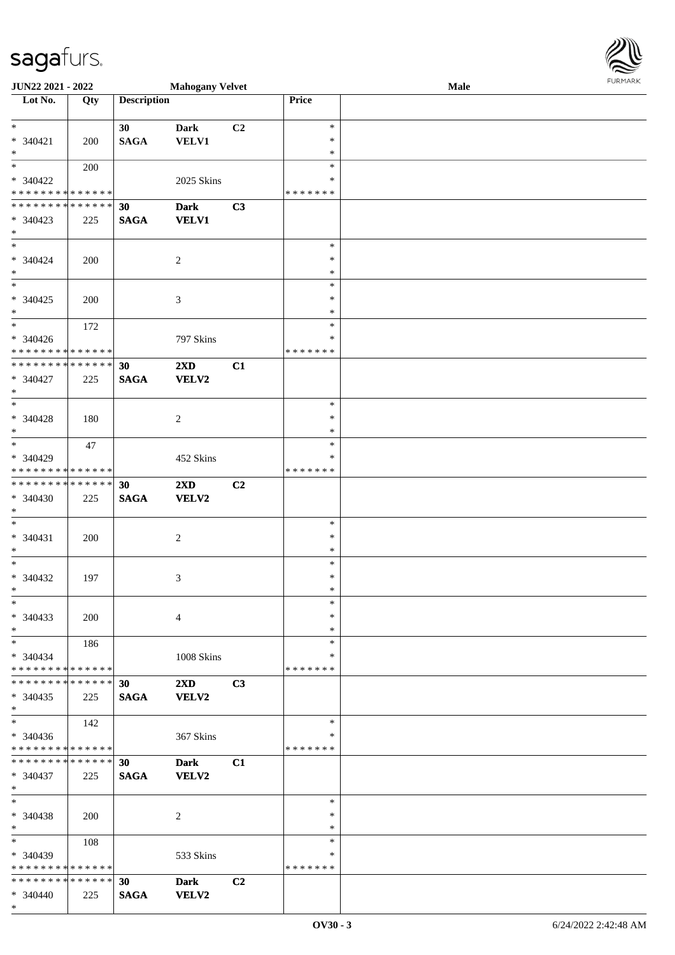\*

| <b>JUN22 2021 - 2022</b>                                                          |                    |                    | <b>Mahogany Velvet</b>                  |    |                                   | Male | FURMARK |
|-----------------------------------------------------------------------------------|--------------------|--------------------|-----------------------------------------|----|-----------------------------------|------|---------|
| Lot No.                                                                           | Qty                | <b>Description</b> |                                         |    | Price                             |      |         |
| $\ddot{x}$<br>$* 340421$<br>$*$                                                   | 200                | 30<br><b>SAGA</b>  | <b>Dark</b><br><b>VELV1</b>             | C2 | $\ast$<br>∗<br>$\ast$             |      |         |
| $*$<br>* 340422<br>* * * * * * * * <mark>* * * * * *</mark>                       | 200                |                    | 2025 Skins                              |    | $\ast$<br>∗<br>* * * * * * *      |      |         |
| * * * * * * * * * * * * * * <mark>*</mark><br>* 340423<br>$*$                     | 225                | 30<br><b>SAGA</b>  | <b>Dark</b><br><b>VELV1</b>             | C3 |                                   |      |         |
| $* 340424$<br>$*$                                                                 | 200                |                    | 2                                       |    | $\ast$<br>$\ast$<br>$\ast$        |      |         |
| $* 340425$<br>$*$                                                                 | 200                |                    | 3                                       |    | $\ast$<br>$\ast$<br>$\ast$        |      |         |
| $\overline{\mathbf{r}}$<br>* 340426<br>* * * * * * * * <mark>* * * * * * *</mark> | 172                |                    | 797 Skins                               |    | $\ast$<br>∗<br>* * * * * * *      |      |         |
| * * * * * * * * <mark>* * * * * * *</mark><br>* 340427<br>$\ast$                  | 225                | 30<br><b>SAGA</b>  | 2XD<br>VELV2                            | C1 |                                   |      |         |
| $* 340428$<br>$*$                                                                 | 180                |                    | 2                                       |    | $\ast$<br>$\ast$<br>$\ast$        |      |         |
| $\ast$<br>* 340429<br>* * * * * * * * <mark>* * * * * *</mark>                    | 47                 |                    | 452 Skins                               |    | $\ast$<br>∗<br>* * * * * * *      |      |         |
| * * * * * * * * * * * * * *<br>$* 340430$<br>$\ast$                               | 225                | 30<br><b>SAGA</b>  | 2XD<br><b>VELV2</b>                     | C2 |                                   |      |         |
| $\ast$<br>$* 340431$<br>$\ast$                                                    | 200                |                    | 2                                       |    | $\ast$<br>$\ast$<br>$\ast$        |      |         |
| $\ast$<br>$* 340432$<br>∗∗                                                        | 197                |                    | 3                                       |    | $\ast$<br>$\ast$<br>∗             |      |         |
| $\ast$<br>* 340433<br>$\ast$                                                      | 200                |                    | $\overline{4}$                          |    | $\ast$<br>$\ast$<br>$\ast$        |      |         |
| $\ast$<br>$* 340434$<br>* * * * * * * * <mark>* * * * * *</mark> *                | 186                |                    | 1008 Skins                              |    | ∗<br>∗<br>* * * * * * *           |      |         |
| * * * * * * * * <mark>* * * * * * *</mark><br>$* 340435$<br>$\ast$                | 225                | 30<br><b>SAGA</b>  | $2\mathbf{X}\mathbf{D}$<br><b>VELV2</b> | C3 |                                   |      |         |
| $\ast$<br>* 340436<br>* * * * * * * * <mark>* * * * * *</mark>                    | 142                |                    | 367 Skins                               |    | $\ast$<br>$\ast$<br>* * * * * * * |      |         |
| * * * * * * * * * * * * * *<br>* 340437<br>$\ast$                                 | 225                | 30<br><b>SAGA</b>  | <b>Dark</b><br><b>VELV2</b>             | C1 |                                   |      |         |
| $\ast$<br>* 340438<br>$\ast$                                                      | 200                |                    | 2                                       |    | $\ast$<br>∗<br>$\ast$             |      |         |
| $\ddot{x}$<br>* 340439<br>* * * * * * * * <mark>* * * * * * *</mark>              | 108                |                    | 533 Skins                               |    | $\ast$<br>∗<br>* * * * * * *      |      |         |
| * * * * * * * *<br>$* 340440$                                                     | * * * * * *<br>225 | 30<br><b>SAGA</b>  | <b>Dark</b><br><b>VELV2</b>             | C2 |                                   |      |         |

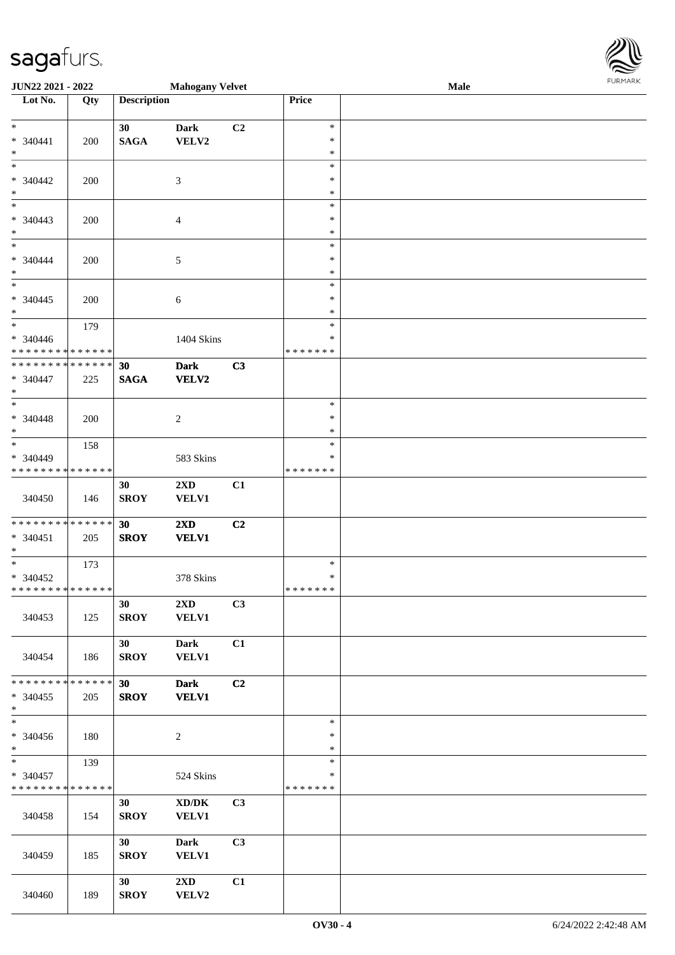| <b>JUN22 2021 - 2022</b>                               |     |                    | <b>Mahogany Velvet</b>  |                |               | Male | <b>FUNITANN</b> |
|--------------------------------------------------------|-----|--------------------|-------------------------|----------------|---------------|------|-----------------|
| Lot No.                                                | Qty | <b>Description</b> |                         |                | Price         |      |                 |
|                                                        |     |                    |                         |                |               |      |                 |
| $*$                                                    |     | 30                 | <b>Dark</b>             | C <sub>2</sub> | $\ast$        |      |                 |
| $* 340441$                                             | 200 | <b>SAGA</b>        | VELV2                   |                | $\ast$        |      |                 |
| $\ast$                                                 |     |                    |                         |                | $\ast$        |      |                 |
|                                                        |     |                    |                         |                | $\ast$        |      |                 |
| $* 340442$                                             | 200 |                    | 3                       |                | $\ast$        |      |                 |
| $*$                                                    |     |                    |                         |                | $\ast$        |      |                 |
|                                                        |     |                    |                         |                | $\ast$        |      |                 |
| $* 340443$                                             | 200 |                    | $\overline{4}$          |                | $\ast$        |      |                 |
| $\ast$                                                 |     |                    |                         |                | $\ast$        |      |                 |
| $*$                                                    |     |                    |                         |                | $\ast$        |      |                 |
| * 340444                                               | 200 |                    | 5                       |                | $\ast$        |      |                 |
| $\ast$                                                 |     |                    |                         |                | $\ast$        |      |                 |
|                                                        |     |                    |                         |                | $\ast$        |      |                 |
| $* 340445$                                             | 200 |                    | $\sqrt{6}$              |                | $\ast$        |      |                 |
| $*$                                                    |     |                    |                         |                | $\ast$        |      |                 |
| $\overline{\phantom{0}}$                               | 179 |                    |                         |                | $\ast$        |      |                 |
| * 340446                                               |     |                    | 1404 Skins              |                | $\ast$        |      |                 |
| * * * * * * * * * * * * * *                            |     |                    |                         |                | * * * * * * * |      |                 |
| * * * * * * * * * * * * * *                            |     | 30                 | <b>Dark</b>             | C3             |               |      |                 |
| * 340447                                               | 225 | <b>SAGA</b>        | <b>VELV2</b>            |                |               |      |                 |
| $\ast$                                                 |     |                    |                         |                |               |      |                 |
| $\ast$                                                 |     |                    |                         |                | $\ast$        |      |                 |
| $* 340448$                                             | 200 |                    | $\overline{c}$          |                | $\ast$        |      |                 |
| $*$                                                    |     |                    |                         |                | $\ast$        |      |                 |
|                                                        | 158 |                    |                         |                | $\ast$        |      |                 |
| * 340449<br>* * * * * * * * <mark>* * * * * *</mark> * |     |                    | 583 Skins               |                | $\ast$        |      |                 |
|                                                        |     |                    |                         |                | * * * * * * * |      |                 |
|                                                        |     | 30                 | 2XD                     | C1             |               |      |                 |
| 340450                                                 | 146 | <b>SROY</b>        | <b>VELV1</b>            |                |               |      |                 |
| * * * * * * * * <mark>* * * * * * *</mark>             |     | 30                 |                         |                |               |      |                 |
| $* 340451$                                             |     |                    | $2\mathbf{X}\mathbf{D}$ | C2             |               |      |                 |
| $*$                                                    | 205 | <b>SROY</b>        | <b>VELV1</b>            |                |               |      |                 |
|                                                        | 173 |                    |                         |                | $\ast$        |      |                 |
| $* 340452$                                             |     |                    | 378 Skins               |                | $\ast$        |      |                 |
| * * * * * * * * * * * * * * *                          |     |                    |                         |                | *******       |      |                 |
|                                                        |     | 30                 | $2\mathbf{X}\mathbf{D}$ | C3             |               |      |                 |
| 340453                                                 | 125 | <b>SROY</b>        | <b>VELV1</b>            |                |               |      |                 |
|                                                        |     |                    |                         |                |               |      |                 |
|                                                        |     | 30 <sup>°</sup>    | <b>Dark</b>             | C1             |               |      |                 |
| 340454                                                 | 186 | <b>SROY</b>        | <b>VELV1</b>            |                |               |      |                 |
|                                                        |     |                    |                         |                |               |      |                 |
| * * * * * * * * <mark>* * * * * *</mark>               |     | 30 <sup>°</sup>    | <b>Dark</b>             | C2             |               |      |                 |
| * 340455                                               | 205 | <b>SROY</b>        | <b>VELV1</b>            |                |               |      |                 |
| $\ast$                                                 |     |                    |                         |                |               |      |                 |
|                                                        |     |                    |                         |                | $\ast$        |      |                 |
| * 340456                                               | 180 |                    | 2                       |                | $\ast$        |      |                 |
| $\ast$                                                 |     |                    |                         |                | $\ast$        |      |                 |
| $\overline{\ast}$                                      | 139 |                    |                         |                | $\ast$        |      |                 |
| * 340457                                               |     |                    | 524 Skins               |                | ∗             |      |                 |
| * * * * * * * * <mark>* * * * * * *</mark>             |     |                    |                         |                | * * * * * * * |      |                 |
|                                                        |     | 30                 | XD/DK                   | C <sub>3</sub> |               |      |                 |
| 340458                                                 | 154 | <b>SROY</b>        | <b>VELV1</b>            |                |               |      |                 |
|                                                        |     |                    |                         |                |               |      |                 |
|                                                        |     | 30 <sup>°</sup>    | <b>Dark</b>             | C3             |               |      |                 |
| 340459                                                 | 185 | <b>SROY</b>        | <b>VELV1</b>            |                |               |      |                 |
|                                                        |     |                    |                         |                |               |      |                 |
|                                                        |     | 30 <sup>°</sup>    | $2\mathbf{X}\mathbf{D}$ | C1             |               |      |                 |
| 340460                                                 | 189 | <b>SROY</b>        | VELV2                   |                |               |      |                 |

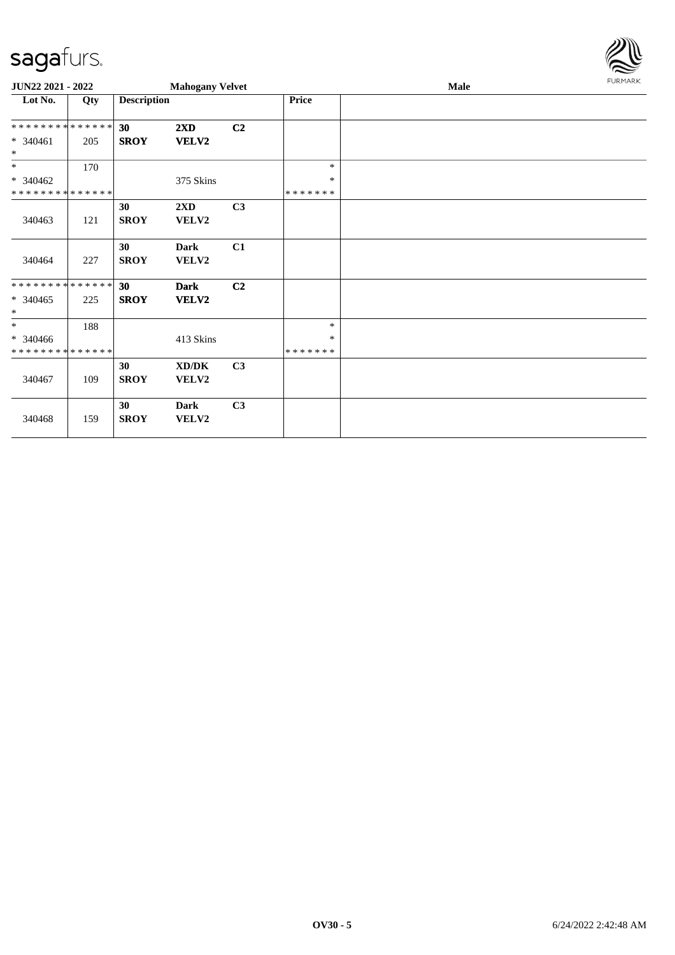

| JUN22 2021 - 2022           |     |                    | <b>Mahogany Velvet</b> |                |               | <b>Male</b> | FURMARK |
|-----------------------------|-----|--------------------|------------------------|----------------|---------------|-------------|---------|
| Lot No.                     | Qty | <b>Description</b> |                        |                | Price         |             |         |
| **************              |     | 30                 | 2XD                    | C <sub>2</sub> |               |             |         |
| $* 340461$<br>$\ast$        | 205 | <b>SROY</b>        | VELV2                  |                |               |             |         |
| $*$                         | 170 |                    |                        |                | $\ast$        |             |         |
| $* 340462$                  |     |                    | 375 Skins              |                | $\ast$        |             |         |
| * * * * * * * * * * * * * * |     |                    |                        |                | * * * * * * * |             |         |
|                             |     | 30                 | 2XD                    | C3             |               |             |         |
| 340463                      | 121 | <b>SROY</b>        | VELV2                  |                |               |             |         |
|                             |     | 30                 | <b>Dark</b>            | C1             |               |             |         |
| 340464                      | 227 | <b>SROY</b>        | VELV2                  |                |               |             |         |
| **************              |     | 30                 | <b>Dark</b>            | C <sub>2</sub> |               |             |         |
| $* 340465$<br>$\ast$        | 225 | <b>SROY</b>        | <b>VELV2</b>           |                |               |             |         |
| $\ast$                      | 188 |                    |                        |                | $\ast$        |             |         |
| * 340466                    |     |                    | 413 Skins              |                | $\ast$        |             |         |
| * * * * * * * * * * * * * * |     |                    |                        |                | * * * * * * * |             |         |
|                             |     | 30                 | XD/DK                  | C3             |               |             |         |
| 340467                      | 109 | <b>SROY</b>        | VELV2                  |                |               |             |         |
| 340468                      | 159 | 30<br><b>SROY</b>  | Dark<br>VELV2          | C <sub>3</sub> |               |             |         |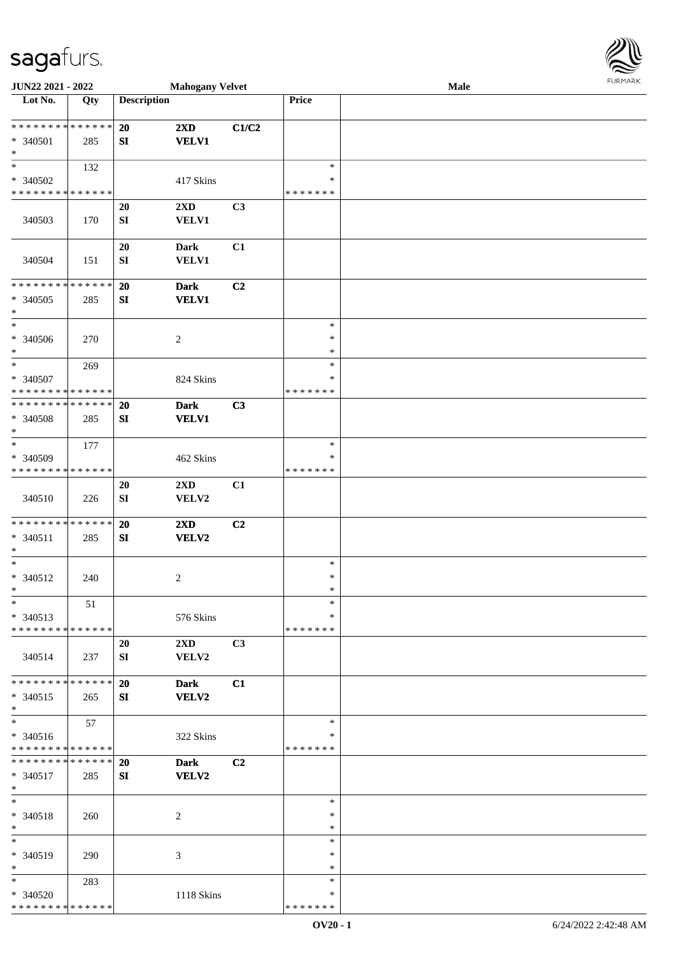| JUN22 2021 - 2022                                                       |     | <b>Mahogany Velvet</b> |                                  |                |                              | Male | <b>FURMARK</b> |
|-------------------------------------------------------------------------|-----|------------------------|----------------------------------|----------------|------------------------------|------|----------------|
| $\overline{\text{Lot No.}}$                                             | Qty | <b>Description</b>     |                                  |                | Price                        |      |                |
| **************<br>* 340501<br>$\ast$                                    | 285 | 20<br>SI               | 2XD<br><b>VELV1</b>              | C1/C2          |                              |      |                |
| $\ast$<br>* 340502<br>* * * * * * * * * * * * * *                       | 132 |                        | 417 Skins                        |                | $\ast$<br>∗<br>*******       |      |                |
| 340503                                                                  | 170 | 20<br>${\bf S}{\bf I}$ | $2{\bf X}{\bf D}$<br>VELV1       | C3             |                              |      |                |
| 340504                                                                  | 151 | 20<br>${\bf SI}$       | <b>Dark</b><br><b>VELV1</b>      | C1             |                              |      |                |
| ******** <mark>******</mark><br>$* 340505$<br>$\ast$                    | 285 | 20<br>SI               | <b>Dark</b><br><b>VELV1</b>      | C <sub>2</sub> |                              |      |                |
| $\ast$<br>* 340506<br>$\ast$                                            | 270 |                        | $\boldsymbol{2}$                 |                | $\ast$<br>$\ast$<br>$\ast$   |      |                |
| $\ast$<br>* 340507<br>* * * * * * * * * * * * * *                       | 269 |                        | 824 Skins                        |                | $\ast$<br>*<br>* * * * * * * |      |                |
| * * * * * * * * * * * * * *<br>* 340508<br>$\ast$                       | 285 | 20<br>SI               | <b>Dark</b><br><b>VELV1</b>      | C3             |                              |      |                |
| $\overline{\phantom{a}^*}$<br>* 340509<br>* * * * * * * * * * * * * *   | 177 |                        | 462 Skins                        |                | $\ast$<br>∗<br>* * * * * * * |      |                |
| 340510                                                                  | 226 | 20<br>${\bf SI}$       | 2XD<br>VELV2                     | C1             |                              |      |                |
| * * * * * * * * * * * * * *<br>$* 340511$<br>$\ast$                     | 285 | 20<br>SI               | 2XD<br>VELV2                     | C <sub>2</sub> |                              |      |                |
| $\ast$<br>* 340512<br>$\ast$                                            | 240 |                        | $\overline{c}$                   |                | $\ast$<br>$\ast$<br>$\ast$   |      |                |
| $\ast$<br>$* 340513$<br>* * * * * * * * * * * * * *                     | 51  |                        | 576 Skins                        |                | $\ast$<br>∗<br>* * * * * * * |      |                |
| 340514                                                                  | 237 | 20<br>SI               | $2\mathbf{X}\mathbf{D}$<br>VELV2 | C3             |                              |      |                |
| * * * * * * * * * * * * * *<br>$* 340515$<br>$\ast$                     | 265 | 20<br>SI               | <b>Dark</b><br><b>VELV2</b>      | C1             |                              |      |                |
| $\overline{\phantom{a}^*}$<br>$* 340516$<br>* * * * * * * * * * * * * * | 57  |                        | 322 Skins                        |                | $\ast$<br>∗<br>* * * * * * * |      |                |
| * * * * * * * * * * * * * *<br>$* 340517$<br>$\ast$                     | 285 | 20<br>SI               | <b>Dark</b><br><b>VELV2</b>      | C <sub>2</sub> |                              |      |                |
| $\ast$<br>* 340518<br>$\ast$                                            | 260 |                        | 2                                |                | $\ast$<br>*<br>$\ast$        |      |                |
| $\ast$<br>$* 340519$<br>$\ast$                                          | 290 |                        | 3                                |                | $\ast$<br>∗<br>$\ast$        |      |                |
| $\ast$<br>* 340520<br>* * * * * * * * * * * * * *                       | 283 |                        | 1118 Skins                       |                | $\ast$<br>*<br>* * * * * * * |      |                |

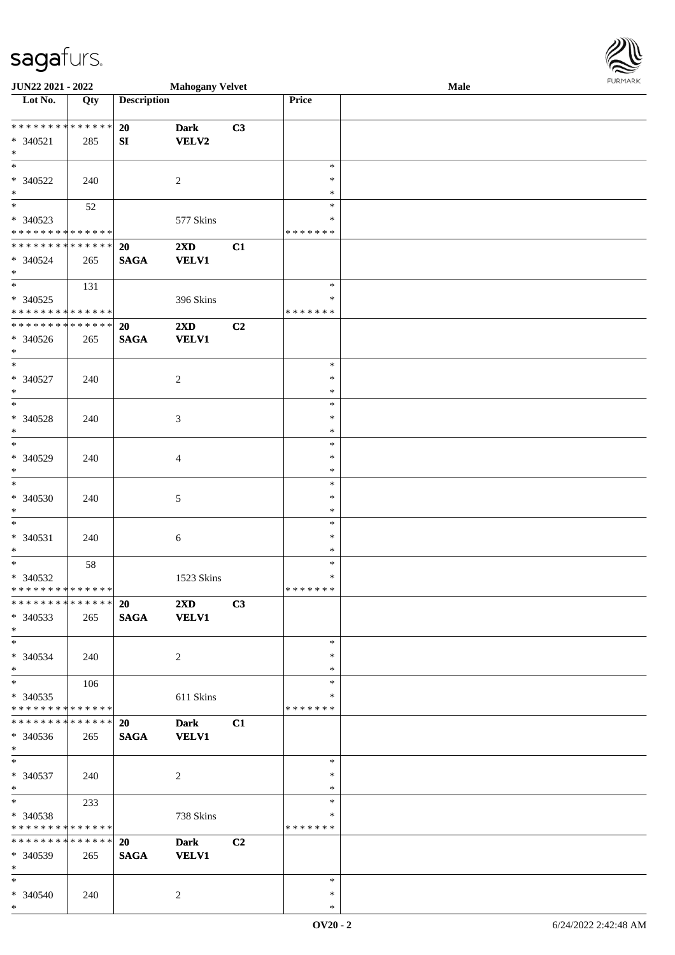\*

| <b>JUN22 2021 - 2022</b>                   |     |                    | <b>Mahogany Velvet</b>  |    |               | Male | <b>FURPIARA</b> |
|--------------------------------------------|-----|--------------------|-------------------------|----|---------------|------|-----------------|
| Lot No.                                    | Qty | <b>Description</b> |                         |    | Price         |      |                 |
|                                            |     |                    |                         |    |               |      |                 |
| ************** <mark>*</mark>              |     | 20                 | <b>Dark</b>             | C3 |               |      |                 |
| $* 340521$                                 | 285 | SI                 | VELV2                   |    |               |      |                 |
| $\ast$                                     |     |                    |                         |    |               |      |                 |
|                                            |     |                    |                         |    | $\ast$        |      |                 |
| * 340522                                   | 240 |                    | $\overline{c}$          |    | $\ast$        |      |                 |
| $\ast$                                     |     |                    |                         |    | $\ast$        |      |                 |
| $\overline{\mathbf{r}}$                    |     |                    |                         |    | $\ast$        |      |                 |
|                                            | 52  |                    |                         |    |               |      |                 |
| * 340523                                   |     |                    | 577 Skins               |    | ∗             |      |                 |
| * * * * * * * * * * * * * *                |     |                    |                         |    | * * * * * * * |      |                 |
| ******** <mark>******</mark>               |     | <b>20</b>          | $2\mathbf{X}\mathbf{D}$ | C1 |               |      |                 |
| * 340524                                   | 265 | <b>SAGA</b>        | <b>VELV1</b>            |    |               |      |                 |
| $\ast$                                     |     |                    |                         |    |               |      |                 |
| $\overline{\ast}$                          | 131 |                    |                         |    | $\ast$        |      |                 |
| * 340525                                   |     |                    | 396 Skins               |    | $\ast$        |      |                 |
| * * * * * * * * <mark>* * * * * * *</mark> |     |                    |                         |    | * * * * * * * |      |                 |
| * * * * * * * * <mark>* * * * * * *</mark> |     | <b>20</b>          | $2\mathbf{X}\mathbf{D}$ | C2 |               |      |                 |
| * 340526                                   | 265 | <b>SAGA</b>        | <b>VELV1</b>            |    |               |      |                 |
| $*$                                        |     |                    |                         |    |               |      |                 |
| $\ast$                                     |     |                    |                         |    | $\ast$        |      |                 |
|                                            |     |                    |                         |    |               |      |                 |
| * 340527                                   | 240 |                    | 2                       |    | $\ast$        |      |                 |
| $\ast$                                     |     |                    |                         |    | $\ast$        |      |                 |
| $\overline{\ast}$                          |     |                    |                         |    | $\ast$        |      |                 |
| * 340528                                   | 240 |                    | $\mathfrak{Z}$          |    | $\ast$        |      |                 |
| $\ast$                                     |     |                    |                         |    | $\ast$        |      |                 |
| $\ast$                                     |     |                    |                         |    | $\ast$        |      |                 |
| * 340529                                   | 240 |                    | $\overline{4}$          |    | $\ast$        |      |                 |
| $\ast$                                     |     |                    |                         |    | $\ast$        |      |                 |
| $\ast$                                     |     |                    |                         |    | $\ast$        |      |                 |
| * 340530                                   | 240 |                    | 5                       |    | $\ast$        |      |                 |
| $\ast$                                     |     |                    |                         |    | $\ast$        |      |                 |
| $\overline{\phantom{0}}$                   |     |                    |                         |    | $\ast$        |      |                 |
|                                            |     |                    |                         |    |               |      |                 |
| * 340531                                   | 240 |                    | 6                       |    | $\ast$        |      |                 |
| $\ast$                                     |     |                    |                         |    | $\ast$        |      |                 |
| $\ddot{x}$                                 | 58  |                    |                         |    | $\ast$        |      |                 |
| $* 340532$                                 |     |                    | 1523 Skins              |    | $\ast$        |      |                 |
| * * * * * * * * <mark>* * * * * * *</mark> |     |                    |                         |    | *******       |      |                 |
| * * * * * * * * * * * * * *                |     | 20                 | $2\mathbf{X}\mathbf{D}$ | C3 |               |      |                 |
| $* 340533$                                 | 265 | <b>SAGA</b>        | <b>VELV1</b>            |    |               |      |                 |
| $\ast$                                     |     |                    |                         |    |               |      |                 |
| $*$                                        |     |                    |                         |    | $\ast$        |      |                 |
| $* 340534$                                 | 240 |                    | 2                       |    | $\ast$        |      |                 |
| $\ast$                                     |     |                    |                         |    | $\ast$        |      |                 |
| $*$ $*$                                    |     |                    |                         |    | $\ast$        |      |                 |
|                                            | 106 |                    |                         |    |               |      |                 |
| * 340535                                   |     |                    | 611 Skins               |    | ∗             |      |                 |
| * * * * * * * * * * * * * * <mark>*</mark> |     |                    |                         |    | * * * * * * * |      |                 |
| * * * * * * * * * * * * * *                |     | <b>20</b>          | <b>Dark</b>             | C1 |               |      |                 |
| * 340536                                   | 265 | <b>SAGA</b>        | <b>VELV1</b>            |    |               |      |                 |
| $\ast$                                     |     |                    |                         |    |               |      |                 |
| $*$                                        |     |                    |                         |    | $\ast$        |      |                 |
| * 340537                                   | 240 |                    | 2                       |    | $\ast$        |      |                 |
| $*$                                        |     |                    |                         |    | $\ast$        |      |                 |
| $*$ $*$                                    | 233 |                    |                         |    | $\ast$        |      |                 |
| * 340538                                   |     |                    | 738 Skins               |    | ∗             |      |                 |
| * * * * * * * * * * * * * * <mark>*</mark> |     |                    |                         |    | *******       |      |                 |
| * * * * * * * * * * * * * * *              |     |                    |                         |    |               |      |                 |
|                                            |     | 20                 | <b>Dark</b>             | C2 |               |      |                 |
| * 340539                                   | 265 | <b>SAGA</b>        | <b>VELV1</b>            |    |               |      |                 |
| $*$ $-$                                    |     |                    |                         |    |               |      |                 |
| $*$ $-$                                    |     |                    |                         |    | $\ast$        |      |                 |
| * 340540                                   | 240 |                    | 2                       |    | $\ast$        |      |                 |

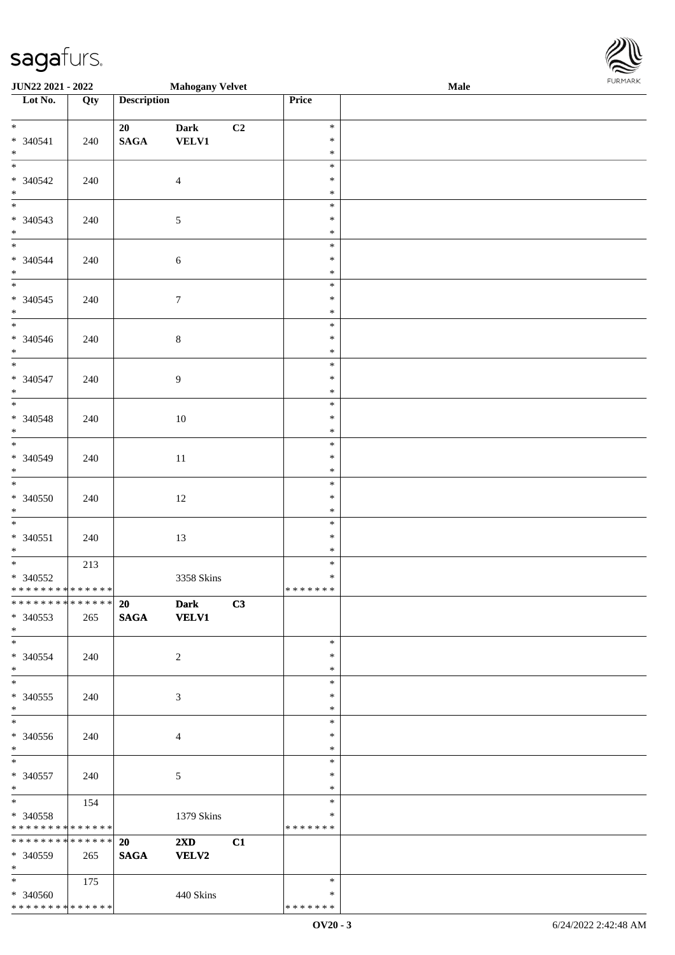\* \* \* \* \* \* \* \* \* \* \* \* \* \* \*

| <b>JUN22 2021 - 2022</b>                   |     |                    | <b>Mahogany Velvet</b>  |                |                  | Male | <b>FUNITANN</b> |
|--------------------------------------------|-----|--------------------|-------------------------|----------------|------------------|------|-----------------|
| Lot No.                                    | Qty | <b>Description</b> |                         |                | Price            |      |                 |
|                                            |     |                    |                         |                |                  |      |                 |
| $*$                                        |     | 20                 | <b>Dark</b>             | C <sub>2</sub> | $\ast$           |      |                 |
| $* 340541$                                 | 240 | <b>SAGA</b>        | VELV1                   |                | $\ast$           |      |                 |
| $*$                                        |     |                    |                         |                | $\ast$           |      |                 |
|                                            |     |                    |                         |                | $\ast$           |      |                 |
| * 340542                                   | 240 |                    | $\overline{4}$          |                | $\ast$           |      |                 |
| $*$                                        |     |                    |                         |                | $\ast$           |      |                 |
|                                            |     |                    |                         |                | $\ast$           |      |                 |
| $* 340543$<br>$*$                          | 240 |                    | $\sqrt{5}$              |                | $\ast$           |      |                 |
| $\overline{\phantom{0}}$                   |     |                    |                         |                | $\ast$<br>$\ast$ |      |                 |
|                                            |     |                    |                         |                | $\ast$           |      |                 |
| * 340544<br>$\ast$                         | 240 |                    | 6                       |                | $\ast$           |      |                 |
|                                            |     |                    |                         |                | $\ast$           |      |                 |
| $* 340545$                                 | 240 |                    | $7\phantom{.0}$         |                | $\ast$           |      |                 |
| $*$                                        |     |                    |                         |                | $\ast$           |      |                 |
|                                            |     |                    |                         |                | $\ast$           |      |                 |
| * 340546                                   | 240 |                    | $\,8\,$                 |                | $\ast$           |      |                 |
| $*$                                        |     |                    |                         |                | $\ast$           |      |                 |
| $*$                                        |     |                    |                         |                | $\ast$           |      |                 |
| * 340547                                   | 240 |                    | $\overline{9}$          |                | $\ast$           |      |                 |
| $*$                                        |     |                    |                         |                | $\ast$           |      |                 |
|                                            |     |                    |                         |                | $\ast$           |      |                 |
| $* 340548$                                 | 240 |                    | 10                      |                | $\ast$           |      |                 |
| $*$                                        |     |                    |                         |                | $\ast$           |      |                 |
|                                            |     |                    |                         |                | $\ast$           |      |                 |
| * 340549                                   | 240 |                    | 11                      |                | $\ast$           |      |                 |
| $\ast$                                     |     |                    |                         |                | $\ast$           |      |                 |
|                                            |     |                    |                         |                | $\ast$           |      |                 |
| * 340550                                   | 240 |                    | 12                      |                | $\ast$           |      |                 |
| $\ast$                                     |     |                    |                         |                | $\ast$           |      |                 |
| $\overline{\ast}$                          |     |                    |                         |                | $\ast$           |      |                 |
| $* 340551$                                 | 240 |                    | 13                      |                | $\ast$           |      |                 |
| $*$                                        |     |                    |                         |                | $\ast$           |      |                 |
|                                            | 213 |                    |                         |                | $\ast$           |      |                 |
| $* 340552$                                 |     |                    | 3358 Skins              |                | $\ast$           |      |                 |
| * * * * * * * * <mark>* * * * * * *</mark> |     |                    |                         |                | *******          |      |                 |
| ************** 20                          |     |                    | <b>Dark</b>             | C3             |                  |      |                 |
| * 340553                                   | 265 | SAGA VELV1         |                         |                |                  |      |                 |
| $*$                                        |     |                    |                         |                |                  |      |                 |
| $*$                                        |     |                    |                         |                | $\ast$<br>$\ast$ |      |                 |
| $* 340554$<br>$*$ $-$                      | 240 |                    | 2                       |                | $\ast$           |      |                 |
| $\ast$                                     |     |                    |                         |                | $\ast$           |      |                 |
| * 340555                                   | 240 |                    | 3                       |                | $\ast$           |      |                 |
| $\ast$                                     |     |                    |                         |                | $\ast$           |      |                 |
|                                            |     |                    |                         |                | $\ast$           |      |                 |
| * 340556                                   | 240 |                    | $\overline{4}$          |                | $\ast$           |      |                 |
| $*$                                        |     |                    |                         |                | $\ast$           |      |                 |
| $*$                                        |     |                    |                         |                | $\ast$           |      |                 |
| * 340557                                   | 240 |                    | 5                       |                | $\ast$           |      |                 |
| $*$ $-$                                    |     |                    |                         |                | $\ast$           |      |                 |
| $\ddot{x}$                                 | 154 |                    |                         |                | $\ast$           |      |                 |
| * 340558                                   |     |                    | 1379 Skins              |                | $\ast$           |      |                 |
| * * * * * * * * <mark>* * * * * *</mark> * |     |                    |                         |                | *******          |      |                 |
| * * * * * * * * <mark>* * * * * * *</mark> |     | <b>20</b>          | $2\mathbf{X}\mathbf{D}$ | C1             |                  |      |                 |
| * 340559                                   | 265 | <b>SAGA</b>        | <b>VELV2</b>            |                |                  |      |                 |
| $*$ and $*$                                |     |                    |                         |                |                  |      |                 |
| $\ddot{x}$                                 | 175 |                    |                         |                | $\ast$           |      |                 |
| * 340560                                   |     |                    | 440 Skins               |                | $\ast$           |      |                 |

\* \* \* \* \* \* \*

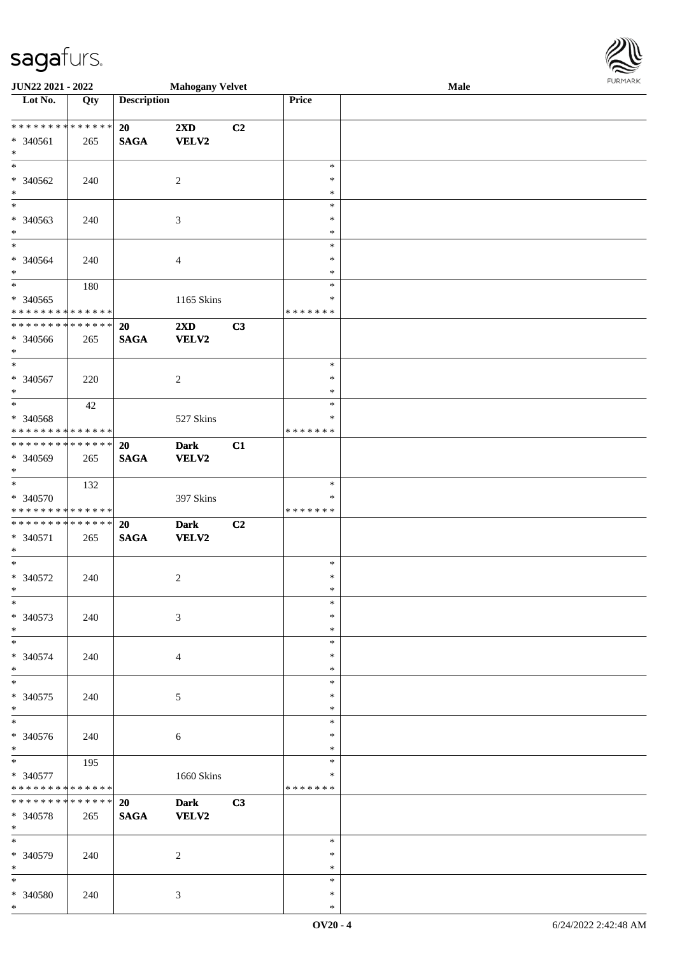\*

| <b>JUN22 2021 - 2022</b>                   |     |                    | <b>Mahogany Velvet</b>  |    |               | Male | <b>FUNITANN</b> |
|--------------------------------------------|-----|--------------------|-------------------------|----|---------------|------|-----------------|
| Lot No.                                    | Qty | <b>Description</b> |                         |    | Price         |      |                 |
|                                            |     |                    |                         |    |               |      |                 |
| ******** <mark>******</mark>               |     | 20                 | $2\mathbf{X}\mathbf{D}$ | C2 |               |      |                 |
| $* 340561$                                 | 265 | <b>SAGA</b>        | VELV2                   |    |               |      |                 |
| $\ast$                                     |     |                    |                         |    |               |      |                 |
|                                            |     |                    |                         |    | $\ast$        |      |                 |
| * 340562                                   | 240 |                    | 2                       |    | $\ast$        |      |                 |
| $*$                                        |     |                    |                         |    | $\ast$        |      |                 |
| $\ast$                                     |     |                    |                         |    | $\ast$        |      |                 |
|                                            |     |                    |                         |    |               |      |                 |
| * 340563                                   | 240 |                    | 3                       |    | $\ast$        |      |                 |
| $\ast$                                     |     |                    |                         |    | $\ast$        |      |                 |
| $\overline{\ast}$                          |     |                    |                         |    | $\ast$        |      |                 |
| * 340564                                   | 240 |                    | $\overline{4}$          |    | $\ast$        |      |                 |
| $\ast$                                     |     |                    |                         |    | $\ast$        |      |                 |
| $\overline{\ast}$                          | 180 |                    |                         |    | $\ast$        |      |                 |
| * 340565                                   |     |                    | 1165 Skins              |    | $\ast$        |      |                 |
| * * * * * * * * <mark>* * * * * * *</mark> |     |                    |                         |    | * * * * * * * |      |                 |
| * * * * * * * * <mark>* * * * * * *</mark> |     | 20                 | $2\mathbf{X}\mathbf{D}$ | C3 |               |      |                 |
| * 340566                                   | 265 | <b>SAGA</b>        | <b>VELV2</b>            |    |               |      |                 |
| $\ast$                                     |     |                    |                         |    |               |      |                 |
| $*$                                        |     |                    |                         |    | $\ast$        |      |                 |
| * 340567                                   |     |                    |                         |    | $\ast$        |      |                 |
|                                            | 220 |                    | 2                       |    | $\ast$        |      |                 |
| $*$<br>$\overline{\phantom{0}}$            |     |                    |                         |    |               |      |                 |
|                                            | 42  |                    |                         |    | $\ast$        |      |                 |
| * 340568                                   |     |                    | 527 Skins               |    | $\ast$        |      |                 |
| * * * * * * * * <mark>* * * * * * *</mark> |     |                    |                         |    | * * * * * * * |      |                 |
| * * * * * * * * <mark>* * * * * * *</mark> |     | 20                 | <b>Dark</b>             | C1 |               |      |                 |
| * 340569                                   | 265 | <b>SAGA</b>        | <b>VELV2</b>            |    |               |      |                 |
| $*$                                        |     |                    |                         |    |               |      |                 |
| $\overline{\phantom{0}}$                   | 132 |                    |                         |    | $\ast$        |      |                 |
| * 340570                                   |     |                    | 397 Skins               |    | ∗             |      |                 |
| * * * * * * * * <mark>* * * * * *</mark>   |     |                    |                         |    | * * * * * * * |      |                 |
| * * * * * * * * * * * * * * <mark>*</mark> |     | <b>20</b>          | <b>Dark</b>             | C2 |               |      |                 |
| * 340571                                   | 265 | <b>SAGA</b>        | <b>VELV2</b>            |    |               |      |                 |
| $*$                                        |     |                    |                         |    |               |      |                 |
| $\ast$                                     |     |                    |                         |    | $\ast$        |      |                 |
|                                            |     |                    |                         |    |               |      |                 |
| $* 340572$                                 | 240 |                    | 2                       |    | $\ast$        |      |                 |
| $\ast$                                     |     |                    |                         |    | $*$           |      |                 |
| $\ast$                                     |     |                    |                         |    | $\ast$        |      |                 |
| * 340573                                   | 240 |                    | 3                       |    | $\ast$        |      |                 |
| $*$                                        |     |                    |                         |    | $\ast$        |      |                 |
|                                            |     |                    |                         |    | $\ast$        |      |                 |
| * 340574                                   | 240 |                    | $\overline{4}$          |    | $\ast$        |      |                 |
| $*$                                        |     |                    |                         |    | $\ast$        |      |                 |
| $\ast$                                     |     |                    |                         |    | $\ast$        |      |                 |
| * 340575                                   | 240 |                    | 5                       |    | ∗             |      |                 |
| $\ast$                                     |     |                    |                         |    | $\ast$        |      |                 |
|                                            |     |                    |                         |    | $\ast$        |      |                 |
| * 340576                                   | 240 |                    | 6                       |    | $\ast$        |      |                 |
| $*$                                        |     |                    |                         |    | $\ast$        |      |                 |
| $\overline{\ast}$                          | 195 |                    |                         |    | $\ast$        |      |                 |
|                                            |     |                    |                         |    | ∗             |      |                 |
| * 340577                                   |     |                    | 1660 Skins              |    |               |      |                 |
| * * * * * * * * <mark>* * * * * * *</mark> |     |                    |                         |    | *******       |      |                 |
| * * * * * * * * * * * * * * *              |     | <b>20</b>          | <b>Dark</b>             | C3 |               |      |                 |
| * 340578                                   | 265 | <b>SAGA</b>        | <b>VELV2</b>            |    |               |      |                 |
| $\ast$                                     |     |                    |                         |    |               |      |                 |
|                                            |     |                    |                         |    | $\ast$        |      |                 |
| * 340579                                   | 240 |                    | 2                       |    | $\ast$        |      |                 |
| $\ast$                                     |     |                    |                         |    | $\ast$        |      |                 |
| $\ast$                                     |     |                    |                         |    | $\ast$        |      |                 |
| * 340580                                   | 240 |                    | $\mathfrak{Z}$          |    | $\ast$        |      |                 |

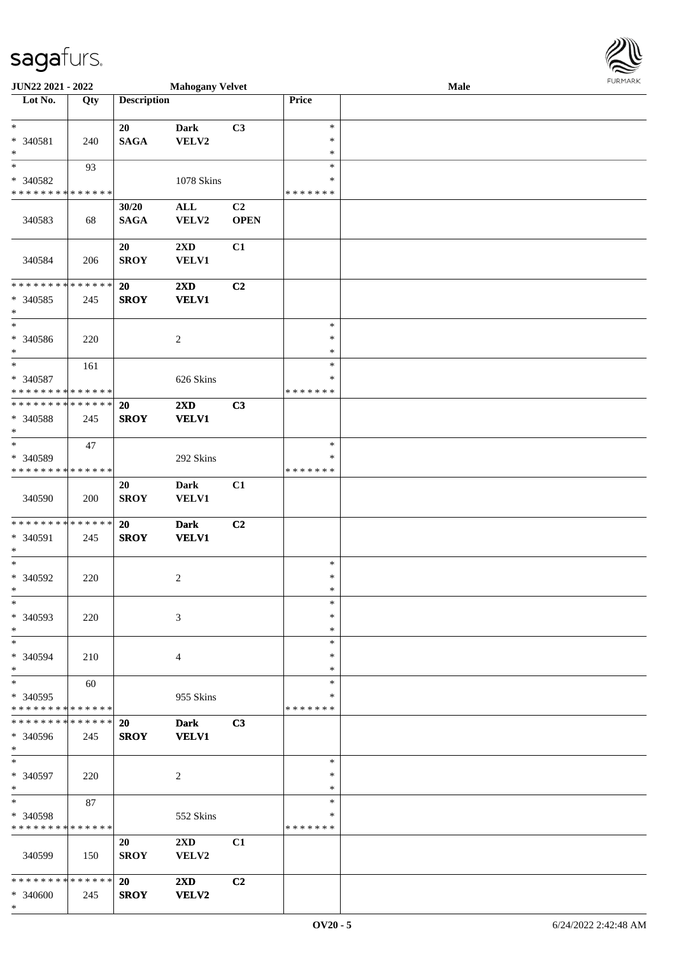\*

| <b>JUN22 2021 - 2022</b>                                                              |                      |                          | <b>Mahogany Velvet</b>                  |                   |                                   | Male | FURMARK |
|---------------------------------------------------------------------------------------|----------------------|--------------------------|-----------------------------------------|-------------------|-----------------------------------|------|---------|
| Lot No.                                                                               | Qty                  | <b>Description</b>       |                                         |                   | Price                             |      |         |
| $\ast$<br>* 340581<br>$\ast$                                                          | 240                  | 20<br><b>SAGA</b>        | <b>Dark</b><br>VELV2                    | C3                | $\ast$<br>∗<br>$\ast$             |      |         |
| $_{*}$<br>* 340582<br>* * * * * * * * * * * * * *                                     | 93                   |                          | 1078 Skins                              |                   | $\ast$<br>∗<br>* * * * * * *      |      |         |
| 340583                                                                                | 68                   | 30/20<br><b>SAGA</b>     | $\mathbf{ALL}$<br>VELV2                 | C2<br><b>OPEN</b> |                                   |      |         |
| 340584                                                                                | 206                  | 20<br><b>SROY</b>        | $2\mathbf{X}\mathbf{D}$<br><b>VELV1</b> | C1                |                                   |      |         |
| * * * * * * * * <mark>* * * * * * *</mark><br>* 340585<br>$\ast$                      | 245                  | <b>20</b><br><b>SROY</b> | $2\mathbf{X}\mathbf{D}$<br><b>VELV1</b> | C2                |                                   |      |         |
| * 340586<br>$\ast$                                                                    | 220                  |                          | 2                                       |                   | $\ast$<br>$\ast$<br>$\ast$        |      |         |
| $*$<br>* 340587<br>* * * * * * * * <mark>* * * * * * *</mark>                         | 161                  |                          | 626 Skins                               |                   | $\ast$<br>∗<br>* * * * * * *      |      |         |
| * * * * * * * * <mark>* * * * * * *</mark><br>* 340588<br>$\ast$                      | 245                  | 20<br><b>SROY</b>        | 2XD<br><b>VELV1</b>                     | C3                |                                   |      |         |
| $\ddot{x}$<br>* 340589<br>* * * * * * * * <mark>* * * * * * *</mark>                  | 47                   |                          | 292 Skins                               |                   | $\ast$<br>$\ast$<br>* * * * * * * |      |         |
| 340590                                                                                | 200                  | 20<br><b>SROY</b>        | <b>Dark</b><br><b>VELV1</b>             | C1                |                                   |      |         |
| * * * * * * * * <mark>* * * * * * *</mark><br>* 340591<br>$\ast$<br>$\overline{\ast}$ | 245                  | 20<br><b>SROY</b>        | <b>Dark</b><br><b>VELV1</b>             | C2                |                                   |      |         |
| * 340592<br>∗                                                                         | 220                  |                          | 2                                       |                   | $\ast$<br>$\ast$<br>∗             |      |         |
| $\ast$<br>* 340593<br>$*$                                                             | 220                  |                          | 3                                       |                   | $\ast$<br>∗<br>∗                  |      |         |
| $\ast$<br>* 340594<br>$\ast$                                                          | 210                  |                          | $\overline{4}$                          |                   | $\ast$<br>$\ast$<br>$\ast$        |      |         |
| $\ast$<br>* 340595<br>* * * * * * * * <mark>* * * * * *</mark>                        | 60                   |                          | 955 Skins                               |                   | $\ast$<br>∗<br>* * * * * * *      |      |         |
| * * * * * * * *<br>* 340596<br>$\ast$                                                 | * * * * * *<br>245   | 20<br><b>SROY</b>        | <b>Dark</b><br><b>VELV1</b>             | C3                |                                   |      |         |
| $\ast$<br>* 340597<br>$\ast$                                                          | 220                  |                          | 2                                       |                   | $\ast$<br>$\ast$<br>$\ast$        |      |         |
| $*$<br>* 340598<br>* * * * * * * * <mark>* * * * * * *</mark>                         | 87                   |                          | 552 Skins                               |                   | $\ast$<br>∗<br>* * * * * * *      |      |         |
| 340599                                                                                | 150                  | 20<br><b>SROY</b>        | $2\mathbf{X}\mathbf{D}$<br>VELV2        | C1                |                                   |      |         |
| * * * * * * * *<br>* 340600                                                           | * * * * * *  <br>245 | <b>20</b><br><b>SROY</b> | $2\mathbf{X}\mathbf{D}$<br>VELV2        | C2                |                                   |      |         |

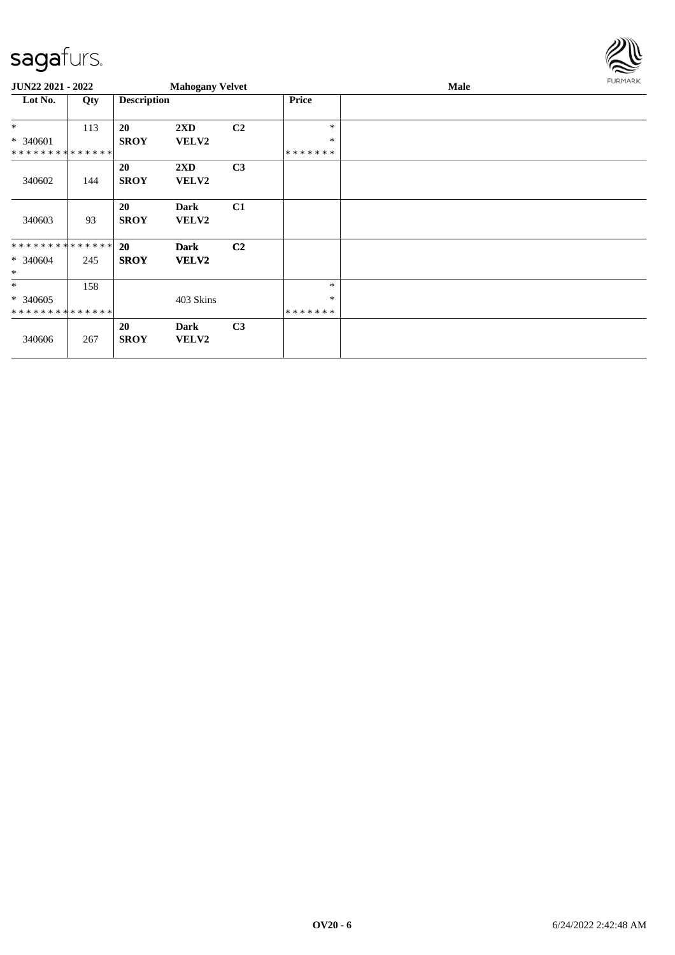

| <b>JUN22 2021 - 2022</b>    |     |                    | <b>Mahogany Velvet</b>  |                |         | Male |  |  |  |  |
|-----------------------------|-----|--------------------|-------------------------|----------------|---------|------|--|--|--|--|
| Lot No.                     | Qty | <b>Description</b> |                         |                | Price   |      |  |  |  |  |
| $*$                         | 113 | 20                 | $2\mathbf{X}\mathbf{D}$ | C <sub>2</sub> | *       |      |  |  |  |  |
| * 340601                    |     | <b>SROY</b>        | <b>VELV2</b>            |                | $\ast$  |      |  |  |  |  |
| **************              |     |                    |                         |                | ******* |      |  |  |  |  |
|                             |     | 20                 | $2\mathbf{X}\mathbf{D}$ | C <sub>3</sub> |         |      |  |  |  |  |
| 340602                      | 144 | <b>SROY</b>        | <b>VELV2</b>            |                |         |      |  |  |  |  |
|                             |     |                    |                         |                |         |      |  |  |  |  |
|                             |     | <b>20</b>          | <b>Dark</b>             | C1             |         |      |  |  |  |  |
| 340603                      | 93  | <b>SROY</b>        | <b>VELV2</b>            |                |         |      |  |  |  |  |
|                             |     |                    |                         |                |         |      |  |  |  |  |
| **************              |     | <b>20</b>          | <b>Dark</b>             | C <sub>2</sub> |         |      |  |  |  |  |
| $* 340604$                  | 245 | <b>SROY</b>        | <b>VELV2</b>            |                |         |      |  |  |  |  |
| $\ast$                      |     |                    |                         |                |         |      |  |  |  |  |
| $*$                         | 158 |                    |                         |                | $\ast$  |      |  |  |  |  |
| * 340605                    |     |                    | 403 Skins               |                | $\ast$  |      |  |  |  |  |
| * * * * * * * * * * * * * * |     |                    |                         |                | ******* |      |  |  |  |  |
|                             |     | 20                 | Dark                    | C <sub>3</sub> |         |      |  |  |  |  |
| 340606                      | 267 | <b>SROY</b>        | VELV2                   |                |         |      |  |  |  |  |
|                             |     |                    |                         |                |         |      |  |  |  |  |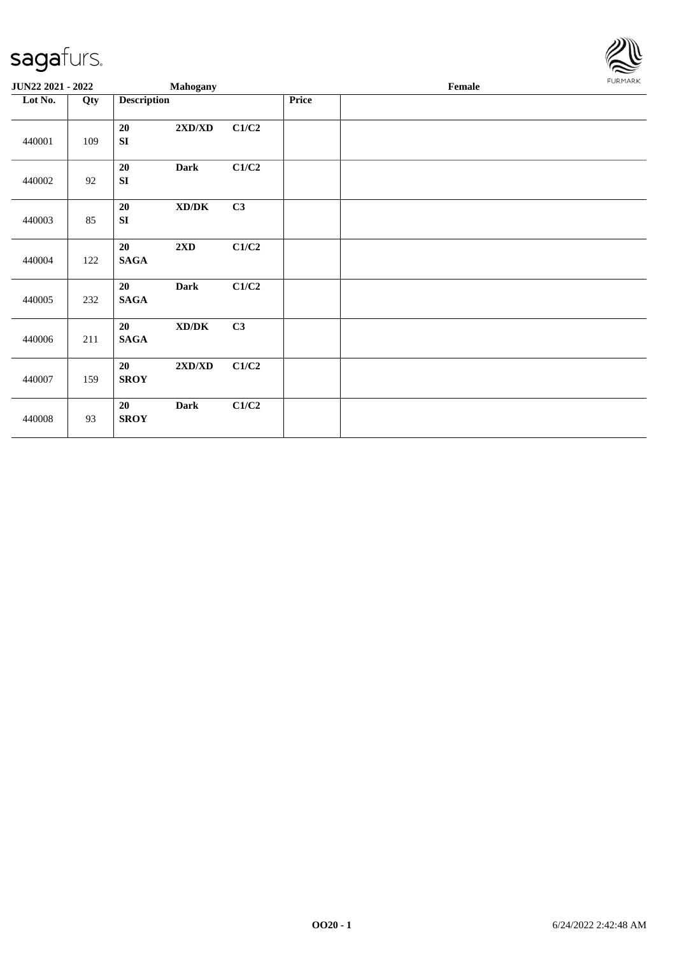

| JUN22 2021 - 2022 |     | <b>Mahogany</b>       |                                     |       |       | Female | FURMARK |
|-------------------|-----|-----------------------|-------------------------------------|-------|-------|--------|---------|
| Lot No.           | Qty | <b>Description</b>    |                                     |       | Price |        |         |
| 440001            | 109 | 20<br>SI              | $2{\bf X}{\bf D}/{\bf X}{\bf D}$    | C1/C2 |       |        |         |
| 440002            | 92  | 20<br>SI              | <b>Dark</b>                         | C1/C2 |       |        |         |
| 440003            | 85  | 20<br>SI              | $\bold{X}\bold{D}/\bold{D}\bold{K}$ | C3    |       |        |         |
| 440004            | 122 | 20<br><b>SAGA</b>     | $2{\bf X}{\bf D}$                   | C1/C2 |       |        |         |
| 440005            | 232 | 20<br><b>SAGA</b>     | <b>Dark</b>                         | C1/C2 |       |        |         |
| 440006            | 211 | 20<br>$\mathbf{SAGA}$ | $\bold{X}\bold{D}/\bold{D}\bold{K}$ | C3    |       |        |         |
| 440007            | 159 | 20<br><b>SROY</b>     | 2XD/XD                              | C1/C2 |       |        |         |
| 440008            | 93  | 20<br><b>SROY</b>     | <b>Dark</b>                         | C1/C2 |       |        |         |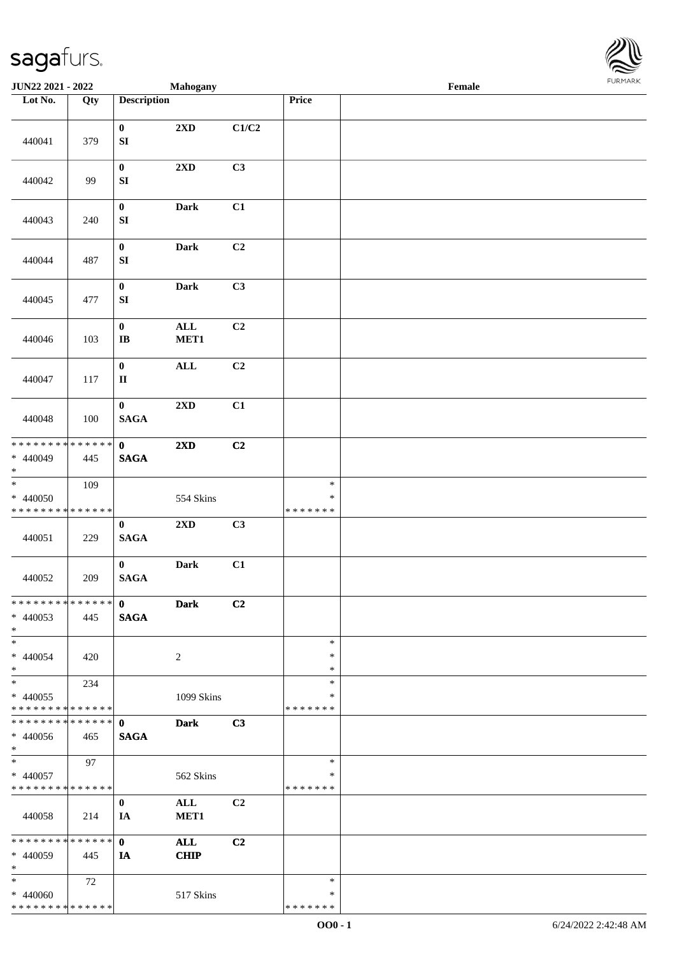

| JUN22 2021 - 2022           |             |                        | Mahogany       |       |                  | Female |  |
|-----------------------------|-------------|------------------------|----------------|-------|------------------|--------|--|
| Lot No.                     | Qty         | <b>Description</b>     |                |       | Price            |        |  |
|                             |             |                        |                |       |                  |        |  |
|                             |             | $\mathbf 0$            | 2XD            | C1/C2 |                  |        |  |
| 440041                      | 379         | ${\bf S}{\bf I}$       |                |       |                  |        |  |
|                             |             |                        |                |       |                  |        |  |
|                             |             | $\pmb{0}$              | 2XD            | C3    |                  |        |  |
| 440042                      | 99          | ${\bf SI}$             |                |       |                  |        |  |
|                             |             |                        |                |       |                  |        |  |
|                             |             | $\pmb{0}$              | Dark           | C1    |                  |        |  |
| 440043                      | 240         | ${\bf SI}$             |                |       |                  |        |  |
|                             |             | $\pmb{0}$              | Dark           | C2    |                  |        |  |
| 440044                      | 487         | ${\bf SI}$             |                |       |                  |        |  |
|                             |             |                        |                |       |                  |        |  |
|                             |             | $\pmb{0}$              | Dark           | C3    |                  |        |  |
| 440045                      | 477         | SI                     |                |       |                  |        |  |
|                             |             |                        |                |       |                  |        |  |
|                             |             | $\pmb{0}$              | $\mathbf{ALL}$ | C2    |                  |        |  |
| 440046                      | 103         | $\bf IB$               | MET1           |       |                  |        |  |
|                             |             |                        |                |       |                  |        |  |
|                             |             | $\pmb{0}$              | $\mathbf{ALL}$ | C2    |                  |        |  |
| 440047                      | 117         | $\mathbf{I}\mathbf{I}$ |                |       |                  |        |  |
|                             |             | $\pmb{0}$              | 2XD            | C1    |                  |        |  |
| 440048                      | 100         | <b>SAGA</b>            |                |       |                  |        |  |
|                             |             |                        |                |       |                  |        |  |
| ********                    | * * * * * * | $\mathbf 0$            | 2XD            | C2    |                  |        |  |
| * 440049                    | 445         | $\mathbf{SAGA}$        |                |       |                  |        |  |
| $\ast$                      |             |                        |                |       |                  |        |  |
| $\overline{\phantom{a}^*}$  | 109         |                        |                |       | $\ast$           |        |  |
| * 440050                    |             |                        | 554 Skins      |       | $\ast$           |        |  |
| * * * * * * * * * * * * * * |             |                        |                |       | * * * * * * *    |        |  |
|                             |             | $\boldsymbol{0}$       | 2XD            | C3    |                  |        |  |
| 440051                      | 229         | $\mathbf{SAGA}$        |                |       |                  |        |  |
|                             |             | $\bf{0}$               | Dark           | C1    |                  |        |  |
| 440052                      | 209         | $\mathbf{SAGA}$        |                |       |                  |        |  |
|                             |             |                        |                |       |                  |        |  |
| **************              |             | $\mathbf{0}$           | <b>Dark</b>    | C2    |                  |        |  |
| $* 440053$                  | 445         | <b>SAGA</b>            |                |       |                  |        |  |
| $*$                         |             |                        |                |       |                  |        |  |
| $\ast$                      |             |                        |                |       | $\ast$           |        |  |
| $* 440054$                  | 420         |                        | 2              |       | $\ast$           |        |  |
| $*$<br>$\ast$               |             |                        |                |       | $\ast$<br>$\ast$ |        |  |
| $* 440055$                  | 234         |                        | 1099 Skins     |       | $\ast$           |        |  |
| * * * * * * * * * * * * * * |             |                        |                |       | * * * * * * *    |        |  |
| **************              |             | $\mathbf{0}$           | <b>Dark</b>    | C3    |                  |        |  |
| $* 440056$                  | 465         | <b>SAGA</b>            |                |       |                  |        |  |
| $*$                         |             |                        |                |       |                  |        |  |
| $\ast$                      | 97          |                        |                |       | $\ast$           |        |  |
| * 440057                    |             |                        | 562 Skins      |       | $\ast$           |        |  |
| * * * * * * * * * * * * * * |             |                        |                |       | * * * * * * *    |        |  |
|                             |             | $\bf{0}$               | ALL            | C2    |                  |        |  |
| 440058                      | 214         | IA                     | MET1           |       |                  |        |  |
| * * * * * * * * * * * * * * |             | $\mathbf{0}$           | <b>ALL</b>     | C2    |                  |        |  |
| $* 440059$                  | 445         | <b>IA</b>              | <b>CHIP</b>    |       |                  |        |  |
| $*$                         |             |                        |                |       |                  |        |  |
| $\ast$                      | 72          |                        |                |       | $\ast$           |        |  |
| $* 440060$                  |             |                        | 517 Skins      |       | $\ast$           |        |  |
| * * * * * * * * * * * * * * |             |                        |                |       | * * * * * * *    |        |  |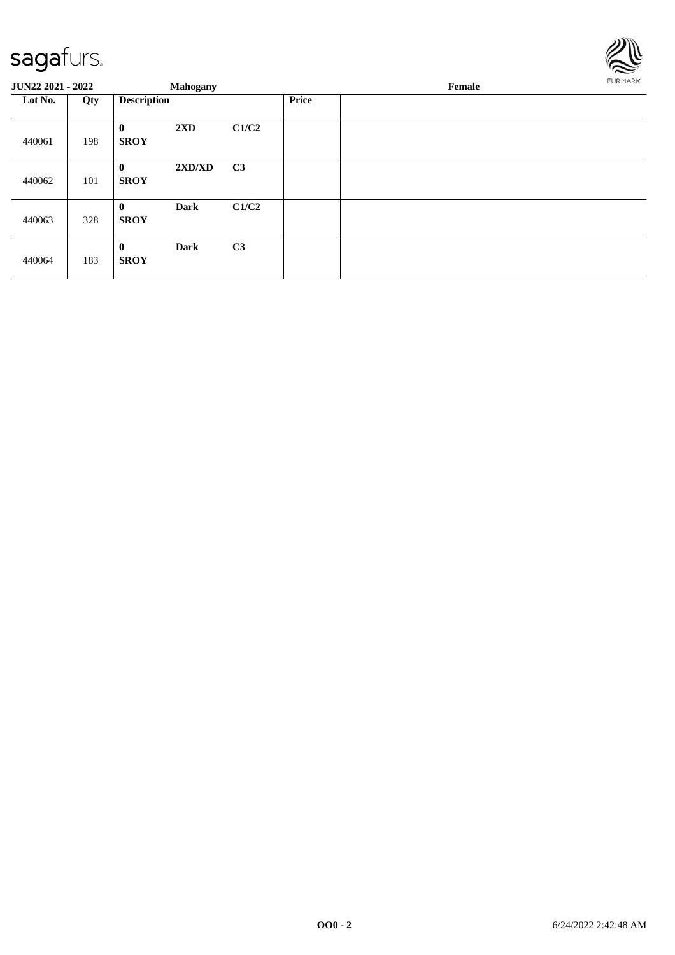

| <b>JUN22 2021 - 2022</b> |     |                             | <b>Mahogany</b> |                |              | Female | FURMARK |
|--------------------------|-----|-----------------------------|-----------------|----------------|--------------|--------|---------|
| Lot No.                  | Qty | <b>Description</b>          |                 |                | <b>Price</b> |        |         |
| 440061                   | 198 | $\mathbf{0}$<br><b>SROY</b> | 2XD             | C1/C2          |              |        |         |
| 440062                   | 101 | $\mathbf{0}$<br><b>SROY</b> | 2XD/XD          | C <sub>3</sub> |              |        |         |
| 440063                   | 328 | $\bf{0}$<br><b>SROY</b>     | <b>Dark</b>     | C1/C2          |              |        |         |
| 440064                   | 183 | $\bf{0}$<br><b>SROY</b>     | <b>Dark</b>     | C <sub>3</sub> |              |        |         |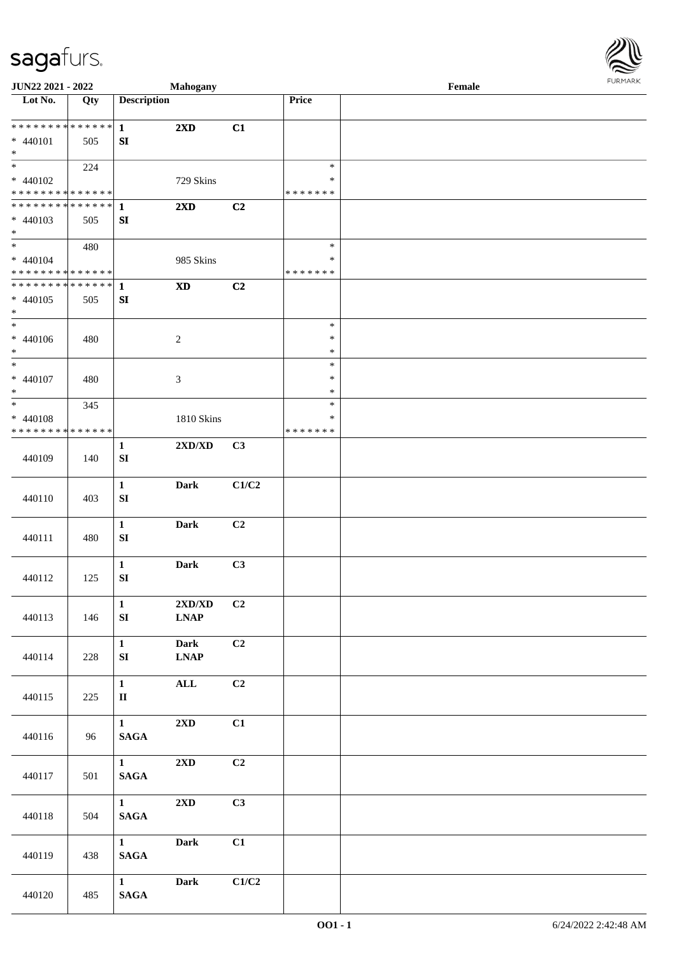

| <b>JUN22 2021 - 2022</b>                   |     |                    | <b>Mahogany</b>                  |                |               | Female |  |
|--------------------------------------------|-----|--------------------|----------------------------------|----------------|---------------|--------|--|
| Lot No.                                    | Qty | <b>Description</b> |                                  |                | Price         |        |  |
|                                            |     |                    |                                  |                |               |        |  |
| * * * * * * * * * * * * * * *              |     | $\mathbf{1}$       | $2\mathbf{X}\mathbf{D}$          | C1             |               |        |  |
| * 440101                                   | 505 | SI                 |                                  |                |               |        |  |
| $*$                                        |     |                    |                                  |                |               |        |  |
|                                            | 224 |                    |                                  |                | $\ast$        |        |  |
| $* 440102$                                 |     |                    | 729 Skins                        |                | $\ast$        |        |  |
| * * * * * * * * * * * * * *                |     |                    |                                  |                | * * * * * * * |        |  |
| * * * * * * * * * * * * * * *              |     | 1                  | 2XD                              | C2             |               |        |  |
| * 440103                                   | 505 | ${\bf S}{\bf I}$   |                                  |                |               |        |  |
| $*$                                        |     |                    |                                  |                |               |        |  |
|                                            | 480 |                    |                                  |                | $\ast$        |        |  |
| $* 440104$                                 |     |                    | 985 Skins                        |                | $\ast$        |        |  |
| * * * * * * * * <mark>* * * * * * *</mark> |     |                    |                                  |                | * * * * * * * |        |  |
| ******** <mark>******</mark>               |     | $\mathbf{1}$       | <b>XD</b>                        | C2             |               |        |  |
| $* 440105$                                 | 505 | SI                 |                                  |                |               |        |  |
| $*$                                        |     |                    |                                  |                |               |        |  |
| $*$                                        |     |                    |                                  |                | $\ast$        |        |  |
| $* 440106$                                 | 480 |                    | $\overline{c}$                   |                | $\ast$        |        |  |
| $\ast$                                     |     |                    |                                  |                | $\ast$        |        |  |
| $*$                                        |     |                    |                                  |                | $\ast$        |        |  |
| $* 440107$                                 | 480 |                    | 3                                |                | $\ast$        |        |  |
| $*$                                        |     |                    |                                  |                | $\ast$        |        |  |
| $*$                                        | 345 |                    |                                  |                | $\ast$        |        |  |
| * 440108                                   |     |                    | 1810 Skins                       |                | ∗             |        |  |
| * * * * * * * * * * * * * *                |     |                    |                                  |                | * * * * * * * |        |  |
|                                            |     | $\mathbf{1}$       | $2{\bf X}{\bf D}/{\bf X}{\bf D}$ | C3             |               |        |  |
| 440109                                     | 140 | SI                 |                                  |                |               |        |  |
|                                            |     |                    |                                  |                |               |        |  |
|                                            |     | $\mathbf{1}$       | <b>Dark</b>                      | C1/C2          |               |        |  |
| 440110                                     | 403 | ${\bf S}{\bf I}$   |                                  |                |               |        |  |
|                                            |     |                    |                                  |                |               |        |  |
|                                            |     | $\mathbf{1}$       | Dark                             | C2             |               |        |  |
| 440111                                     | 480 | SI                 |                                  |                |               |        |  |
|                                            |     |                    |                                  |                |               |        |  |
|                                            |     | $\mathbf{1}$       | Dark                             | C3             |               |        |  |
| 440112                                     | 125 | ${\bf SI}$         |                                  |                |               |        |  |
|                                            |     |                    |                                  |                |               |        |  |
|                                            |     | $\mathbf{1}$       | 2XD/XD                           | C2             |               |        |  |
| 440113                                     | 146 | SI                 | <b>LNAP</b>                      |                |               |        |  |
|                                            |     |                    |                                  |                |               |        |  |
|                                            |     | $\mathbf{1}$       |                                  | C2             |               |        |  |
|                                            |     |                    | <b>Dark</b>                      |                |               |        |  |
| 440114                                     | 228 | SI                 | <b>LNAP</b>                      |                |               |        |  |
|                                            |     |                    |                                  |                |               |        |  |
|                                            |     | $\mathbf{1}$       | $\mathbf{ALL}$                   | C2             |               |        |  |
| 440115                                     | 225 | $\mathbf{I}$       |                                  |                |               |        |  |
|                                            |     |                    |                                  |                |               |        |  |
|                                            |     | 1                  | 2XD                              | C1             |               |        |  |
| 440116                                     | 96  | $\mathbf{SAGA}$    |                                  |                |               |        |  |
|                                            |     |                    |                                  |                |               |        |  |
|                                            |     | $1 \quad$          | $2{\bf X}{\bf D}$                | C <sub>2</sub> |               |        |  |
| 440117                                     | 501 | $\mathbf{SAGA}$    |                                  |                |               |        |  |
|                                            |     |                    |                                  |                |               |        |  |
|                                            |     | $1 \qquad \qquad$  | $2\mathbf{X}\mathbf{D}$          | C3             |               |        |  |
| 440118                                     | 504 | $\mathbf{SAGA}$    |                                  |                |               |        |  |
|                                            |     |                    |                                  |                |               |        |  |
|                                            |     | $1 \qquad \qquad$  | Dark                             | C1             |               |        |  |
| 440119                                     | 438 | $\mathbf{SAGA}$    |                                  |                |               |        |  |
|                                            |     |                    |                                  |                |               |        |  |
|                                            |     | $1$ and $\sim$     | <b>Dark</b>                      | C1/C2          |               |        |  |
| 440120                                     | 485 | $\mathbf{SAGA}$    |                                  |                |               |        |  |
|                                            |     |                    |                                  |                |               |        |  |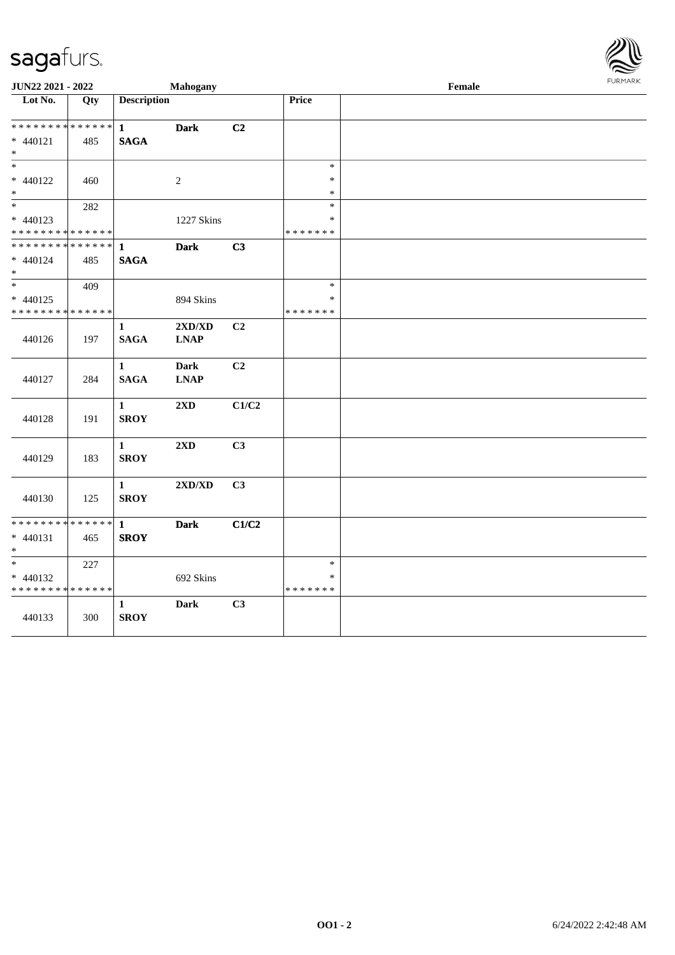

| JUN22 2021 - 2022                                   |     |                             | Mahogany                                                  |       |                                   | Female | FURMARK |
|-----------------------------------------------------|-----|-----------------------------|-----------------------------------------------------------|-------|-----------------------------------|--------|---------|
| Lot No.                                             | Qty | <b>Description</b>          |                                                           |       | Price                             |        |         |
| ******** <mark>******</mark><br>* 440121<br>$\ast$  | 485 | $\mathbf{1}$<br><b>SAGA</b> | <b>Dark</b>                                               | C2    |                                   |        |         |
| $\ast$<br>$* 440122$<br>$\ast$                      | 460 |                             | $\sqrt{2}$                                                |       | $\ast$<br>$\ast$<br>$\ast$        |        |         |
| $\ast$<br>$* 440123$<br>* * * * * * * * * * * * * * | 282 |                             | 1227 Skins                                                |       | $\ast$<br>$\ast$<br>* * * * * * * |        |         |
| * * * * * * * * * * * * * *<br>$* 440124$<br>$\ast$ | 485 | $\mathbf{1}$<br><b>SAGA</b> | <b>Dark</b>                                               | C3    |                                   |        |         |
| $\ast$<br>$* 440125$<br>* * * * * * * * * * * * * * | 409 |                             | 894 Skins                                                 |       | $\ast$<br>$\ast$<br>* * * * * * * |        |         |
| 440126                                              | 197 | 1<br><b>SAGA</b>            | 2XD/XD<br>$\mathbf{L}\mathbf{N}\mathbf{A}\mathbf{P}$      | C2    |                                   |        |         |
| 440127                                              | 284 | $\mathbf{1}$<br><b>SAGA</b> | <b>Dark</b><br>$\mathbf{L}\mathbf{N}\mathbf{A}\mathbf{P}$ | C2    |                                   |        |         |
| 440128                                              | 191 | $\mathbf{1}$<br><b>SROY</b> | 2XD                                                       | C1/C2 |                                   |        |         |
| 440129                                              | 183 | $\mathbf{1}$<br><b>SROY</b> | 2XD                                                       | C3    |                                   |        |         |
| 440130                                              | 125 | $\mathbf{1}$<br><b>SROY</b> | 2XD/XD                                                    | C3    |                                   |        |         |
| * * * * * * * * * * * * * *<br>$* 440131$<br>$\ast$ | 465 | $\mathbf{1}$<br><b>SROY</b> | <b>Dark</b>                                               | C1/C2 |                                   |        |         |
| $\ast$<br>$* 440132$<br>* * * * * * * * * * * * * * | 227 |                             | 692 Skins                                                 |       | $\ast$<br>$\ast$<br>* * * * * * * |        |         |
| 440133                                              | 300 | 1<br><b>SROY</b>            | <b>Dark</b>                                               | C3    |                                   |        |         |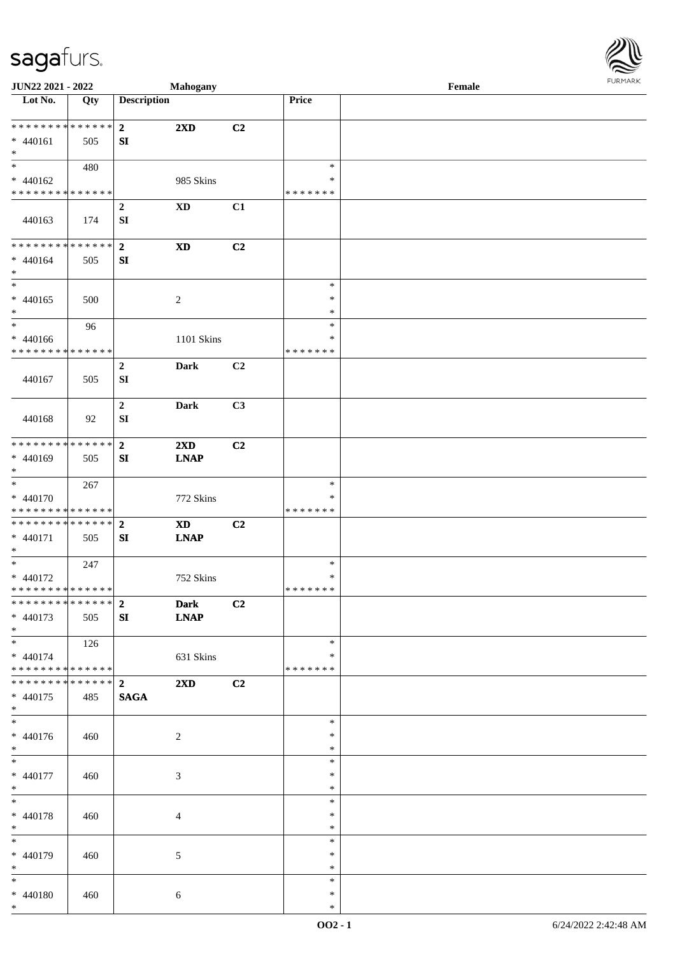

| JUN22 2021 - 2022                          |                   |                         | <b>Mahogany</b>         |                |                  | Female |  |
|--------------------------------------------|-------------------|-------------------------|-------------------------|----------------|------------------|--------|--|
| Lot No.                                    | $\overline{Q}$ ty | <b>Description</b>      |                         |                | Price            |        |  |
|                                            |                   |                         |                         |                |                  |        |  |
| ******** <mark>******</mark>               |                   | $\overline{2}$          | $2\mathbf{X}\mathbf{D}$ | C2             |                  |        |  |
| $* 440161$                                 | 505               | SI                      |                         |                |                  |        |  |
| $\ast$<br>$\overline{\phantom{0}}$         |                   |                         |                         |                |                  |        |  |
|                                            | 480               |                         |                         |                | $\ast$           |        |  |
| $* 440162$                                 |                   |                         | 985 Skins               |                | ∗                |        |  |
| * * * * * * * * * * * * * *                |                   |                         |                         |                | * * * * * * *    |        |  |
|                                            |                   | $\boldsymbol{2}$        | $\mathbf{X}\mathbf{D}$  | C1             |                  |        |  |
| 440163                                     | 174               | SI                      |                         |                |                  |        |  |
|                                            |                   |                         |                         |                |                  |        |  |
| * * * * * * * * * * * * * *                |                   | $\overline{\mathbf{2}}$ | $\mathbf{X}\mathbf{D}$  | C2             |                  |        |  |
| $* 440164$                                 | 505               | ${\bf SI}$              |                         |                |                  |        |  |
| $\ast$<br>$\ast$                           |                   |                         |                         |                |                  |        |  |
|                                            |                   |                         |                         |                | $\ast$           |        |  |
| $* 440165$                                 | 500               |                         | $\overline{c}$          |                | $\ast$           |        |  |
| $\ast$                                     |                   |                         |                         |                | $\ast$           |        |  |
| $\ast$                                     | 96                |                         |                         |                | $\ast$           |        |  |
| $* 440166$                                 |                   |                         | 1101 Skins              |                | $\ast$           |        |  |
| * * * * * * * * * * * * * *                |                   |                         |                         |                | * * * * * * *    |        |  |
|                                            |                   | $\boldsymbol{2}$        | <b>Dark</b>             | C2             |                  |        |  |
| 440167                                     | 505               | ${\bf S}{\bf I}$        |                         |                |                  |        |  |
|                                            |                   |                         |                         |                |                  |        |  |
|                                            |                   | $\boldsymbol{2}$        | <b>Dark</b>             | C3             |                  |        |  |
| 440168                                     | 92                | SI                      |                         |                |                  |        |  |
|                                            |                   |                         |                         |                |                  |        |  |
| * * * * * * * * * * * * * *                |                   | $\overline{\mathbf{2}}$ | 2XD                     | C2             |                  |        |  |
| * 440169                                   | 505               | SI                      | <b>LNAP</b>             |                |                  |        |  |
| $*$                                        |                   |                         |                         |                |                  |        |  |
| $\ast$                                     | 267               |                         |                         |                | $\ast$           |        |  |
| * 440170                                   |                   |                         | 772 Skins               |                | ∗                |        |  |
| * * * * * * * * <mark>* * * * * * *</mark> |                   |                         |                         |                | * * * * * * *    |        |  |
| * * * * * * * * * * * * * * *              |                   | $\overline{2}$          | <b>XD</b>               | C <sub>2</sub> |                  |        |  |
| * 440171                                   | 505               | SI                      | <b>LNAP</b>             |                |                  |        |  |
| $*$                                        |                   |                         |                         |                |                  |        |  |
| $*$                                        | 247               |                         |                         |                | $\ast$           |        |  |
| $* 440172$                                 |                   |                         | 752 Skins               |                | $\ast$           |        |  |
| * * * * * * * * * * * * * *                |                   |                         |                         |                | * * * * * * *    |        |  |
| ******** <mark>******</mark>               |                   | $\overline{2}$          | <b>Dark</b>             | C <sub>2</sub> |                  |        |  |
| $* 440173$                                 | 505               | SI                      | <b>LNAP</b>             |                |                  |        |  |
| $*$                                        |                   |                         |                         |                |                  |        |  |
|                                            | 126               |                         |                         |                | $\ast$           |        |  |
| $* 440174$                                 |                   |                         | 631 Skins               |                | ∗                |        |  |
| * * * * * * * * * * * * * *                |                   |                         |                         |                | * * * * * * *    |        |  |
| * * * * * * * * * * * * * * *              |                   | $\overline{2}$          | $2\mathbf{X}\mathbf{D}$ | C2             |                  |        |  |
| * 440175<br>$*$                            | 485               | <b>SAGA</b>             |                         |                |                  |        |  |
| $\overline{\phantom{0}}$                   |                   |                         |                         |                | $\ast$           |        |  |
|                                            |                   |                         |                         |                |                  |        |  |
| $* 440176$<br>$*$                          | 460               |                         | $\overline{2}$          |                | ∗<br>$\ast$      |        |  |
| $*$                                        |                   |                         |                         |                | $\ast$           |        |  |
|                                            |                   |                         |                         |                |                  |        |  |
| $* 440177$                                 | 460               |                         | $\mathfrak{Z}$          |                | $\ast$           |        |  |
| $*$<br>$*$                                 |                   |                         |                         |                | $\ast$<br>$\ast$ |        |  |
|                                            |                   |                         |                         |                | $\ast$           |        |  |
| * 440178                                   | 460               |                         | 4                       |                | $\ast$           |        |  |
| $*$<br>$\overline{\phantom{0}}$            |                   |                         |                         |                | $\ast$           |        |  |
|                                            |                   |                         |                         |                |                  |        |  |
| * 440179<br>$*$                            | 460               |                         | 5                       |                | $\ast$           |        |  |
| $*$                                        |                   |                         |                         |                | $\ast$<br>$\ast$ |        |  |
|                                            |                   |                         |                         |                |                  |        |  |
| * 440180<br>$*$                            | 460               |                         | 6                       |                | $\ast$           |        |  |
|                                            |                   |                         |                         |                | $\ast$           |        |  |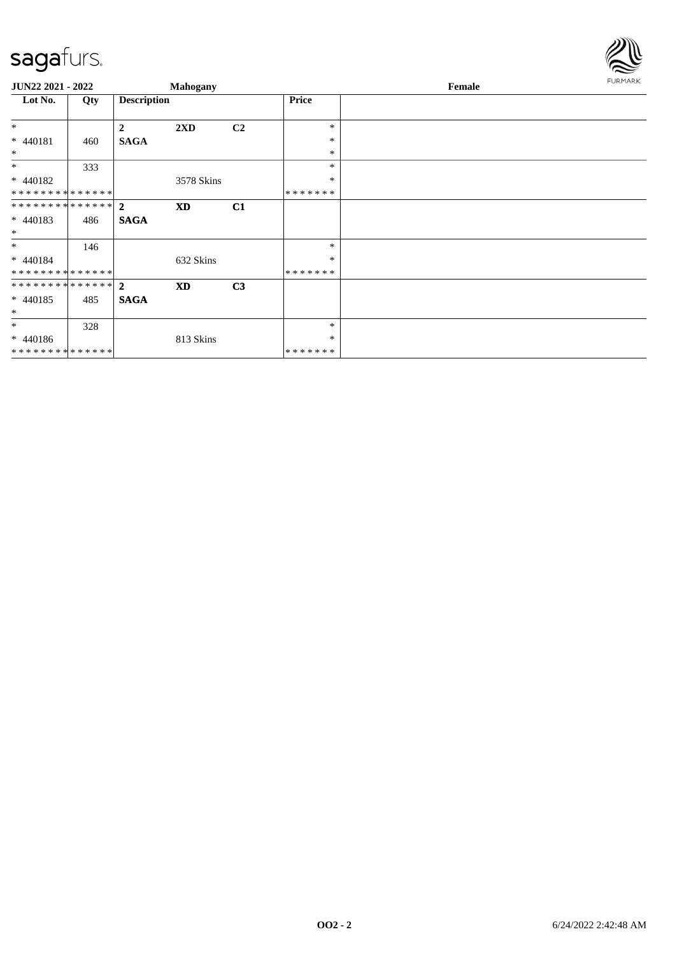

| JUN22 2021 - 2022                           |     |                    | Mahogany   |                |               | Female | FURMARK |
|---------------------------------------------|-----|--------------------|------------|----------------|---------------|--------|---------|
| Lot No.                                     | Qty | <b>Description</b> |            |                | <b>Price</b>  |        |         |
| $*$                                         |     | $\boldsymbol{2}$   | 2XD        | C2             | $\ast$        |        |         |
| * 440181                                    | 460 | <b>SAGA</b>        |            |                | $\ast$        |        |         |
| $\ast$<br>$\ast$                            |     |                    |            |                | *<br>*        |        |         |
| $* 440182$                                  | 333 |                    | 3578 Skins |                | $\ast$        |        |         |
| * * * * * * * * * * * * * *                 |     |                    |            |                | *******       |        |         |
| ************** 2<br>$* 440183$<br>$\ast$    | 486 | <b>SAGA</b>        | <b>XD</b>  | C1             |               |        |         |
| $\ast$                                      | 146 |                    |            |                | *             |        |         |
| $* 440184$<br>* * * * * * * * * * * * * * * |     |                    | 632 Skins  |                | *<br>*******  |        |         |
| ************** 2                            |     |                    | <b>XD</b>  | C <sub>3</sub> |               |        |         |
| $* 440185$<br>$\ast$                        | 485 | <b>SAGA</b>        |            |                |               |        |         |
| $\ast$                                      | 328 |                    |            |                | *             |        |         |
| $* 440186$                                  |     |                    | 813 Skins  |                | *             |        |         |
| **************                              |     |                    |            |                | * * * * * * * |        |         |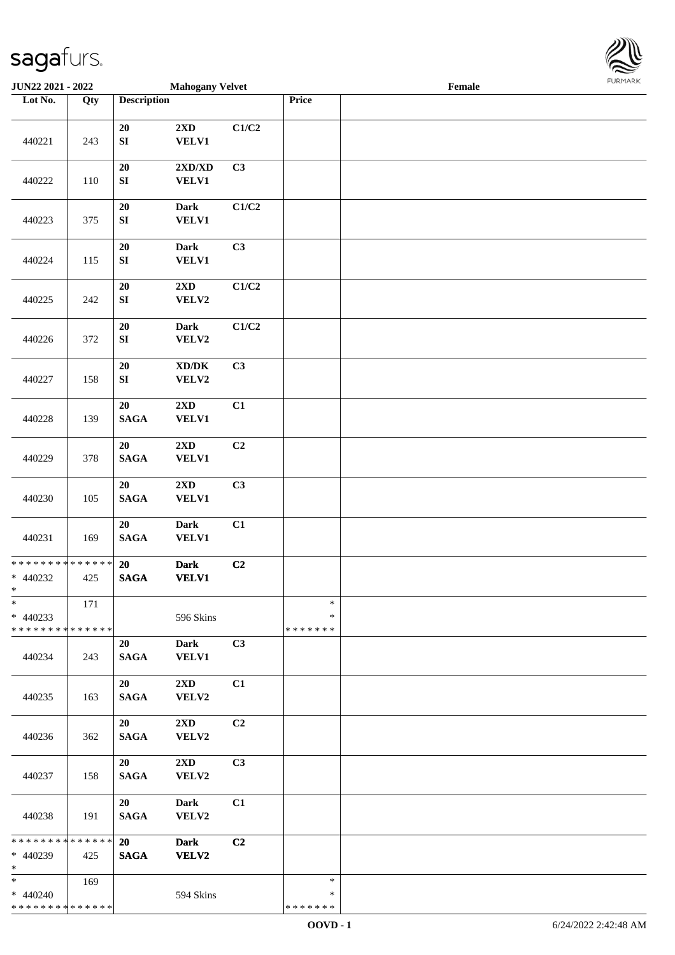

| JUN22 2021 - 2022                                     |     |                                | <b>Mahogany Velvet</b>                               |       |                              | Female |  |
|-------------------------------------------------------|-----|--------------------------------|------------------------------------------------------|-------|------------------------------|--------|--|
| Lot No.                                               | Qty | <b>Description</b>             |                                                      |       | Price                        |        |  |
| 440221                                                | 243 | 20<br>${\bf S}{\bf I}$         | $2\mathbf{X}\mathbf{D}$<br><b>VELV1</b>              | C1/C2 |                              |        |  |
| 440222                                                | 110 | 20<br>${\bf SI}$               | 2XD/XD<br><b>VELV1</b>                               | C3    |                              |        |  |
| 440223                                                | 375 | 20<br>${\bf SI}$               | <b>Dark</b><br><b>VELV1</b>                          | C1/C2 |                              |        |  |
| 440224                                                | 115 | ${\bf 20}$<br>${\bf S}{\bf I}$ | <b>Dark</b><br><b>VELV1</b>                          | C3    |                              |        |  |
| 440225                                                | 242 | 20<br>${\bf SI}$               | $2{\bf X}{\bf D}$<br>VELV2                           | C1/C2 |                              |        |  |
| 440226                                                | 372 | $20\,$<br>${\bf SI}$           | <b>Dark</b><br>VELV2                                 | C1/C2 |                              |        |  |
| 440227                                                | 158 | 20<br>${\bf SI}$               | $\mathbf{X}\mathbf{D}/\mathbf{D}\mathbf{K}$<br>VELV2 | C3    |                              |        |  |
| 440228                                                | 139 | 20<br><b>SAGA</b>              | 2XD<br><b>VELV1</b>                                  | C1    |                              |        |  |
| 440229                                                | 378 | 20<br><b>SAGA</b>              | $2\mathbf{X}\mathbf{D}$<br>VELV1                     | C2    |                              |        |  |
| 440230                                                | 105 | 20<br>$\mathbf{SAGA}$          | $2{\bf X}{\bf D}$<br>VELV1                           | C3    |                              |        |  |
| 440231                                                | 169 | 20<br>$\mathbf{SAGA}$          | <b>Dark</b><br>VELV1                                 | C1    |                              |        |  |
| ******** <mark>******</mark><br>$* 440232$<br>$\ast$  | 425 | 20<br><b>SAGA</b>              | <b>Dark</b><br><b>VELV1</b>                          | C2    |                              |        |  |
| $\ast$<br>$* 440233$<br>* * * * * * * * * * * * * * * | 171 |                                | 596 Skins                                            |       | $\ast$<br>∗<br>* * * * * * * |        |  |
| 440234                                                | 243 | 20<br><b>SAGA</b>              | Dark<br><b>VELV1</b>                                 | C3    |                              |        |  |
| 440235                                                | 163 | 20<br><b>SAGA</b>              | 2XD<br>VELV2                                         | C1    |                              |        |  |
| 440236                                                | 362 | 20<br><b>SAGA</b>              | $2\mathbf{X}\mathbf{D}$<br>VELV2                     | C2    |                              |        |  |
| 440237                                                | 158 | 20<br><b>SAGA</b>              | $2\mathbf{X}\mathbf{D}$<br>VELV2                     | C3    |                              |        |  |
| 440238                                                | 191 | 20<br><b>SAGA</b>              | <b>Dark</b><br>VELV2                                 | C1    |                              |        |  |
| ******** <mark>******</mark><br>* 440239<br>$\ast$    | 425 | 20<br><b>SAGA</b>              | <b>Dark</b><br><b>VELV2</b>                          | C2    |                              |        |  |
| $*$<br>$* 440240$<br>* * * * * * * * * * * * * *      | 169 |                                | 594 Skins                                            |       | $\ast$<br>∗<br>* * * * * * * |        |  |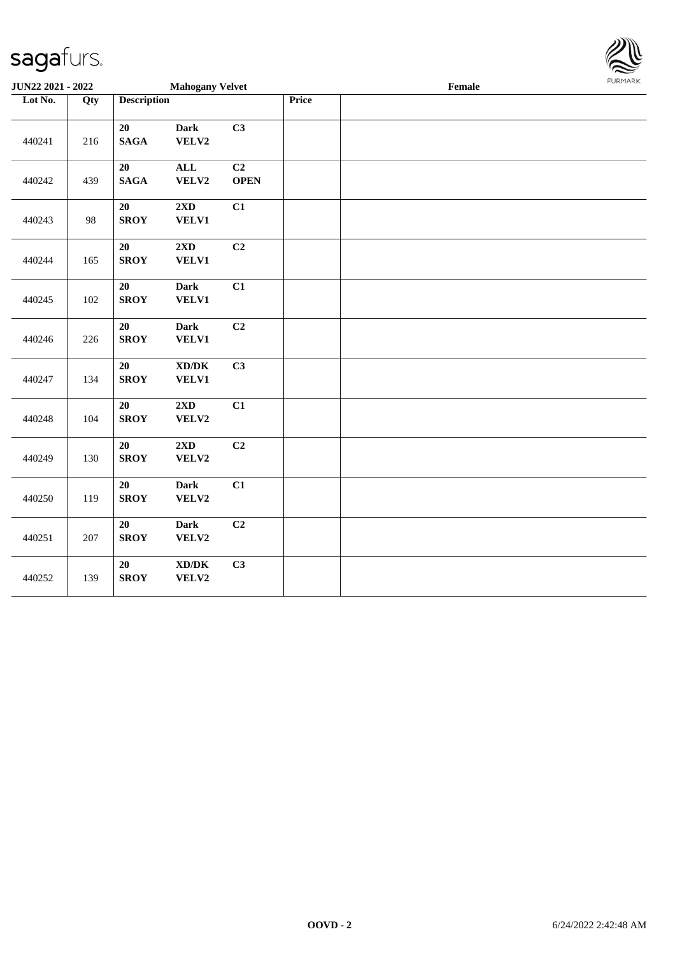| <b>JUN22 2021 - 2022</b> |     |                       | <b>Mahogany Velvet</b>                              |                   |       | $\ensuremath{\textnormal{\textbf{Female}}}$ | <b>FURMAR</b> |
|--------------------------|-----|-----------------------|-----------------------------------------------------|-------------------|-------|---------------------------------------------|---------------|
| Lot No.                  | Qty | <b>Description</b>    |                                                     |                   | Price |                                             |               |
| 440241                   | 216 | 20<br>$\mathbf{SAGA}$ | <b>Dark</b><br>VELV2                                | C3                |       |                                             |               |
| 440242                   | 439 | 20<br><b>SAGA</b>     | $\mathbf{ALL}$<br>VELV2                             | C2<br><b>OPEN</b> |       |                                             |               |
| 440243                   | 98  | 20<br><b>SROY</b>     | 2XD<br><b>VELV1</b>                                 | C1                |       |                                             |               |
| 440244                   | 165 | 20<br><b>SROY</b>     | 2XD<br><b>VELV1</b>                                 | C <sub>2</sub>    |       |                                             |               |
| 440245                   | 102 | 20<br><b>SROY</b>     | <b>Dark</b><br><b>VELV1</b>                         | C1                |       |                                             |               |
| 440246                   | 226 | 20<br><b>SROY</b>     | <b>Dark</b><br><b>VELV1</b>                         | C2                |       |                                             |               |
| 440247                   | 134 | 20<br><b>SROY</b>     | $\bold{X}\bold{D}/\bold{D}\bold{K}$<br><b>VELV1</b> | C3                |       |                                             |               |
| 440248                   | 104 | 20<br><b>SROY</b>     | 2XD<br>VELV2                                        | C1                |       |                                             |               |
| 440249                   | 130 | 20<br><b>SROY</b>     | 2XD<br>VELV2                                        | C2                |       |                                             |               |
| 440250                   | 119 | 20<br><b>SROY</b>     | <b>Dark</b><br>VELV2                                | C1                |       |                                             |               |
| 440251                   | 207 | 20<br><b>SROY</b>     | <b>Dark</b><br>VELV2                                | C2                |       |                                             |               |
| 440252                   | 139 | 20<br><b>SROY</b>     | $\bold{X}\bold{D}/\bold{D}\bold{K}$<br>VELV2        | C3                |       |                                             |               |

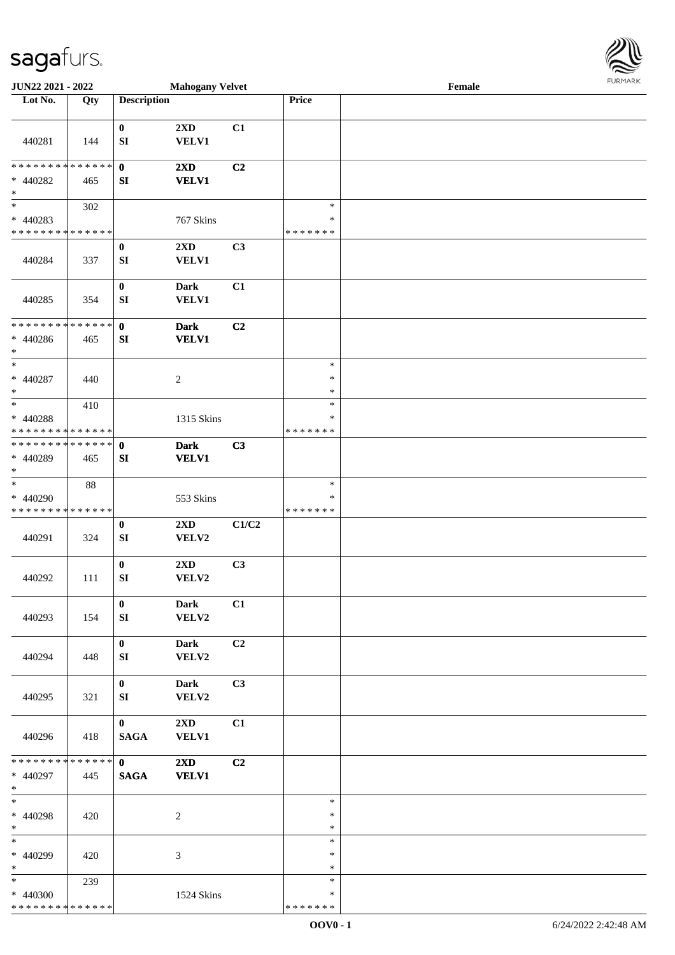| JUN22 2021 - 2022                                   |     |                                | <b>Mahogany Velvet</b>                  |                |                                   | Female |  |
|-----------------------------------------------------|-----|--------------------------------|-----------------------------------------|----------------|-----------------------------------|--------|--|
| Lot No.                                             | Qty | <b>Description</b>             |                                         |                | Price                             |        |  |
|                                                     |     |                                |                                         |                |                                   |        |  |
| 440281                                              | 144 | $\bf{0}$<br>SI                 | 2XD<br>VELV1                            | C1             |                                   |        |  |
| * * * * * * * * * * * * * *<br>* 440282<br>$\ast$   | 465 | $\bf{0}$<br>SI                 | 2XD<br><b>VELV1</b>                     | C <sub>2</sub> |                                   |        |  |
| $*$<br>$* 440283$<br>* * * * * * * * * * * * * *    | 302 |                                | 767 Skins                               |                | $\ast$<br>$\ast$<br>* * * * * * * |        |  |
| 440284                                              | 337 | $\bf{0}$<br>SI                 | $2\mathbf{X}\mathbf{D}$<br>VELV1        | C3             |                                   |        |  |
| 440285                                              | 354 | $\boldsymbol{0}$<br>SI         | <b>Dark</b><br>VELV1                    | C1             |                                   |        |  |
| * * * * * * * * * * * * * *<br>$* 440286$<br>$\ast$ | 465 | $\mathbf 0$<br>SI              | <b>Dark</b><br><b>VELV1</b>             | C2             |                                   |        |  |
| $\ast$<br>$* 440287$<br>$\ast$                      | 440 |                                | $\overline{c}$                          |                | $\ast$<br>$\ast$<br>$\ast$        |        |  |
| $*$<br>* 440288<br>* * * * * * * * * * * * * *      | 410 |                                | 1315 Skins                              |                | $\ast$<br>$\ast$<br>*******       |        |  |
| * * * * * * * * * * * * * * *<br>$* 440289$<br>$*$  | 465 | $\mathbf 0$<br>SI              | <b>Dark</b><br><b>VELV1</b>             | C3             |                                   |        |  |
| $\ast$<br>* 440290<br>* * * * * * * * * * * * * *   | 88  |                                | 553 Skins                               |                | $\ast$<br>$\ast$<br>*******       |        |  |
| 440291                                              | 324 | $\boldsymbol{0}$<br>SI         | $2\mathbf{X}\mathbf{D}$<br>VELV2        | C1/C2          |                                   |        |  |
| 440292                                              | 111 | $\boldsymbol{0}$<br>${\bf SI}$ | 2XD<br>VELV2                            | C3             |                                   |        |  |
| 440293                                              | 154 | $\bf{0}$<br>SI                 | <b>Dark</b><br>VELV2                    | C1             |                                   |        |  |
| 440294                                              | 448 | $\bf{0}$<br>SI                 | Dark<br>VELV2                           | C2             |                                   |        |  |
| 440295                                              | 321 | $\bf{0}$<br>SI                 | <b>Dark</b><br>VELV2                    | C3             |                                   |        |  |
| 440296                                              | 418 | $\mathbf{0}$<br><b>SAGA</b>    | $2\mathbf{X}\mathbf{D}$<br>VELV1        | C1             |                                   |        |  |
| * * * * * * * * * * * * * * *<br>* 440297<br>$*$    | 445 | $\mathbf{0}$<br><b>SAGA</b>    | $2\mathbf{X}\mathbf{D}$<br><b>VELV1</b> | C2             |                                   |        |  |
| $*$<br>* 440298<br>$*$                              | 420 |                                | $\overline{c}$                          |                | $\ast$<br>$\ast$<br>$\ast$        |        |  |
| $*$<br>* 440299<br>$*$                              | 420 |                                | 3                                       |                | $\ast$<br>$\ast$<br>$\ast$        |        |  |
| $*$<br>* 440300<br>* * * * * * * * * * * * * *      | 239 |                                | 1524 Skins                              |                | $\ast$<br>$\ast$<br>* * * * * * * |        |  |

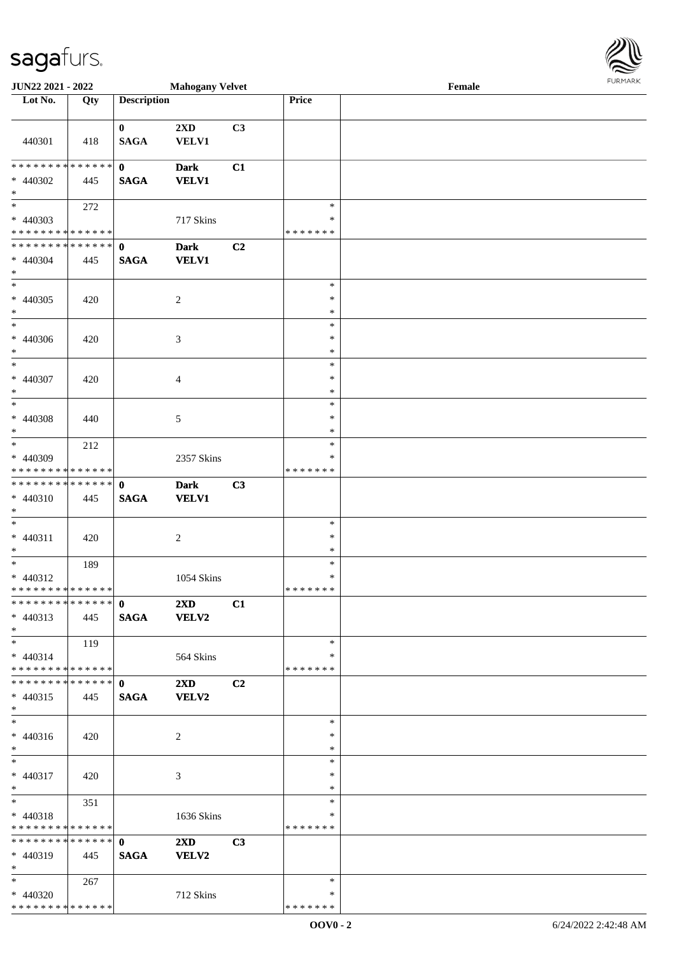\* \* \* \* \* \* \* \* \* \* \* \* \* \* \*

| <b>JUN22 2021 - 2022</b>                   |     |                    | <b>Mahogany Velvet</b>  |    |               | Female |  |
|--------------------------------------------|-----|--------------------|-------------------------|----|---------------|--------|--|
| Lot No.                                    | Qty | <b>Description</b> |                         |    | Price         |        |  |
|                                            |     |                    |                         |    |               |        |  |
|                                            |     | $\mathbf{0}$       | 2XD                     | C3 |               |        |  |
| 440301                                     | 418 | <b>SAGA</b>        | <b>VELV1</b>            |    |               |        |  |
|                                            |     |                    |                         |    |               |        |  |
| * * * * * * * * * * * * * * *              |     | $\mathbf{0}$       | <b>Dark</b>             | C1 |               |        |  |
| * 440302                                   | 445 | <b>SAGA</b>        | <b>VELV1</b>            |    |               |        |  |
| $\ast$                                     |     |                    |                         |    |               |        |  |
| $*$                                        | 272 |                    |                         |    | $\ast$        |        |  |
| * 440303                                   |     |                    | 717 Skins               |    | $\ast$        |        |  |
| * * * * * * * * <mark>* * * * * * *</mark> |     |                    |                         |    | * * * * * * * |        |  |
| * * * * * * * * <mark>* * * * * * *</mark> |     | $\mathbf{0}$       | <b>Dark</b>             | C2 |               |        |  |
| * 440304                                   | 445 |                    |                         |    |               |        |  |
| $*$                                        |     | <b>SAGA</b>        | <b>VELV1</b>            |    |               |        |  |
|                                            |     |                    |                         |    | $\ast$        |        |  |
|                                            |     |                    |                         |    |               |        |  |
| $* 440305$                                 | 420 |                    | 2                       |    | $\ast$        |        |  |
| $*$<br>$\ast$                              |     |                    |                         |    | $\ast$        |        |  |
|                                            |     |                    |                         |    | $\ast$        |        |  |
| * 440306                                   | 420 |                    | $\mathfrak{Z}$          |    | $\ast$        |        |  |
| $\ast$<br>$\overline{\ast}$                |     |                    |                         |    | $\ast$        |        |  |
|                                            |     |                    |                         |    | $\ast$        |        |  |
| * 440307                                   | 420 |                    | $\overline{4}$          |    | $\ast$        |        |  |
| $\ast$                                     |     |                    |                         |    | $\ast$        |        |  |
| $\overline{\ast}$                          |     |                    |                         |    | $\ast$        |        |  |
| * 440308                                   | 440 |                    | 5                       |    | $\ast$        |        |  |
| $\ast$                                     |     |                    |                         |    | $\ast$        |        |  |
| $\overline{\ast}$                          | 212 |                    |                         |    | $\ast$        |        |  |
| * 440309                                   |     |                    | 2357 Skins              |    | ∗             |        |  |
| * * * * * * * * * * * * * *                |     |                    |                         |    | * * * * * * * |        |  |
| * * * * * * * * * * * * * * *              |     | $\mathbf{0}$       | <b>Dark</b>             | C3 |               |        |  |
| * 440310                                   | 445 | <b>SAGA</b>        | <b>VELV1</b>            |    |               |        |  |
| $*$                                        |     |                    |                         |    |               |        |  |
| $\ast$                                     |     |                    |                         |    | $\ast$        |        |  |
| $* 440311$                                 | 420 |                    | 2                       |    | $\ast$        |        |  |
| $\ast$                                     |     |                    |                         |    | $\ast$        |        |  |
| $\ast$                                     | 189 |                    |                         |    | $\ast$        |        |  |
| $* 440312$                                 |     |                    | 1054 Skins              |    | $\ast$        |        |  |
| * * * * * * * * <mark>* * * * * *</mark>   |     |                    |                         |    | *******       |        |  |
|                                            |     |                    | $2\mathbf{X}\mathbf{D}$ | C1 |               |        |  |
| $* 440313$                                 | 445 | <b>SAGA</b>        | <b>VELV2</b>            |    |               |        |  |
| $*$                                        |     |                    |                         |    |               |        |  |
| $*$ $-$                                    | 119 |                    |                         |    | $\ast$        |        |  |
| $* 440314$                                 |     |                    | 564 Skins               |    | *             |        |  |
| * * * * * * * * * * * * * * <mark>*</mark> |     |                    |                         |    | *******       |        |  |
|                                            |     |                    | $2\mathbf{X}\mathbf{D}$ | C2 |               |        |  |
| $* 440315$                                 |     | <b>SAGA</b>        | VELV2                   |    |               |        |  |
| $*$                                        | 445 |                    |                         |    |               |        |  |
| $\overline{\phantom{0}}$                   |     |                    |                         |    | $\ast$        |        |  |
|                                            |     |                    |                         |    |               |        |  |
| $* 440316$                                 | 420 |                    | 2                       |    | $\ast$        |        |  |
| $*$                                        |     |                    |                         |    | $\ast$        |        |  |
| $\ddot{x}$                                 |     |                    |                         |    | $\ast$        |        |  |
| * 440317                                   | 420 |                    | 3                       |    | $\ast$        |        |  |
| $*$<br>$*$                                 |     |                    |                         |    | $\ast$        |        |  |
|                                            | 351 |                    |                         |    | $\ast$        |        |  |
| * 440318                                   |     |                    | 1636 Skins              |    | $\ast$        |        |  |
| * * * * * * * * <mark>* * * * * * *</mark> |     |                    |                         |    | *******       |        |  |
| * * * * * * * * <mark>* * * * * * *</mark> |     | $\mathbf{0}$       | $2\mathbf{X}\mathbf{D}$ | C3 |               |        |  |
| $* 440319$                                 | 445 | <b>SAGA</b>        | <b>VELV2</b>            |    |               |        |  |
| $*$                                        |     |                    |                         |    |               |        |  |
| $*$ $-$                                    | 267 |                    |                         |    | $\ast$        |        |  |
| * 440320                                   |     |                    | 712 Skins               |    | $\ast$        |        |  |

\* \* \* \* \* \* \*

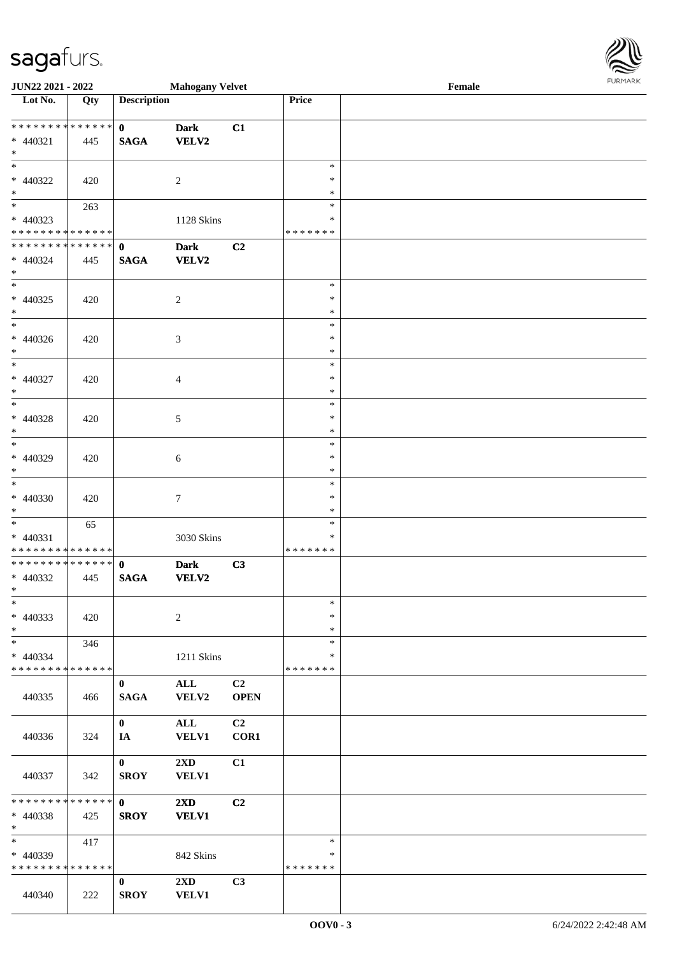| <b>JUN22 2021 - 2022</b>                   |     |                    | <b>Mahogany Velvet</b>  |                |                  | $\ensuremath{\textnormal{\textbf{Female}}}$ | <b>FURPIARA</b> |
|--------------------------------------------|-----|--------------------|-------------------------|----------------|------------------|---------------------------------------------|-----------------|
| Lot No.                                    | Qty | <b>Description</b> |                         |                | Price            |                                             |                 |
|                                            |     |                    |                         |                |                  |                                             |                 |
|                                            |     | $\mathbf{0}$       | <b>Dark</b>             | C1             |                  |                                             |                 |
| $* 440321$                                 | 445 | <b>SAGA</b>        | VELV2                   |                |                  |                                             |                 |
| $*$                                        |     |                    |                         |                | $\ast$           |                                             |                 |
|                                            |     |                    |                         |                | $\ast$           |                                             |                 |
| * 440322<br>$*$                            | 420 |                    | $\overline{2}$          |                | $\ast$           |                                             |                 |
| $\overline{\ast}$                          | 263 |                    |                         |                | $\ast$           |                                             |                 |
| * 440323                                   |     |                    | 1128 Skins              |                | ∗                |                                             |                 |
| * * * * * * * * <mark>* * * * * *</mark>   |     |                    |                         |                | *******          |                                             |                 |
| ************** 0                           |     |                    | <b>Dark</b>             | C2             |                  |                                             |                 |
| * 440324                                   | 445 | <b>SAGA</b>        | <b>VELV2</b>            |                |                  |                                             |                 |
| $\ast$                                     |     |                    |                         |                |                  |                                             |                 |
| $\overline{\phantom{0}}$                   |     |                    |                         |                | $\ast$           |                                             |                 |
| $* 440325$                                 | 420 |                    | $\overline{2}$          |                | $\ast$           |                                             |                 |
| $*$                                        |     |                    |                         |                | $\ast$           |                                             |                 |
| $*$                                        |     |                    |                         |                | $\ast$           |                                             |                 |
| * 440326                                   | 420 |                    | $\sqrt{3}$              |                | $\ast$           |                                             |                 |
| $*$<br>$\ast$                              |     |                    |                         |                | $\ast$           |                                             |                 |
|                                            |     |                    |                         |                | $\ast$           |                                             |                 |
| * 440327<br>$\ast$                         | 420 |                    | $\overline{4}$          |                | $\ast$<br>$\ast$ |                                             |                 |
| $\overline{\ast}$                          |     |                    |                         |                | $\ast$           |                                             |                 |
| * 440328                                   | 420 |                    | $\sqrt{5}$              |                | $\ast$           |                                             |                 |
| $*$                                        |     |                    |                         |                | $\ast$           |                                             |                 |
|                                            |     |                    |                         |                | $\ast$           |                                             |                 |
| $* 440329$                                 | 420 |                    | 6                       |                | $\ast$           |                                             |                 |
| $*$                                        |     |                    |                         |                | $\ast$           |                                             |                 |
|                                            |     |                    |                         |                | $\ast$           |                                             |                 |
| * 440330                                   | 420 |                    | $\tau$                  |                | $\ast$           |                                             |                 |
| $\ast$                                     |     |                    |                         |                | $\ast$           |                                             |                 |
|                                            | 65  |                    |                         |                | $\ast$           |                                             |                 |
| $* 440331$                                 |     |                    | 3030 Skins              |                | $\ast$           |                                             |                 |
| * * * * * * * * <mark>* * * * * * *</mark> |     |                    |                         |                | *******          |                                             |                 |
|                                            |     |                    | <b>Dark</b>             | C3             |                  |                                             |                 |
| * 440332<br>$\ddot{x}$                     | 445 | <b>SAGA</b>        | VELV2                   |                |                  |                                             |                 |
| $\ast$                                     |     |                    |                         |                | $\ast$           |                                             |                 |
| $* 440333$                                 | 420 |                    | $\overline{2}$          |                | $\ast$           |                                             |                 |
| $*$                                        |     |                    |                         |                | $\ast$           |                                             |                 |
| $\ast$                                     | 346 |                    |                         |                | $\ast$           |                                             |                 |
| $* 440334$                                 |     |                    | 1211 Skins              |                | $\ast$           |                                             |                 |
| * * * * * * * * <mark>* * * * * * *</mark> |     |                    |                         |                | * * * * * * *    |                                             |                 |
|                                            |     | $\bf{0}$           | ALL                     | C2             |                  |                                             |                 |
| 440335                                     | 466 | <b>SAGA</b>        | VELV2                   | <b>OPEN</b>    |                  |                                             |                 |
|                                            |     |                    |                         |                |                  |                                             |                 |
|                                            |     | $\mathbf{0}$       | ALL                     | C <sub>2</sub> |                  |                                             |                 |
| 440336                                     | 324 | IA                 | <b>VELV1</b>            | COR1           |                  |                                             |                 |
|                                            |     | $\mathbf{0}$       | 2XD                     | C1             |                  |                                             |                 |
| 440337                                     | 342 | <b>SROY</b>        | <b>VELV1</b>            |                |                  |                                             |                 |
|                                            |     |                    |                         |                |                  |                                             |                 |
| * * * * * * * * * * * * * * <mark>*</mark> |     | $\mathbf{0}$       | $2\mathbf{X}\mathbf{D}$ | C <sub>2</sub> |                  |                                             |                 |
| * 440338                                   | 425 | <b>SROY</b>        | <b>VELV1</b>            |                |                  |                                             |                 |
| $*$                                        |     |                    |                         |                |                  |                                             |                 |
| $\ddot{x}$                                 | 417 |                    |                         |                | $\ast$           |                                             |                 |
| * 440339                                   |     |                    | 842 Skins               |                | $\ast$           |                                             |                 |
| * * * * * * * * * * * * * * *              |     |                    |                         |                | *******          |                                             |                 |
|                                            |     | $\bf{0}$           | $2\mathbf{X}\mathbf{D}$ | C <sub>3</sub> |                  |                                             |                 |
| 440340                                     | 222 | <b>SROY</b>        | <b>VELV1</b>            |                |                  |                                             |                 |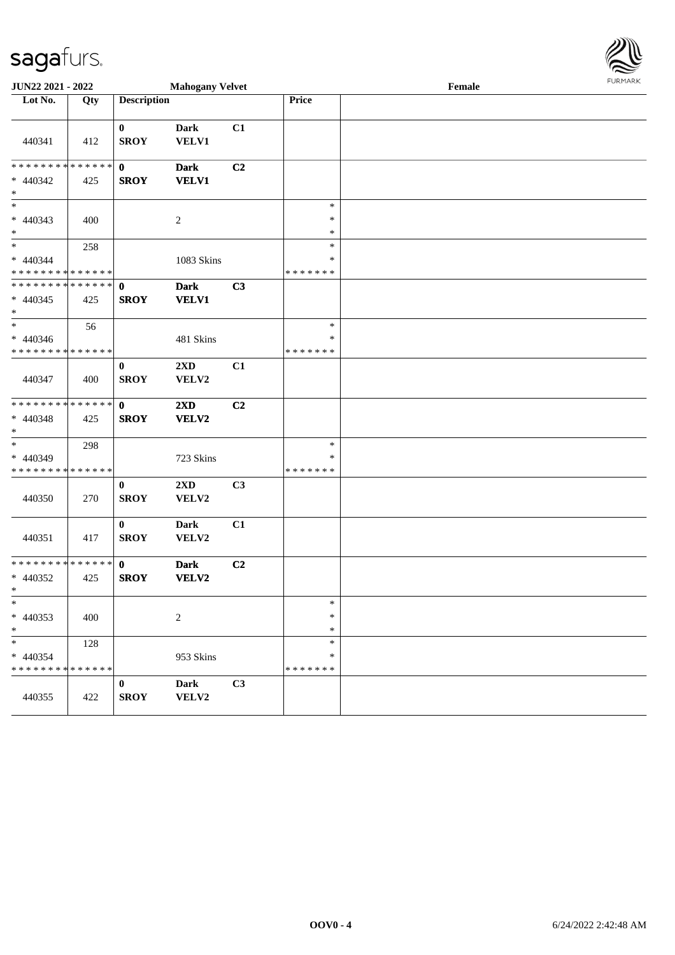| <b>JUN22 2021 - 2022</b>                                           |     |                             | <b>Mahogany Velvet</b>           |    |                                   | Female |  |
|--------------------------------------------------------------------|-----|-----------------------------|----------------------------------|----|-----------------------------------|--------|--|
| Lot No.                                                            | Qty | <b>Description</b>          |                                  |    | Price                             |        |  |
| 440341                                                             | 412 | $\mathbf{0}$<br><b>SROY</b> | <b>Dark</b><br>VELV1             | C1 |                                   |        |  |
| * * * * * * * * <mark>* * * * * * *</mark><br>* 440342<br>$\ast$   | 425 | $\mathbf{0}$<br><b>SROY</b> | <b>Dark</b><br><b>VELV1</b>      | C2 |                                   |        |  |
| $* 440343$<br>$\ast$                                               | 400 |                             | 2                                |    | $\ast$<br>$\ast$<br>$\ast$        |        |  |
| $*$<br>* 440344<br>* * * * * * * * <mark>* * * * * * *</mark>      | 258 |                             | 1083 Skins                       |    | $\ast$<br>$\ast$<br>* * * * * * * |        |  |
| * * * * * * * * * * * * * * <mark>*</mark><br>$* 440345$<br>$\ast$ | 425 | $\mathbf{0}$<br><b>SROY</b> | <b>Dark</b><br><b>VELV1</b>      | C3 |                                   |        |  |
| $\ast$<br>* 440346<br>* * * * * * * * <mark>* * * * * * *</mark>   | 56  |                             | 481 Skins                        |    | $\ast$<br>$\ast$<br>* * * * * * * |        |  |
| 440347                                                             | 400 | $\bf{0}$<br><b>SROY</b>     | 2XD<br>VELV2                     | C1 |                                   |        |  |
| * * * * * * * * <mark>* * * * * * *</mark><br>* 440348<br>$\ast$   | 425 | $\mathbf{0}$<br><b>SROY</b> | $2\mathbf{X}\mathbf{D}$<br>VELV2 | C2 |                                   |        |  |
| $\ast$<br>* 440349<br>* * * * * * * * <mark>* * * * * *</mark>     | 298 |                             | 723 Skins                        |    | $\ast$<br>*<br>* * * * * * *      |        |  |
| 440350                                                             | 270 | $\bf{0}$<br><b>SROY</b>     | 2XD<br>VELV2                     | C3 |                                   |        |  |
| 440351                                                             | 417 | $\bf{0}$<br><b>SROY</b>     | <b>Dark</b><br>VELV2             | C1 |                                   |        |  |
| * * * * * * * * * * * * * * <mark>*</mark><br>* 440352<br>$*$ $-$  | 425 | $\mathbf{0}$<br><b>SROY</b> | <b>Dark</b><br><b>VELV2</b>      | C2 |                                   |        |  |
| $\ast$<br>* 440353<br>$\ast$                                       | 400 |                             | $\overline{c}$                   |    | $\ast$<br>$\ast$<br>$\ast$        |        |  |
| $\ast$<br>* 440354<br>* * * * * * * * * * * * * * *                | 128 |                             | 953 Skins                        |    | $\ast$<br>∗<br>* * * * * * *      |        |  |
| 440355                                                             | 422 | $\bf{0}$<br><b>SROY</b>     | Dark<br>VELV2                    | C3 |                                   |        |  |

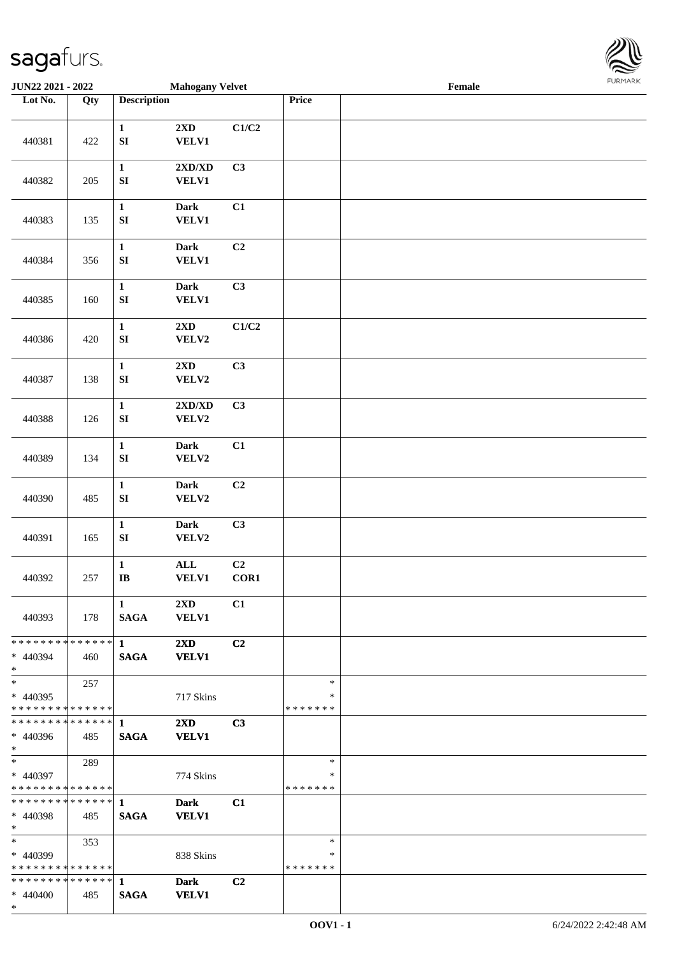

| <b>JUN22 2021 - 2022</b>                                   |                   |                                       | <b>Mahogany Velvet</b>                  |                |                             | Female |  |
|------------------------------------------------------------|-------------------|---------------------------------------|-----------------------------------------|----------------|-----------------------------|--------|--|
| Lot No.                                                    | $\overline{Q}$ ty | <b>Description</b>                    |                                         |                | Price                       |        |  |
|                                                            |                   |                                       |                                         |                |                             |        |  |
| 440381                                                     | 422               | $\mathbf{1}$<br>${\bf S}{\bf I}$      | 2XD<br>VELV1                            | C1/C2          |                             |        |  |
| 440382                                                     | 205               | $\mathbf{1}$<br>${\bf S}{\bf I}$      | 2XD/XD<br><b>VELV1</b>                  | C3             |                             |        |  |
| 440383                                                     | 135               | $\mathbf{1}$<br>SI                    | Dark<br>VELV1                           | C1             |                             |        |  |
| 440384                                                     | 356               | $\mathbf{1}$<br>${\bf S}{\bf I}$      | Dark<br>VELV1                           | C <sub>2</sub> |                             |        |  |
| 440385                                                     | 160               | $\mathbf 1$<br>${\bf SI}$             | <b>Dark</b><br><b>VELV1</b>             | C3             |                             |        |  |
| 440386                                                     | 420               | $\mathbf 1$<br>${\bf SI}$             | 2XD<br>VELV2                            | C1/C2          |                             |        |  |
| 440387                                                     | 138               | $\mathbf 1$<br>SI                     | 2XD<br>VELV2                            | C3             |                             |        |  |
| 440388                                                     | 126               | $\mathbf 1$<br>${\bf SI}$             | 2XD/XD<br>VELV2                         | C3             |                             |        |  |
| 440389                                                     | 134               | $\mathbf{1}$<br>SI                    | Dark<br>VELV2                           | C1             |                             |        |  |
| 440390                                                     | 485               | $\mathbf 1$<br>${\bf S}{\bf I}$       | Dark<br>VELV2                           | C2             |                             |        |  |
| 440391                                                     | 165               | $\mathbf 1$<br>SI                     | Dark<br>VELV2                           | C3             |                             |        |  |
| 440392                                                     | 257               | $\mathbf 1$<br>$\mathbf{I}\mathbf{B}$ | ALL<br>VELV1                            | C2<br>COR1     |                             |        |  |
| 440393                                                     | 178               | $\mathbf{1}$<br><b>SAGA</b>           | $2\mathbf{X}\mathbf{D}$<br><b>VELV1</b> | C1             |                             |        |  |
| * * * * * * * * * * * * * * *<br>* 440394<br>$*$           | 460               | $\mathbf 1$<br><b>SAGA</b>            | $2\mathbf{X}\mathbf{D}$<br><b>VELV1</b> | C2             |                             |        |  |
| $*$<br>$* 440395$<br>* * * * * * * * * * * * * * *         | 257               |                                       | 717 Skins                               |                | $\ast$<br>$\ast$<br>******* |        |  |
| ************** 1<br>$* 440396$<br>$*$ $*$                  | 485               | <b>SAGA</b>                           | $2\mathbf{X}\mathbf{D}$<br><b>VELV1</b> | C <sub>3</sub> |                             |        |  |
| $*$ and $*$<br>$* 440397$<br>* * * * * * * * * * * * * * * | 289               |                                       | 774 Skins                               |                | $\ast$<br>∗<br>*******      |        |  |
| * 440398<br>$*$                                            | 485               | <b>SAGA</b>                           | <b>Dark</b><br><b>VELV1</b>             | C1             |                             |        |  |
| $*$ $*$<br>$* 440399$<br>* * * * * * * * * * * * * * *     | 353               |                                       | 838 Skins                               |                | $\ast$<br>∗<br>*******      |        |  |
| $* 440400$<br>$*$                                          | 485               | <b>SAGA</b>                           | <b>Dark</b><br><b>VELV1</b>             | C2             |                             |        |  |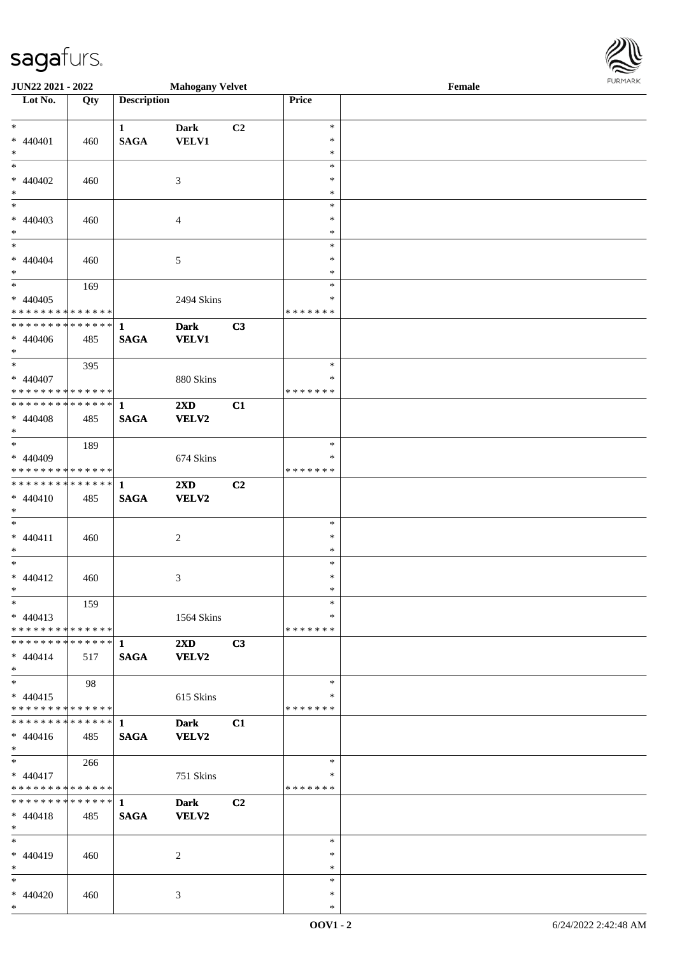\*

| <b>JUN22 2021 - 2022</b>                   |     |                    | <b>Mahogany Velvet</b>  |                |               | Female | <b>FUNITANN</b> |
|--------------------------------------------|-----|--------------------|-------------------------|----------------|---------------|--------|-----------------|
| Lot No.                                    | Qty | <b>Description</b> |                         |                | Price         |        |                 |
|                                            |     |                    |                         |                |               |        |                 |
| $*$                                        |     | $\mathbf{1}$       | <b>Dark</b>             | C2             | $\ast$        |        |                 |
| $* 440401$                                 | 460 | <b>SAGA</b>        | <b>VELV1</b>            |                | $\ast$        |        |                 |
| $\ast$                                     |     |                    |                         |                | $\ast$        |        |                 |
|                                            |     |                    |                         |                | $\ast$        |        |                 |
| * 440402                                   | 460 |                    | 3                       |                | $\ast$        |        |                 |
| $*$                                        |     |                    |                         |                | $\ast$        |        |                 |
| $*$                                        |     |                    |                         |                | $\ast$        |        |                 |
| $* 440403$                                 | 460 |                    | $\overline{4}$          |                | $\ast$        |        |                 |
| $\ast$                                     |     |                    |                         |                | $\ast$        |        |                 |
| $*$                                        |     |                    |                         |                | $\ast$        |        |                 |
| $* 440404$                                 | 460 |                    | 5                       |                | $\ast$        |        |                 |
| $\ast$                                     |     |                    |                         |                | $\ast$        |        |                 |
| $*$                                        | 169 |                    |                         |                | $\ast$        |        |                 |
| $* 440405$                                 |     |                    | 2494 Skins              |                | $\ast$        |        |                 |
| * * * * * * * * <mark>* * * * * * *</mark> |     |                    |                         |                | * * * * * * * |        |                 |
|                                            |     |                    | <b>Dark</b>             | C3             |               |        |                 |
| $* 440406$                                 | 485 | <b>SAGA</b>        | <b>VELV1</b>            |                |               |        |                 |
| $\ast$                                     |     |                    |                         |                |               |        |                 |
| $\ddot{x}$                                 | 395 |                    |                         |                | $\ast$        |        |                 |
| $* 440407$                                 |     |                    | 880 Skins               |                | $\ast$        |        |                 |
| * * * * * * * * <mark>* * * * * *</mark>   |     |                    |                         |                | * * * * * * * |        |                 |
| ******** <mark>******</mark>               |     | $\mathbf{1}$       | $2\mathbf{X}\mathbf{D}$ | C1             |               |        |                 |
| $* 440408$                                 | 485 | <b>SAGA</b>        | VELV2                   |                |               |        |                 |
| $*$                                        |     |                    |                         |                |               |        |                 |
|                                            | 189 |                    |                         |                | $\ast$        |        |                 |
| * 440409                                   |     |                    | 674 Skins               |                | $\ast$        |        |                 |
| * * * * * * * * <mark>* * * * * * *</mark> |     |                    |                         |                | *******       |        |                 |
| ************** 1                           |     |                    | $2\mathbf{X}\mathbf{D}$ | C2             |               |        |                 |
| $* 440410$                                 | 485 | <b>SAGA</b>        | VELV2                   |                |               |        |                 |
| $\ast$                                     |     |                    |                         |                |               |        |                 |
| $\ast$                                     |     |                    |                         |                | $\ast$        |        |                 |
| $* 440411$                                 | 460 |                    | 2                       |                | $\ast$        |        |                 |
| $*$                                        |     |                    |                         |                | $\ast$        |        |                 |
| $\ast$                                     |     |                    |                         |                | $\ast$        |        |                 |
| $* 440412$                                 | 460 |                    | 3                       |                | $\ast$        |        |                 |
| $\ast$                                     |     |                    |                         |                | $\ast$        |        |                 |
| $\ast$                                     | 159 |                    |                         |                | $\ast$        |        |                 |
| $* 440413$                                 |     |                    | 1564 Skins              |                | $\ast$        |        |                 |
| * * * * * * * * * * * * * *                |     |                    |                         |                | *******       |        |                 |
|                                            |     |                    | $2\mathbf{X}\mathbf{D}$ | C3             |               |        |                 |
| $* 440414$                                 |     | <b>SAGA</b>        | <b>VELV2</b>            |                |               |        |                 |
| $*$ $-$                                    | 517 |                    |                         |                |               |        |                 |
| $\ddot{x}$                                 | 98  |                    |                         |                | $\ast$        |        |                 |
| $* 440415$                                 |     |                    | 615 Skins               |                | ∗             |        |                 |
| * * * * * * * * * * * * * * <mark>*</mark> |     |                    |                         |                | *******       |        |                 |
|                                            |     |                    | <b>Dark</b>             | C1             |               |        |                 |
| $* 440416$                                 | 485 | <b>SAGA</b>        | <b>VELV2</b>            |                |               |        |                 |
| $\ast$                                     |     |                    |                         |                |               |        |                 |
| $\ast$                                     | 266 |                    |                         |                | $\ast$        |        |                 |
|                                            |     |                    |                         |                | ∗             |        |                 |
| * 440417<br>* * * * * * * * * * * * * * *  |     |                    | 751 Skins               |                | * * * * * * * |        |                 |
|                                            |     |                    |                         |                |               |        |                 |
|                                            |     |                    | <b>Dark</b>             | C <sub>2</sub> |               |        |                 |
| $* 440418$<br>$*$ $-$                      | 485 | <b>SAGA</b>        | <b>VELV2</b>            |                |               |        |                 |
| $\ddot{x}$                                 |     |                    |                         |                | $\ast$        |        |                 |
|                                            |     |                    |                         |                | $\ast$        |        |                 |
| $* 440419$                                 | 460 |                    | 2                       |                |               |        |                 |
| $*$                                        |     |                    |                         |                | $\ast$        |        |                 |
| $\ast$                                     |     |                    |                         |                | $\ast$        |        |                 |
| * 440420                                   | 460 |                    | 3                       |                | $\ast$        |        |                 |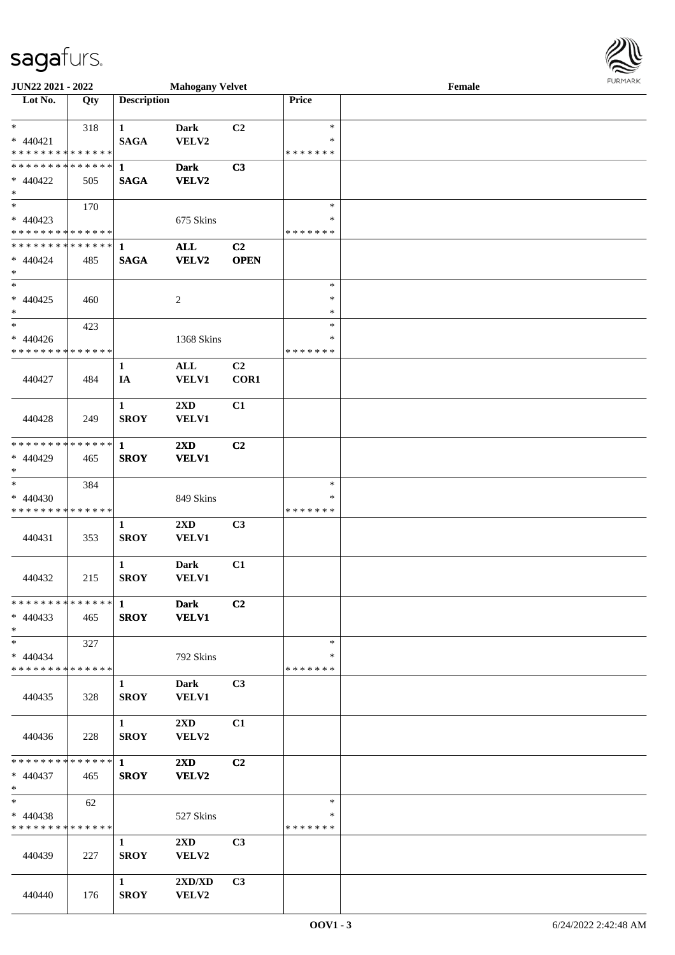| <b>JUN22 2021 - 2022</b>                   |     |                    | <b>Mahogany Velvet</b>           |                |               | Female | <b>FUNITANN</b> |
|--------------------------------------------|-----|--------------------|----------------------------------|----------------|---------------|--------|-----------------|
| Lot No.                                    | Qty | <b>Description</b> |                                  |                | Price         |        |                 |
|                                            |     |                    |                                  |                |               |        |                 |
| $\ast$                                     | 318 | $\mathbf{1}$       | <b>Dark</b>                      | C2             | $\ast$        |        |                 |
| $* 440421$                                 |     | <b>SAGA</b>        | VELV2                            |                | $\ast$        |        |                 |
| * * * * * * * * <mark>* * * * * * *</mark> |     |                    |                                  |                | * * * * * * * |        |                 |
| * * * * * * * * <mark>* * * * * * *</mark> |     | $\mathbf{1}$       | <b>Dark</b>                      | C3             |               |        |                 |
| * 440422                                   | 505 | <b>SAGA</b>        | VELV2                            |                |               |        |                 |
| $\ast$                                     |     |                    |                                  |                |               |        |                 |
| $\ast$                                     | 170 |                    |                                  |                | $\ast$        |        |                 |
| $* 440423$                                 |     |                    | 675 Skins                        |                | ∗             |        |                 |
| * * * * * * * * <mark>* * * * * *</mark>   |     |                    |                                  |                | * * * * * * * |        |                 |
|                                            |     |                    | <b>ALL</b>                       | C <sub>2</sub> |               |        |                 |
| $* 440424$                                 | 485 | <b>SAGA</b>        | VELV2                            | <b>OPEN</b>    |               |        |                 |
| $\ast$                                     |     |                    |                                  |                |               |        |                 |
| $\ast$                                     |     |                    |                                  |                | $\ast$        |        |                 |
| $* 440425$                                 | 460 |                    | 2                                |                | $\ast$        |        |                 |
| $\ast$                                     |     |                    |                                  |                | $\ast$        |        |                 |
| $\ast$                                     | 423 |                    |                                  |                | $\ast$        |        |                 |
| $* 440426$                                 |     |                    | 1368 Skins                       |                | $\ast$        |        |                 |
| * * * * * * * * * * * * * *                |     |                    |                                  |                | * * * * * * * |        |                 |
|                                            |     | 1                  | $\mathbf{ALL}$                   | C2             |               |        |                 |
| 440427                                     | 484 | IA                 | <b>VELV1</b>                     | COR1           |               |        |                 |
|                                            |     |                    |                                  |                |               |        |                 |
|                                            |     | $\mathbf{1}$       | 2XD                              | C1             |               |        |                 |
| 440428                                     | 249 | <b>SROY</b>        | VELV1                            |                |               |        |                 |
|                                            |     |                    |                                  |                |               |        |                 |
| * * * * * * * * * * * * * * <mark>*</mark> |     | $\mathbf{1}$       | 2XD                              | C <sub>2</sub> |               |        |                 |
| * 440429                                   | 465 | <b>SROY</b>        | <b>VELV1</b>                     |                |               |        |                 |
| $\ast$                                     |     |                    |                                  |                |               |        |                 |
|                                            | 384 |                    |                                  |                | $\ast$        |        |                 |
| $* 440430$                                 |     |                    | 849 Skins                        |                | ∗             |        |                 |
| * * * * * * * * <mark>* * * * * * *</mark> |     |                    |                                  |                | * * * * * * * |        |                 |
|                                            |     | $\mathbf{1}$       | 2XD                              | C3             |               |        |                 |
| 440431                                     | 353 | <b>SROY</b>        | VELV1                            |                |               |        |                 |
|                                            |     | $\mathbf{1}$       | <b>Dark</b>                      | C1             |               |        |                 |
| 440432                                     | 215 | <b>SROY</b>        | <b>VELV1</b>                     |                |               |        |                 |
|                                            |     |                    |                                  |                |               |        |                 |
|                                            |     |                    | <b>Dark</b>                      | C <sub>2</sub> |               |        |                 |
| $* 440433$                                 | 465 | <b>SROY</b>        | <b>VELV1</b>                     |                |               |        |                 |
| $\ast$                                     |     |                    |                                  |                |               |        |                 |
| $\ast$                                     | 327 |                    |                                  |                | $\ast$        |        |                 |
| $* 440434$                                 |     |                    | 792 Skins                        |                | *             |        |                 |
| * * * * * * * * <mark>* * * * * *</mark> * |     |                    |                                  |                | *******       |        |                 |
|                                            |     | $\mathbf{1}$       | Dark                             | C <sub>3</sub> |               |        |                 |
| 440435                                     | 328 | <b>SROY</b>        | <b>VELV1</b>                     |                |               |        |                 |
|                                            |     |                    |                                  |                |               |        |                 |
|                                            |     | $\mathbf{1}$       | $2\mathbf{X}\mathbf{D}$          | C1             |               |        |                 |
| 440436                                     | 228 | <b>SROY</b>        | VELV2                            |                |               |        |                 |
|                                            |     |                    |                                  |                |               |        |                 |
|                                            |     |                    | $2\mathbf{X}\mathbf{D}$          | C <sub>2</sub> |               |        |                 |
| * 440437                                   | 465 | <b>SROY</b>        | VELV2                            |                |               |        |                 |
| $*$                                        |     |                    |                                  |                |               |        |                 |
| $*$                                        | 62  |                    |                                  |                | $\ast$        |        |                 |
| $* 440438$                                 |     |                    | 527 Skins                        |                | ∗             |        |                 |
| * * * * * * * * * * * * * *                |     |                    |                                  |                | * * * * * * * |        |                 |
|                                            |     | $\mathbf{1}$       | $2\text{XD}$                     | C <sub>3</sub> |               |        |                 |
| 440439                                     | 227 | <b>SROY</b>        | VELV2                            |                |               |        |                 |
|                                            |     |                    |                                  |                |               |        |                 |
|                                            |     | $\mathbf{1}$       | $2{\bf X}{\bf D}/{\bf X}{\bf D}$ | C3             |               |        |                 |
| 440440                                     | 176 | <b>SROY</b>        | VELV2                            |                |               |        |                 |

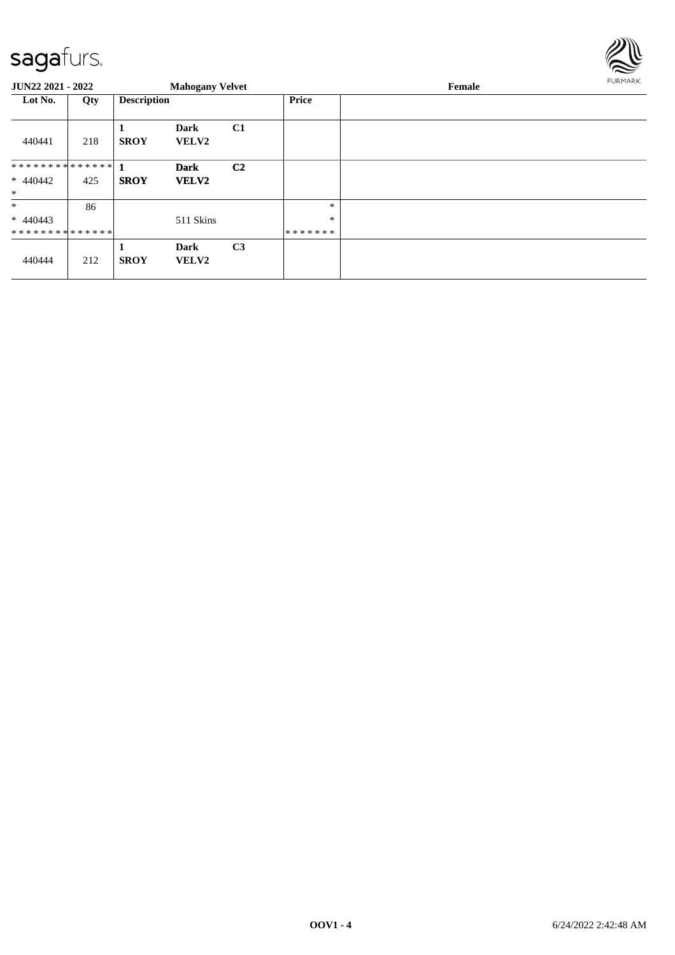

| <b>JUN22 2021 - 2022</b> |     |                    | <b>Mahogany Velvet</b>      |                |         | <b>FURMARK</b> |  |
|--------------------------|-----|--------------------|-----------------------------|----------------|---------|----------------|--|
| Lot No.                  | Qty | <b>Description</b> |                             |                | Price   |                |  |
| 440441                   | 218 | 1<br><b>SROY</b>   | <b>Dark</b><br><b>VELV2</b> | C1             |         |                |  |
| ************** 1         |     |                    | <b>Dark</b>                 | C <sub>2</sub> |         |                |  |
| $* 440442$<br>$\ast$     | 425 | <b>SROY</b>        | <b>VELV2</b>                |                |         |                |  |
| $\ast$                   | 86  |                    |                             |                | $\ast$  |                |  |
| $* 440443$               |     |                    | 511 Skins                   |                | $\ast$  |                |  |
| **************           |     |                    |                             |                | ******* |                |  |
| 440444                   | 212 | 1<br><b>SROY</b>   | <b>Dark</b><br><b>VELV2</b> | C <sub>3</sub> |         |                |  |